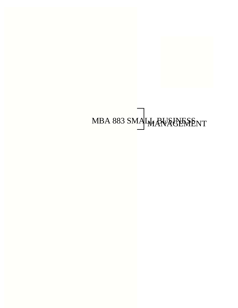# MBA 883 SMALL BUSHESSNT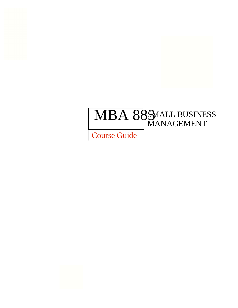# MBA 88 SMALL BUSINESS MANAGEMENT

Course Guide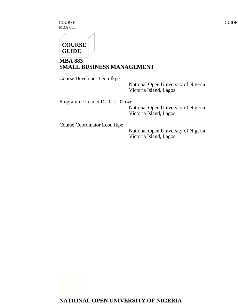COURSE GUIDE GUIDE MBA 883



**MBA 883 SMALL BUSINESS MANAGEMENT**

Course Developer Leon Ikpe

National Open University of Nigeria Victoria Island, Lagos

Programme Leader Dr. O.J . Onwe

National Open University of Nigeria Victoria Island, Lagos

Course Coordinator Leon Ikpe

National Open University of Nigeria Victoria Island, Lagos

# **NATIONAL OPEN UNIVERSITY OF NIGERIA**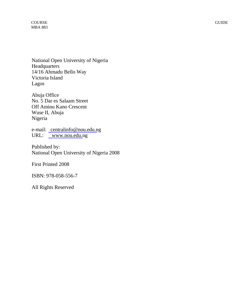National Open University of Nigeria Headquarters 14/16 Ahmadu Bello Way Victoria Island Lagos

Abuja Office No. 5 Dar es Salaam Street Off Aminu Kano Crescent Wuse II, Abuja Nigeria

e-mail: centralinfo@nou.edu.ng URL: www.nou.edu.ng

Published by: National Open University of Nigeria 2008

First Printed 2008

ISBN: 978-058-556-7

All Rights Reserved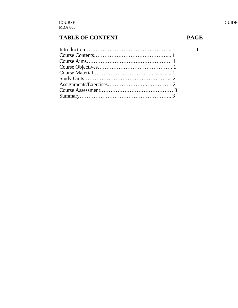# TABLE OF CONTENT PAGE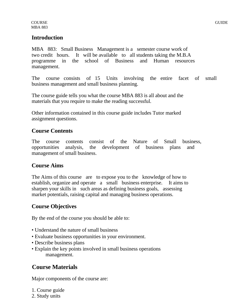COURSE GUIDE MBA 883

# **Introduction**

MBA 883: Small Business Management is a semester course work of two credit hours. It will be available to all students taking the M.B.A programme in the school of Business and Human resources management.

The course consists of 15 Units involving the entire facet of small business management and small business planning.

The course guide tells you what the course MBA 883 is all about and the materials that you require to make the reading successful.

Other information contained in this course guide includes Tutor marked assignment questions.

# **Course Contents**

The course contents consist of the Nature of Small business, opportunities analysis, the development of business plans and management of small business.

# **Course Aims**

The Aims of this course are to expose you to the knowledge of how to establish, organize and operate a small business enterprise. It aims to sharpen your skills in such areas as defining business goals, assessing market potentials, raising capital and managing business operations.

# **Course Objectives**

By the end of the course you should be able to:

- Understand the nature of small business
- Evaluate business opportunities in your environment.
- Describe business plans
- Explain the key points involved in small business operations management.

# **Course Materials**

Major components of the course are:

1. Course guide

2. Study units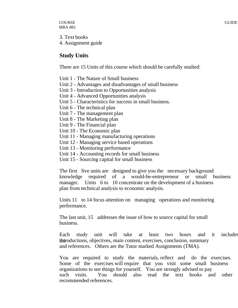3. Text books

4. Assignment guide

# **Study Units**

There are 15 Units of this course which should be carefully studied:

Unit 1 - The Nature of Small business

Unit 2 - Advantages and disadvantages of small business

Unit 3 - Introduction to Opportunities analysis

Unit 4 - Advanced Opportunities analysis

Unit 5 - Characteristics for success in small business.

Unit 6 - The technical plan

Unit 7 - The management plan

Unit 8 - The Marketing plan

Unit 9 - The Financial plan

Unit 10 - The Economic plan

Unit 11 - Managing manufacturing operations

Unit 12 - Managing service based operations

Unit 13 - Monitoring performance

Unit 14 - Accounting records for small business

Unit 15 - Sourcing capital for small business

The first five units are designed to give you the necessary background knowledge required of a would-be-entrepreneur or small business manager. Units 6 to 10 concentrate on the development of a business plan from technical analysis to economic analysis.

Units 11 to 14 focus attention on managing operations and monitoring performance.

The last unit, 15 addresses the issue of how to source capital for small business.

Each study unit will take at least two hours and it includes the roductions, objectives, main content, exercises, conclusion, summary and references. Others are the Tutor marked Assignments (TMA).

You are required to study the materials, reflect and do the exercises. Some of the exercises will require that you visit some small business organizations to see things for yourself. You are strongly advised to pay such visits. You should also read the text books and other recommended references.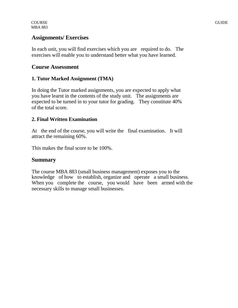# **Assignments/ Exercises**

In each unit, you will find exercises which you are required to do. The exercises will enable you to understand better what you have learned.

# **Course Assessment**

# **1. Tutor Marked Assignment (TMA)**

In doing the Tutor marked assignments, you are expected to apply what you have learnt in the contents of the study unit. The assignments are expected to be turned in to your tutor for grading. They constitute 40% of the total score.

# **2. Final Written Examination**

At the end of the course, you will write the final examination. It will attract the remaining 60%.

This makes the final score to be 100%.

# **Summary**

The course MBA 883 (small business management) exposes you to the knowledge of how to establish, organize and operate a small business. When you complete the course, you would have been armed with the necessary skills to manage small businesses.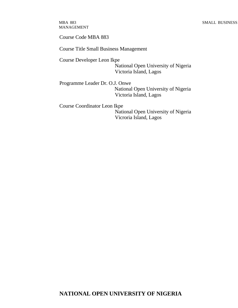Course Code MBA 883

Course Title Small Business Management

Course Developer Leon Ikpe National Open University of Nigeria Victoria Island, Lagos

Programme Leader Dr. O.J. Onwe National Open University of Nigeria Victoria Island, Lagos

Course Coordinator Leon Ikpe National Open University of Nigeria Vicroria Island, Lagos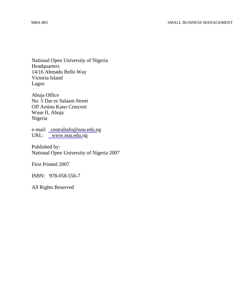National Open University of Nigeria Headquarters 14/16 Ahmadu Bello Way Victoria Island Lagos

Abuja Office No. 5 Dar es Salaam Street Off Aminu Kano Crescent Wuse II, Abuja Nigeria

e-mail: centralinfo@nou.edu.ng URL: www.nou.edu.ng

Published by: National Open University of Nigeria 2007

First Printed 2007

ISBN: 978-058-556-7

All Rights Reserved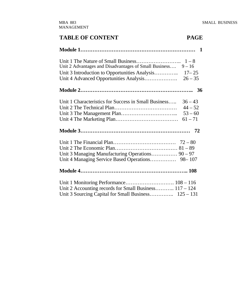# TABLE OF CONTENT PAGE

| Unit 2 Advantages and Disadvantages of Small Business                                                            | $9 - 16$<br>$26 - 35$                            |
|------------------------------------------------------------------------------------------------------------------|--------------------------------------------------|
|                                                                                                                  |                                                  |
| Unit 1 Characteristics for Success in Small Business                                                             | $36 - 43$<br>$44 - 52$<br>$53 - 60$<br>$61 - 71$ |
|                                                                                                                  |                                                  |
| Unit 3 Managing Manufacturing Operations 90 - 97                                                                 |                                                  |
|                                                                                                                  |                                                  |
| Unit 2 Accounting records for Small Business $117 - 124$<br>Unit 3 Sourcing Capital for Small Business 125 - 131 |                                                  |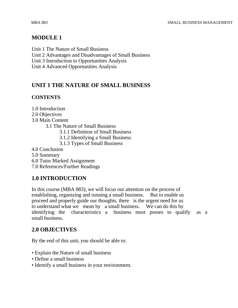# **MODULE 1**

Unit 1 The Nature of Small Business

Unit 2 Advantages and Disadvantages of Small Business

Unit 3 Introduction to Opportunities Analysis

Unit 4 Advanced Opportunities Analysis

# **UNIT 1 THE NATURE OF SMALL BUSINESS**

# **CONTENTS**

- 1.0 Introduction
- 2.0 Objectives
- 3.0 Main Content
	- 3.1 The Nature of Small Business
		- 3.1.1 Definition of Small Business
		- 3.1.2 Identifying a Small Business
		- 3.1.3 Types of Small Business
- 4.0 Conclusion
- 5.0 Summary
- 6.0 Tutor Marked Assignment
- 7.0 References/Further Readings

# **1.0 INTRODUCTION**

In this course (MBA 883), we will focus our attention on the process of establishing, organizing and running a small business. But to enable us proceed and properly guide our thoughts, there is the urgent need for us to understand what we mean by a small business. We can do this by identifying the characteristics a business must posses to qualify as a small business.

# **2.0 OBJECTIVES**

By the end of this unit, you should be able to:

- Explain the Nature of small business
- Define a small business
- Identify a small business in your environment.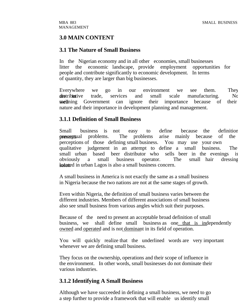#### **3.0 MAIN CONTENT**

#### **3.1 The Nature of Small Business**

In the Nigerian economy and in all other economies, small businesses litter the economic landscape, provide employment opportunities for people and contribute significantly to economic development. In terms of quantity, they are larger than big businesses.

Everywhere we go in our environment we see them. They distributive trade, services and small scale manufacturing. No **well** manning Government can ignore their importance because of their nature and their importance in development planning and management.

#### **3.1.1 Definition of Small Business**

Small business is not easy to define because the definition **porgentual** problems. The problems arise mainly because of the perceptions of those defining small business. You may use your own qualitative judgement in an attempt to define a small business. The small urban based beer distributor who sells beer in the evenings is obviously a small business operator. The small hair dressing stractured in urban Lagos is also a small business concern.

A small business in America is not exactly the same as a small business in Nigeria because the two nations are not at the same stages of growth.

Even within Nigeria, the definition of small business varies between the different industries. Members of different associations of small business also see small business from various angles which suit their purposes.

Because of the need to present an acceptable broad definition of small business, we shall define small business as one that is independently owned and operated and is not dominant in its field of operation.

You will quickly realize that the underlined words are very important whenever we are defining small business.

They focus on the ownership, operations and their scope of influence in the environment. In other words, small businesses do not dominate their various industries.

# **3.1.2 Identifying A Small Business**

Although we have succeeded in defining a small business, we need to go a step further to provide a framework that will enable us identify small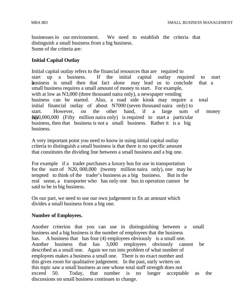businesses in our environment. We need to establish the criteria that distinguish a small business from a big business. Some of the criteria are:

#### **Initial Capital Outlay**

Initial capital outlay refers to the financial resources that are required to start up a business. If the initial capital outlay required to start business is small then that fact alone may lead us to conclude that a small business requires a small amount of money to start. For example, with at low as N3,000 (three thousand naira only), a newspaper vending business can be started. Also, a road side kiosk may require a total initial financial outlay of about N7000 (seven thousand naira only) to start. However, on the other hand, if a large sum of money M50,000,000 (Fifty million naira only) is required to start a particular business, then that business is not a small business. Rather it is a big business.

A very important point you need to know in using initial capital outlay criteria to distinguish a small business is that there is no specific amount that constitutes the dividing line between a small business and a big one.

For example if a trader purchases a luxury bus for use in transportation for the sum of N20, 000,000 (twenty million naira only), one may be tempted to think of the trader's business as a big business. But in the real sense, a transporter who has only one bus in operation cannot be said to be in big business.

On our part, we need to use our own judgement to fix an amount which divides a small business from a big one.

#### **Number of Employees.**

Another criterion that you can use in distinguishing between a small business and a big business is the number of employees that the business has. A business that has four (4) employees obviously is a small one. Another business that has 3,000 employees obviously cannot be described as a small one. Again we run into problem of what number of employees makes a business a small one. There is no exact number and this gives room for qualitative judgement. In the past, early writers on this topic saw a small business as one whose total staff strength does not exceed 50. Today, that number is no longer acceptable as the discussions on small business continues to change.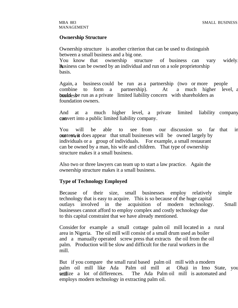#### **Ownership Structure**

Ownership structure is another criterion that can be used to distinguish between a small business and a big one.

You know that ownership structure of business can vary widely. A business can be owned by an individual and run on a sole proprietorship basis.

Again, a business could be run as a partnership (two or more people combine to form a partnership). At a much higher level, a bould be run as a private limited liability concern with shareholders as foundation owners.

And at a much higher level, a private limited liability company convert into a public limited liability company.

You will be able to see from our discussion so far that in **context in** does appear that small businesses will be owned largely by individuals or a group of individuals. For example, a small restaurant can be owned by a man, his wife and children. That type of ownership structure makes it a small business.

Also two or three lawyers can team up to start a law practice. Again the ownership structure makes it a small business.

#### **Type of Technology Employed**

Because of their size, small businesses employ relatively simple technology that is easy to acquire. This is so because of the huge capital outlays involved in the acquisition of modern technology. Small businesses cannot afford to employ complex and costly technology due to this capital constraint that we have already mentioned.

Consider for example a small cottage palm oil mill located in a rural area in Nigeria. The oil mill will consist of a small drum used as boiler and a manually operated screw press that extracts the oil from the oil palm. Production will be slow and difficult for the rural workers in the mill.

But if you compare the small rural based palm oil mill with a modern palm oil mill like Ada Palm oil mill at Ohaji in Imo State, you weit a lot of differences. The Ada Palm oil mill is automated and employs modern technology in extracting palm oil.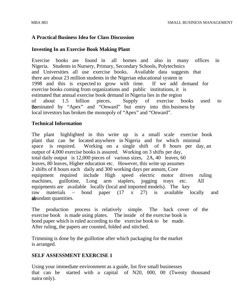#### **A Practical Business Idea for Class Discussion**

#### **Investing In an Exercise Book Making Plant**

Exercise books are found in all homes and also in many offices in Nigeria. Students in Nursery, Primary, Secondary Schools, Polytechnics and Universities all use exercise books. Available data suggests that there are about 23 million students in the Nigerian educational system in 1998 and this is expected to grow with time. If we add demand for exercise books coming from organizations and public institutions, it is estimated that annual exercise book demand in Nigeria lies in the region of about 1.5 billion pieces. Supply of exercise books used to be dominated by "Apex" and "Onward" but entry into this business by local investors has broken the monopoly of "Apex" and "Onward".

#### **Technical Information**

The plant highlighted in this write up is a small scale exercise book plant that can be located anywhere in Nigeria and for which minimal space is required. Working on a single shift of 8 hours per day, an output of 4,000 exercise books is assured. Working on 3 shifts per day, total daily output is 12,000 pieces of various sizes, 2A, 40 leaves, 60 leaves, 80 leaves, Higher education etc. However, this write up assumes 2 shifts of 8 hours each daily and 300 working days per annum, Core equipment required include High speed electric motor driven ruling machines, guillotine, Long arm staplers, jogging trays etc. All equipments are available locally (local and imported models). The key raw materials – bond paper (17 x 27) is available locally and in bundant quantities.

The production process is relatively simple. The back cover of the exercise book is made using plates. The inside of the exercise book is bond paper which is ruled according to the exercise book to be made. After ruling, the papers are counted, folded and stitched.

Trimming is done by the guillotine after which packaging for the market is arranged.

#### **SELF ASSESSMENT EXERCISE 1**

Using your immediate environment as a guide, list five small businesses that can be started with a capital of N20, 000, 00 (Twenty thousand naira only).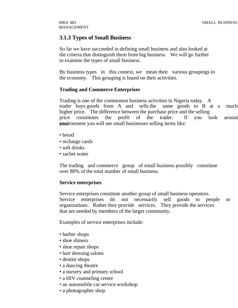# **3.1.3 Types of Small Business**

So far we have succeeded in defining small business and also looked at the criteria that distinguish them from big business. We will go further to examine the types of small business.

By business types in this context, we mean their various groupings in the economy. This grouping is based on their activities.

#### **Trading and Commerce Enterprises**

Trading is one of the commonest business activities in Nigeria today. A trader buys goods from A and sells the same goods to B at a much higher price. The difference between the purchase price and the selling price constitutes the profit of the trader. If you look around your environment you will see small businesses selling items like:

- bread
- recharge cards
- soft drinks
- sachet water

The trading and commerce group of small business possibly constitute over 80% of the total number of small business.

#### **Service enterprises**

Service enterprises constitute another group of small business operators. Service enterprises do not necessarily sell goods to people or organizations. Rather they provide services. They provide the services that are needed by members of the larger community.

Examples of service enterprises include:

- barber shops
- shoe shiners
- shoe repair shops
- hair dressing salons
- dentist shops
- a dancing theatre
- a nursery and primary school
- a HIV counseling centre
- an automobile car service workshop
- a photographer shop.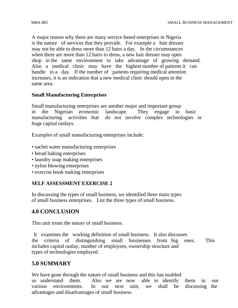A major reason why there are many service based enterprises in Nigeria is the nature of services that they provide. For example a hair dresser may not be able to dress more than 12 hairs a day. In the circumstances when there are more than 12 hairs to dress, a new hair dresser may open shop in the same environment to take advantage of growing demand. Also a medical clinic may have the highest number of patients it can handle in a day. If the number of patients requiring medical attention increases, it is an indication that a new medical clinic should open in the same area.

#### **Small Manufacturing Enterprises**

Small manufacturing enterprises are another major and important group in the Nigerian economic landscape. They engage in basic manufacturing activities that do not involve complex technologies or huge capital outlays.

Examples of small manufacturing enterprises include:

- sachet water manufacturing enterprises
- bread baking enterprises
- laundry soap making enterprises
- nylon blowing enterprises
- exercise book making enterprises

#### **SELF ASSESSMENT EXERCISE 2**

In discussing the types of small business, we identified three main types of small business enterprises. List the three types of small business.

#### **4.0 CONCLUSION**

This unit treats the nature of small business.

 It examines the working definition of small business. It also discusses the criteria of distinguishing small businesses from big ones. This includes capital outlay, number of employees, ownership structure and types of technologies employed.

#### **5.0 SUMMARY**

We have gone through the nature of small business and this has enabled us understand them. Also we are now able to identify them in our various environments. In our next unit, we shall be discussing the advantages and disadvantages of small business.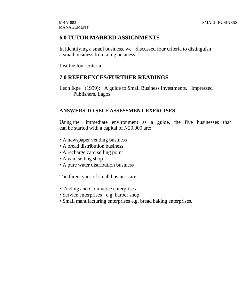# **6.0 TUTOR MARKED ASSIGNMENTS**

In identifying a small business, we discussed four criteria to distinguish a small business from a big business.

List the four criteria.

# **7.0 REFERENCES/FURTHER READINGS**

Leon Ikpe (1999): A guide to Small Business Investments. Impressed Publishers, Lagos.

#### **ANSWERS TO SELF ASSESSMENT EXERCISES**

Using the immediate environment as a guide, the five businesses that can be started with a capital of N20,000 are:

- A newspaper vending business
- A bread distribution business
- A recharge card selling point
- A yam selling shop
- A pure water distribution business

The three types of small business are:

- Trading and Commerce enterprises
- Service enterprises e.g. barber shop
- Small manufacturing enterprises e.g. bread baking enterprises.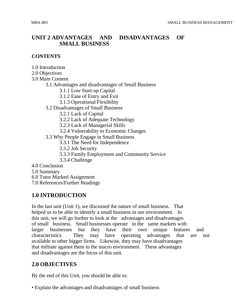# **UNIT 2 ADVANTAGES AND DISADVANTAGES OF SMALL BUSINESS**

#### **CONTENTS**

- 1.0 Introduction
- 2.0 Objectives
- 3.0 Main Content
	- 3.1 Advantages and disadvantages of Small Business
		- 3.1.1 Low Start-up Capital
		- 3.1.2 Ease of Entry and Exit
		- 3.1.3 Operational Flexibility
	- 3.2 Disadvantages of Small Business
		- 3.2.1 Lack of Capital
		- 3.2.2 Lack of Adequate Technology
		- 3.2.3 Lack of Managerial Skills
		- 3.2.4 Vulnerability to Economic Changes
	- 3.3 Why People Engage in Small Business
		- 3.3.1 The Need for Independence
		- 3.3.2 Job Security
		- 3.3.3 Family Employment and Community Service
		- 3.3.4 Challenge
- 4.0 Conclusion
- 5.0 Summary
- 6.0 Tutor Marked Assignment
- 7.0 References/Further Readings

# **1.0 INTRODUCTION**

In the last unit (Unit 1), we discussed the nature of small business. That helped us to be able to identify a small business in our environment. In this unit, we will go further to look at the advantages and disadvantages of small business. Small businesses operate in the same markets with larger businesses but they have their own unique features and characteristics. They may have operating advantages that are not available to other bigger firms. Likewise, they may have disadvantages that militate against them in the macro environment. These advantages and disadvantages are the focus of this unit.

# **2.0 OBJECTIVES**

By the end of this Unit, you should be able to:

• Explain the advantages and disadvantages of small business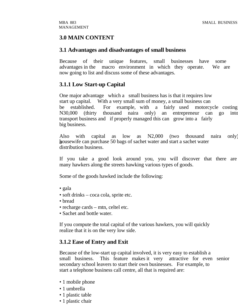# **3.0 MAIN CONTENT**

#### **3.1 Advantages and disadvantages of small business**

Because of their unique features, small businesses have some advantages in the macro environment in which they operate. We are now going to list and discuss some of these advantages.

#### **3.1.1 Low Start-up Capital**

One major advantage which a small business has is that it requires low start up capital. With a very small sum of money, a small business can be established. For example, with a fairly used motorcycle costing N30,000 (thirty thousand naira only) an entrepreneur can go into transport business and if properly managed this can grow into a fairly big business.

Also with capital as low as N2,000 (two thousand naira only) a housewife can purchase 50 bags of sachet water and start a sachet water distribution business.

If you take a good look around you, you will discover that there are many hawkers along the streets hawking various types of goods.

Some of the goods hawked include the following:

- gala
- soft drinks coca cola, sprite etc.
- bread
- recharge cards mtn, celtel etc.
- Sachet and bottle water.

If you compute the total capital of the various hawkers, you will quickly realize that it is on the very low side.

# **3.1.2 Ease of Entry and Exit**

Because of the low-start up capital involved, it is very easy to establish a small business. This feature makes it very attractive for even senior secondary school leavers to start their own businesses. For example, to start a telephone business call centre, all that is required are:

- 1 mobile phone
- 1 umbrella
- 1 plastic table
- 1 plastic chair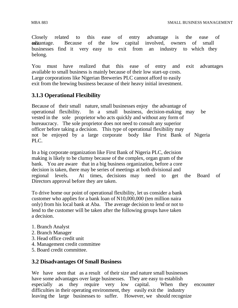Closely related to this ease of entry advantage is the ease of **ex**it antage. Because of the low capital involved, owners of small businesses find it very easy to exit from an industry to which they belong.

You must have realized that this ease of entry and exit advantages available to small business is mainly because of their low start-up costs. Large corporations like Nigerian Breweries PLC cannot afford to easily exit from the brewing business because of their heavy initial investment.

# **3.1.3 Operational Flexibility**

Because of their small nature, small businesses enjoy the advantage of operational flexibility. In a small business, decision-making may be vested in the sole proprietor who acts quickly and without any form of bureaucracy. The sole proprietor does not need to consult any superior officer before taking a decision. This type of operational flexibility may not be enjoyed by a large corporate body like First Bank of Nigeria PLC.

In a big corporate organization like First Bank of Nigeria PLC, decision making is likely to be clumsy because of the complex, organ gram of the bank. You are aware that in a big business organization, before a core decision is taken, there may be series of meetings at both divisional and regional levels. At times, decisions may need to get the Board of Directors approval before they are taken.

To drive home our point of operational flexibility, let us consider a bank customer who applies for a bank loan of N10,000,000 (ten million naira only) from his local bank at Aba. The average decision to lend or not to lend to the customer will be taken after the following groups have taken a decision.

- 1. Branch Analyst
- 2. Branch Manager
- 3. Head office credit unit
- 4. Management credit committee
- 5. Board credit committee.

#### **3.2 Disadvantages Of Small Business**

We have seen that as a result of their size and nature small businesses have some advantages over large businesses. They are easy to establish especially as they require very low capital. When they encounter difficulties in their operating environment, they easily exit the industry leaving the large businesses to suffer. However, we should recognize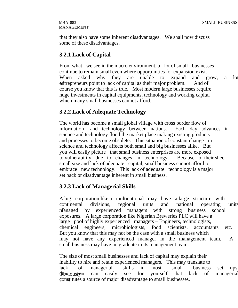MANAGEMENT

that they also have some inherent disadvantages. We shall now discuss some of these disadvantages.

# **3.2.1 Lack of Capital**

From what we see in the macro environment, a lot of small businesses continue to remain small even where opportunities for expansion exist. When asked why they are unable to expand and grow, a lot **of** trepreneurs point to lack of capital as their major problem. And of course you know that this is true. Most modern large businesses require huge investments in capital equipments, technology and working capital which many small businesses cannot afford.

# **3.2.2 Lack of Adequate Technology**

The world has become a small global village with cross border flow of information and technology between nations. Each day advances in science and technology flood the market place making existing products and processes to become obsolete. This situation of constant change in science and technology affects both small and big businesses alike. But you will easily picture that small business enterprises are more exposed to vulnerability due to changes in technology. Because of their sheer small size and lack of adequate capital, small business cannot afford to embrace new technology. This lack of adequate technology is a major set back or disadvantage inherent in small business.

# **3.2.3 Lack of Managerial Skills**

A big corporation like a multinational may have a large structure with continental divisions, regional units and national operating units **n**ihanged by experienced managers with strong business school exposures. A large corporation like Nigerian Breweries PLC will have a large pool of highly experienced managers – Engineers, technologists, chemical engineers, microbiologists, food scientists, accountants etc. But you know that this may not be the case with a small business which may not have any experienced manager in the management team. A small business may have no graduate in its management team.

The size of most small businesses and lack of capital may explain their inability to hire and retain experienced managers. This may translate to lack of managerial skills in most small business set ups. **Obviously can** easily see for yourself that lack of managerial skill stitutes a source of major disadvantage to small businesses.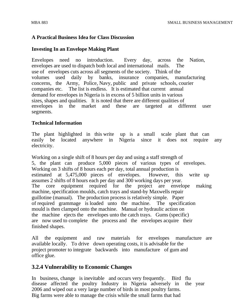#### **A Practical Business Idea for Class Discussion**

#### **Investing In an Envelope Making Plant**

Envelopes need no introduction. Every day, across the Nation, envelopes are used to dispatch both local and international mails. The use of envelopes cuts across all segments of the society. Think of the volumes used daily by banks, insurance companies, manufacturing concerns, the Army, Police, Navy, public and private schools, courier companies etc. The list is endless. It is estimated that current annual demand for envelopes in Nigeria is in excess of 5 billion units in various sizes, shapes and qualities. It is noted that there are different qualities of envelopes in the market and these are targeted at different user segments.

#### **Technical Information**

The plant highlighted in this write up is a small scale plant that can easily be located anywhere in Nigeria since it does not require any electricity.

Working on a single shift of 8 hours per day and using a staff strength of 5, the plant can produce 5,000 pieces of various types of envelopes. Working on 3 shifts of 8 hours each per day, total annual production is estimated at 5,475,000 pieces of envelopes. However, this write up assumes 2 shifts of 8 hours each per day and 300 working days per year. The core equipment required for the project are envelope making machine, specification moulds, catch trays and stand-by Maxwells repair guillotine (manual). The production process is relatively simple. Paper of required grammage is loaded unto the machine. The specification mould is then clamped onto the machine. Manual or hydraulic action on the machine ejects the envelopes unto the catch trays. Gums (specific) are now used to complete the process and the envelopes acquire their finished shapes.

All the equipment and raw materials for envelopes manufacture are available locally. To drive down operating costs, it is advisable for the project promoter to integrate backwards into manufacture of gum and office glue.

#### **3.2.4 Vulnerability to Economic Changes**

In business, change is inevitable and occurs very frequently. Bird flu disease affected the poultry Industry in Nigeria adversely in the year 2006 and wiped out a very large number of birds in most poultry farms. Big farms were able to manage the crisis while the small farms that had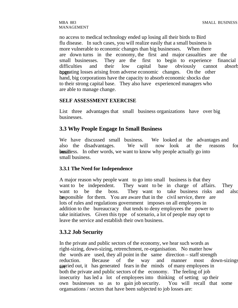MANAGEMENT

no access to medical technology ended up losing all their birds to Bird flu disease. In such cases, you will realize easily that a small business is more vulnerable to economic changes than big businesses. When there are down turns in the economy, the first and major casualties are the small businesses. They are the first to begin to experience financial difficulties and their low capital base obviously cannot absorb huge operating losses arising from adverse economic changes. On the other hand, big corporations have the capacity to absorb economic shocks due to their strong capital base. They also have experienced managers who are able to manage change.

#### **SELF ASSESSMENT EXERCISE**

List three advantages that small business organizations have over big businesses.

#### **3.3 Why People Engage In Small Business**

We have discussed small business. We looked at the advantages and also the disadvantages. We will now look at the reasons for **s**tar business. In other words, we want to know why people actually go into small business.

#### **3.3.1 The Need for Independence**

A major reason why people want to go into small business is that they want to be independent. They want to be in charge of affairs. They want to be the boss. They want to take business risks and also be ponsible for them. You are aware that in the civil service, there are lots of rules and regulations government imposes on all employees in addition to the bureaucracy that tends to deny employees the power to take initiatives. Given this type of scenario, a lot of people may opt to leave the service and establish their own business.

#### **3.3.2 Job Security**

In the private and public sectors of the economy, we hear such words as right-sizing, down-sizing, retrenchment, re-organisation. No matter how the words are used, they all point in the same direction – staff strength reduction. Because of the way and manner most down-sizings **againg** gaster carried fearth in the minds of many employees in both the private and public sectors of the economy. The feeling of job insecurity has led a lot of employees into thinking of setting up their own businesses so as to gain job security. You will recall that some organsations / sectors that have been subjected to job losses are: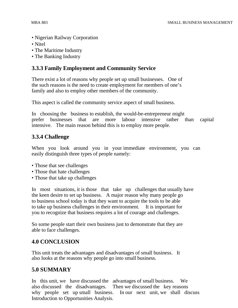- Nigerian Railway Corporation
- Nitel
- The Maritime Industry
- The Banking Industry

# **3.3.3 Family Employment and Community Service**

There exist a lot of reasons why people set up small businesses. One of the such reasons is the need to create employment for members of one's family and also to employ other members of the community.

This aspect is called the community service aspect of small business.

In choosing the business to establish, the would-be-entrepreneur might prefer businesses that are more labour intensive rather than capital intensive. The main reason behind this is to employ more people.

# **3.3.4 Challenge**

When you look around you in your immediate environment, you can easily distinguish three types of people namely:

- Those that see challenges
- Those that hate challenges
- Those that take up challenges

In most situations, it is those that take up challenges that usually have the keen desire to set up business. A major reason why many people go to business school today is that they want to acquire the tools to be able to take up business challenges in their environment. It is important for you to recognize that business requires a lot of courage and challenges.

So some people start their own business just to demonstrate that they are able to face challenges.

# **4.0 CONCLUSION**

This unit treats the advantages and disadvantages of small business. It also looks at the reasons why people go into small business.

# **5.0 SUMMARY**

In this unit, we have discussed the advantages of small business. We also discussed the disadvantages. Then we discussed the key reasons why people set up small business. In our next unit, we shall discuss Introduction to Opportunities Analysis.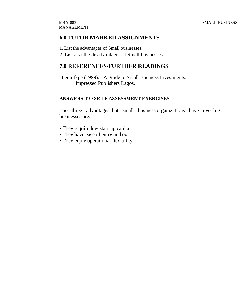# **6.0 TUTOR MARKED ASSIGNMENTS**

- 1. List the advantages of Small businesses.
- 2. List also the disadvantages of Small businesses.

#### **7.0 REFERENCES/FURTHER READINGS**

 Leon Ikpe (1999): A guide to Small Business Investments. Impressed Publishers Lagos.

#### **ANSWERS T O SE LF ASSESSMENT EXERCISES**

The three advantages that small business organizations have over big businesses are:

- They require low start-up capital
- They have ease of entry and exit
- They enjoy operational flexibility.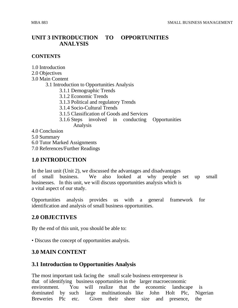# **UNIT 3 INTRODUCTION TO OPPORTUNITIES ANALYSIS**

#### **CONTENTS**

- 1.0 Introduction
- 2.0 Objectives
- 3.0 Main Content
	- 3.1 Introduction to Opportunities Analysis
		- 3.1.1 Demographic Trends
		- 3.1.2 Economic Trends
		- 3.1.3 Political and regulatory Trends
		- 3.1.4 Socio-Cultural Trends
		- 3.1.5 Classification of Goods and Services
		- 3.1.6 Steps involved in conducting Opportunities Analysis
- 4.0 Conclusion
- 5.0 Summary
- 6.0 Tutor Marked Assignments
- 7.0 References/Further Readings

# **1.0 INTRODUCTION**

In the last unit (Unit 2), we discussed the advantages and disadvantages of small business. We also looked at why people set up small businesses. In this unit, we will discuss opportunities analysis which is a vital aspect of our study.

Opportunities analysis provides us with a general framework for identification and analysis of small business opportunities.

# **2.0 OBJECTIVES**

By the end of this unit, you should be able to:

• Discuss the concept of opportunities analysis.

# **3.0 MAIN CONTENT**

# **3.1 Introduction to Opportunities Analysis**

The most important task facing the small scale business entrepreneur is that of identifying business opportunities in the larger macroeconomic environment. You will realize that the economic landscape is dominated by such large multinationals like John Holt Plc, Nigerian Breweries Plc etc. Given their sheer size and presence, the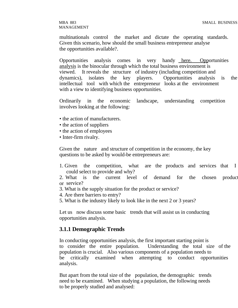MANAGEMENT

multinationals control the market and dictate the operating standards. Given this scenario, how should the small business entrepreneur analyse the opportunities available?.

Opportunities analysis comes in very handy here. Opportunities analysis is the binocular through which the total business environment is viewed. It reveals the structure of industry (including competition and dynamics), isolates the key players. Opportunities analysis is the intellectual tool with which the entrepreneur looks at the environment with a view to identifying business opportunities.

Ordinarily in the economic landscape, understanding competition involves looking at the following:

- the action of manufacturers.
- the action of suppliers
- the action of employees
- Inter-firm rivalry.

Given the nature and structure of competition in the economy, the key questions to be asked by would-be entrepreneurs are:

- 1. Given the competition, what are the products and services that I could select to provide and why?
- 2. What is the current level of demand for the chosen product or service?
- 3. What is the supply situation for the product or service?
- 4. Are there barriers to entry?
- 5. What is the industry likely to look like in the next 2 or 3 years?

Let us now discuss some basic trends that will assist us in conducting opportunities analysis.

# **3.1.1 Demographic Trends**

In conducting opportunities analysis, the first important starting point is to consider the entire population. Understanding the total size of the population is crucial. Also various components of a population needs to be critically examined when attempting to conduct opportunities analysis.

But apart from the total size of the population, the demographic trends need to be examined. When studying a population, the following needs to be properly studied and analysed: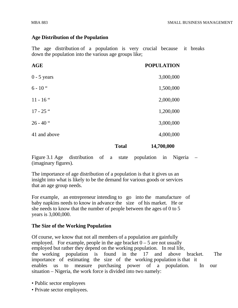#### **Age Distribution of the Population**

The age distribution of a population is very crucial because it breaks down the population into the various age groups like;

| AGE           |              | <b>POPULATION</b> |
|---------------|--------------|-------------------|
| $0 - 5$ years |              | 3,000,000         |
| $6 - 10$ "    |              | 1,500,000         |
| $11 - 16$ "   |              | 2,000,000         |
| $17 - 25$ "   |              | 1,200,000         |
| $26 - 40$ "   |              | 3,000,000         |
| 41 and above  |              | 4,000,000         |
|               | <b>Total</b> | 14,700,000        |

Figure 3.1 Age distribution of a state population in Nigeria – (imaginary figures).

The importance of age distribution of a population is that it gives us an insight into what is likely to be the demand for various goods or services that an age group needs.

For example, an entrepreneur intending to go into the manufacture of baby napkins needs to know in advance the size of his market. He or she needs to know that the number of people between the ages of 0 to 5 years is 3,000,000.

#### **The Size of the Working Population**

Of course, we know that not all members of a population are gainfully employed. For example, people in the age bracket  $0 - 5$  are not usually employed but rather they depend on the working population. In real life, the working population is found in the 17 and above bracket. The importance of estimating the size of the working population is that it enables us to measure purchasing power of a population. In our situation – Nigeria, the work force is divided into two namely:

- Public sector employees
- Private sector employees.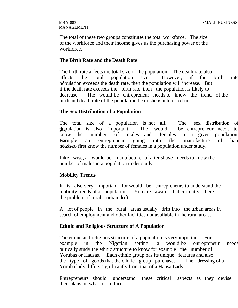MANAGEMENT

The total of these two groups constitutes the total workforce. The size of the workforce and their income gives us the purchasing power of the workforce.

#### **The Birth Rate and the Death Rate**

The birth rate affects the total size of the population. The death rate also affects the total population size. However, if the birth rate of a population exceeds the death rate, then the population will increase. But if the death rate exceeds the birth rate, then the population is likely to decrease. The would-be entrepreneur needs to know the trend of the birth and death rate of the population he or she is interested in.

#### **The Sex Distribution of a Population**

The total size of a population is not all. The sex distribution of the population is also important. The would – be entrepreneur needs to know the number of males and females in a given population. **Example** an entrepreneur going into the manufacture of hair relaxe to first know the number of females in a population under study.

Like wise, a would-be manufacturer of after shave needs to know the number of males in a population under study.

#### **Mobility Trends**

It is also very important for would be entrepreneurs to understand the mobility trends of a population. You are aware that currently there is the problem of rural – urban drift.

A lot of people in the rural areas usually drift into the urban areas in search of employment and other facilities not available in the rural areas.

#### **Ethnic and Religious Structure of A Population**

The ethnic and religious structure of a population is very important. For example in the Nigerian setting, a would-be entrepreneur needs **to** to call the ethnic structure to know for example the number of Yorubas or Hausas. Each ethnic group has its unique features and also the type of goods that the ethnic group purchases. The dressing of a Yoruba lady differs significantly from that of a Hausa Lady.

Entrepreneurs should understand these critical aspects as they devise their plans on what to produce.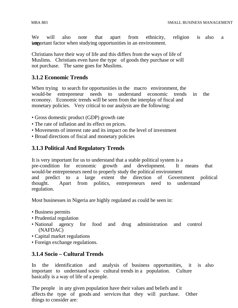We will also note that apart from ethnicity, religion is also a incorportant factor when studying opportunities in an environment.

Christians have their way of life and this differs from the ways of life of Muslims. Christians even have the type of goods they purchase or will not purchase. The same goes for Muslims.

# **3.1.2 Economic Trends**

When trying to search for opportunities in the macro environment, the would-be entrepreneur needs to understand economic trends in the economy. Economic trends will be seen from the interplay of fiscal and monetary policies. Very critical to our analysis are the following:

- Gross domestic product (GDP) growth rate
- The rate of inflation and its effect on prices.
- Movements of interest rate and its impact on the level of investment
- Broad directions of fiscal and monetary policies

# **3.1.3 Political And Regulatory Trends**

It is very important for us to understand that a stable political system is a pre-condition for economic growth and development. It means that would-be entrepreneurs need to properly study the political environment and predict to a large extent the direction of Government political thought. Apart from politics, entrepreneurs need to understand regulation.

Most businesses in Nigeria are highly regulated as could be seen in:

- Business permits
- Prudential regulation
- National agency for food and drug administration and control (NAFDAC)
- Capital market regulations
- Foreign exchange regulations.

# **3.1.4 Socio – Cultural Trends**

In the identification and analysis of business opportunities, it is also important to understand socio cultural trends in a population. Culture basically is a way of life of a people.

The people in any given population have their values and beliefs and it affects the type of goods and services that they will purchase. Other things to consider are: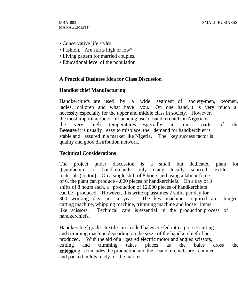- Conservative life styles.
- Fashion. Are skirts high or low?
- Living pattern for married couples.
- Educational level of the population

#### **A Practical Business Idea for Class Discussion**

#### **Handkerchief Manufacturing**

Handkerchiefs are used by a wide segment of society-men, women, ladies, children and what have you. On one hand, it is very much a necessity especially for the upper and middle class in society. However, the most important factor influencing use of handkerchiefs in Nigeria is the very high temperatures especially in most parts of the **Countries** it is usually easy to misplace, the demand for handkerchief is stable and assured in a market like Nigeria. The key success factor is quality and good distribution network.

#### **Technical Considerations**

The project under discussion is a small but dedicated plant for the manufacture of handkerchiefs only using locally sourced textile materials (cotton). On a single shift of 8 hours and using a labour force of 6, the plant can produce 4,000 pieces of handkerchiefs. On a day of 3 shifts of 8 hours each, a production of 12,000 pieces of handkerchiefs can be produced. However, this write up assumes 2 shifts per day for 300 working days in a year. The key machines required are hinged cutting machine, whipping machine, trimming machine and loose items like scissors. Technical care is essential in the production process of handkerchiefs.

Handkerchief grade textile in rolled bales are fed into a pre-set cutting and trimming machine depending on the size of the handkerchief of be produced. With the aid of a geared electric motor and angled scissors, cutting and trimming takes places as the bales cross the knives. Whipping concludes the production and the handkerchiefs are counted and packed in lots ready for the market.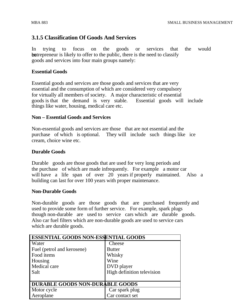# **3.1.5 Classification Of Goods And Services**

In trying to focus on the goods or services that the would **b**etrepreneur is likely to offer to the public, there is the need to classify goods and services into four main groups namely:

#### **Essential Goods**

Essential goods and services are those goods and services that are very essential and the consumption of which are considered very compulsory for virtually all members of society. A major characteristic of essential goods is that the demand is very stable. Essential goods will include things like water, housing, medical care etc.

#### **Non – Essential Goods and Services**

Non-essential goods and services are those that are not essential and the purchase of which is optional. They will include such things like ice cream, choice wine etc.

#### **Durable Goods**

Durable goods are those goods that are used for very long periods and the purchase of which are made infrequently. For example a motor car will have a life span of over 20 years if properly maintained. Also a building can last for over 100 years with proper maintenance.

#### **Non-Durable Goods**

Non-durable goods are those goods that are purchased frequently and used to provide some form of further service. For example, spark plugs though non-durable are used to service cars which are durable goods. Also car fuel filters which are non-durable goods are used to service cars which are durable goods.

| <b>ESSENTIAL GOODS NON-ESSENTIAL GOODS</b> |                            |  |
|--------------------------------------------|----------------------------|--|
| <b>Water</b>                               | Cheese                     |  |
| Fuel (petrol and kerosene)                 | <b>Butter</b>              |  |
| Food items                                 | Whisky                     |  |
| Housing                                    | Wine                       |  |
| Medical care                               | DVD player                 |  |
| Salt                                       | High definition television |  |
|                                            |                            |  |
| <b>DURABLE GOODS NON-DURABLE GOODS</b>     |                            |  |
| Motor cycle                                | Car spark plug             |  |
| Aeroplane                                  | Car contact set            |  |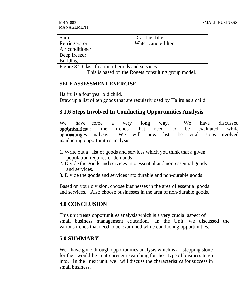MANAGEMENT

| Ship            | Car fuel filter     |
|-----------------|---------------------|
| Refridgerator   | Water candle filter |
| Air conditioner |                     |
| Deep freezer    |                     |
| Building        |                     |

Figure 3.2 Classification of goods and services.

This is based on the Rogets consulting group model.

#### **SELF ASSESSMENT EXERCISE**

Haliru is a four year old child. Draw up a list of ten goods that are regularly used by Haliru as a child.

# **3.1.6 Steps Involved In Conducting Opportunities Analysis**

We have come a very long way. We have discussed **appropriment analysis analysis and the trends** that need to be evaluated while **conductinities** analysis. We will now list the vital steps involved **i**n <u>p</u>onducting opportunities analysis.

- 1. Write out a list of goods and services which you think that a given population requires or demands.
- 2. Divide the goods and services into essential and non-essential goods and services.
- 3. Divide the goods and services into durable and non-durable goods.

Based on your division, choose businesses in the area of essential goods and services. Also choose businesses in the area of non-durable goods.

# **4.0 CONCLUSION**

This unit treats opportunities analysis which is a very crucial aspect of small business management education. In the Unit, we discussed the various trends that need to be examined while conducting opportunities.

# **5.0 SUMMARY**

We have gone through opportunities analysis which is a stepping stone for the would-be entrepreneur searching for the type of business to go into. In the next unit, we will discuss the characteristics for success in small business.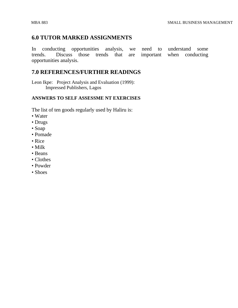# **6.0 TUTOR MARKED ASSIGNMENTS**

In conducting opportunities analysis, we need to understand some trends. Discuss those trends that are important when conducting opportunities analysis.

# **7.0 REFERENCES/FURTHER READINGS**

Leon Ikpe: Project Analysis and Evaluation (1999): Impressed Publishers, Lagos

#### **ANSWERS TO SELF ASSESSME NT EXERCISES**

The list of ten goods regularly used by Haliru is:

- Water
- Drugs
- Soap
- Pomade
- Rice
- Milk
- Beans
- Clothes
- Powder
- Shoes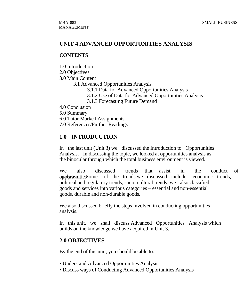# **UNIT 4 ADVANCED OPPORTUNITIES ANALYSIS**

#### **CONTENTS**

- 1.0 Introduction
- 2.0 Objectives
- 3.0 Main Content
	- 3.1 Advanced Opportunities Analysis
		- 3.1.1 Data for Advanced Opportunities Analysis
		- 3.1.2 Use of Data for Advanced Opportunities Analysis
		- 3.1.3 Forecasting Future Demand
- 4.0 Conclusion
- 5.0 Summary
- 6.0 Tutor Marked Assignments
- 7.0 References/Further Readings

# **1.0 INTRODUCTION**

In the last unit (Unit 3) we discussed the Introduction to Opportunities Analysis. In discussing the topic, we looked at opportunities analysis as the binocular through which the total business environment is viewed.

We also discussed trends that assist in the conduct of **opportunities and some of the trends we discussed include economic trends,** political and regulatory trends, socio-cultural trends; we also classified goods and services into various categories – essential and non-essential goods, durable and non-durable goods.

We also discussed briefly the steps involved in conducting opportunities analysis.

In this unit, we shall discuss Advanced Opportunities Analysis which builds on the knowledge we have acquired in Unit 3.

# **2.0 OBJECTIVES**

By the end of this unit, you should be able to:

- Understand Advanced Opportunities Analysis
- Discuss ways of Conducting Advanced Opportunities Analysis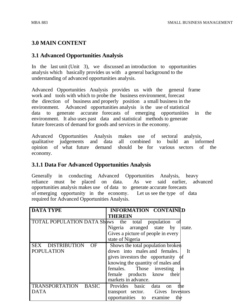# **3.0 MAIN CONTENT**

### **3.1 Advanced Opportunities Analysis**

In the last unit (Unit 3), we discussed an introduction to opportunities analysis which basically provides us with a general background to the understanding of advanced opportunities analysis.

Advanced Opportunities Analysis provides us with the general frame work and tools with which to probe the business environment, forecast the direction of business and properly position a small business in the environment. Advanced opportunities analysis is the use of statistical data to generate accurate forecasts of emerging opportunities in the environment. It also uses past data and statistical methods to generate future forecasts of demand for goods and services in the economy.

Advanced Opportunities Analysis makes use of sectoral analysis, qualitative judgements and data all combined to build an informed opinion of what future demand should be for various sectors of the economy.

# **3.1.1 Data For Advanced Opportunities Analysis**

Generally in conducting Advanced Opportunities Analysis, heavy reliance must be placed on data. As we said earlier, advanced opportunities analysis makes use of data to generate accurate forecasts of emerging opportunity in the economy. Let us see the type of data required for Advanced Opportunities Analysis.

| <b>DATA TYPE</b>                                        | <b>INFORMATION CONTAINED</b>             |
|---------------------------------------------------------|------------------------------------------|
|                                                         | <b>THEREIN</b>                           |
| <b>TOTAL POPULATION DATA Shows</b> the total population | - 01                                     |
|                                                         | Nigeria arranged state by<br>state.      |
|                                                         | Gives a picture of people in every       |
|                                                         | state of Nigeria                         |
| SEX DISTRIBUTION<br>OF.                                 | Shows the total population broken        |
| <b>POPULATION</b>                                       | down into males and females.<br>It       |
|                                                         | gives investors the opportunity $\phi$ f |
|                                                         | knowing the quantity of males and        |
|                                                         | females. Those investing<br>$\ln$        |
|                                                         | female products know<br>their            |
|                                                         | markets in advance.                      |
| <b>TRANSPORTATION</b><br><b>BASIC</b>                   | Provides basic<br>data<br>the<br>on      |
| <b>DATA</b>                                             | transport sector. Gives Investors        |
|                                                         | opportunities to examine<br>the          |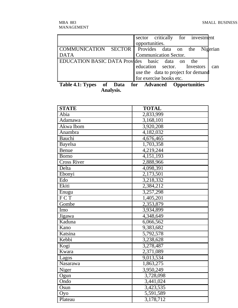|                                                         | sector critically for investment                   |     |
|---------------------------------------------------------|----------------------------------------------------|-----|
|                                                         | opportunities.                                     |     |
|                                                         | COMMUNICATION SECTOR Provides data on the Nigerian |     |
| <b>DATA</b>                                             | <b>Communication Sector.</b>                       |     |
| <b>EDUCATION BASIC DATA Provedles</b> basic data on the |                                                    |     |
|                                                         | education sector. Investors                        | can |
|                                                         | use the data to project for demand                 |     |
|                                                         | for exercise books etc.                            |     |
| Table 4.1: Types of Data for Advanced Opportunities     |                                                    |     |

**Analysis.**

| <b>STATE</b>       | <b>TOTAL</b>           |
|--------------------|------------------------|
| Abia               | 2,833,999              |
| <b>Adamawa</b>     | 3,168,101              |
| Akwa Ibom          | 3,920,208              |
| Anambra            | 4,182,032              |
| Bauchi             | 4,676,465              |
| Bayelsa            | 1,703,358              |
| Benue              | 4,219,244              |
| <b>Borno</b>       | 4,151,193              |
| <b>Cross River</b> | 2,888,966              |
| Delta              | $\overline{4,}098,391$ |
| Ebonyi             | 2,173,501              |
| Edo                | 3,218,332              |
| Ekiti              | 2,384,212              |
| Enugu              | 3,257,298              |
| $\overline{FCT}$   | 1,405,201              |
| Gombe              | 2,353,879              |
| <b>I</b> mo        | 3,934,899              |
| Jigawa             | 4,348,649              |
| Kaduna             | 6,066,562              |
| Kano               | 9,383,682              |
| Katsina            | 5,792,578              |
| Kebbi              | 3,238,628              |
| Kogi               | 3,278,487              |
| Kwara              | 2,371,089              |
| Lagos              | 9,013,534              |
| Nasarawa           | 1,863,275              |
| Niger              | 3,950,249              |
| Ogun               | 3,728,098              |
| Ondo               | 3,441,024              |
| Osun               | 3,423,535              |
| Oyo                | 5,591,589              |
| Plateau            | 3,178,712              |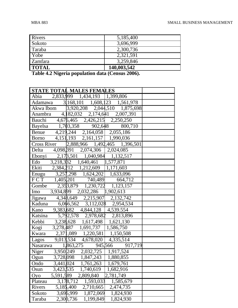| <b>Rivers</b>  | 5,185,400   |
|----------------|-------------|
| Sokoto         | 3,696,999   |
| Taraba         | 2,300,736   |
| Yobe           | 2,321,591   |
| <b>Zamfara</b> | 3,259,846   |
| <b>TOTAL</b>   | 140,003,542 |

**Table 4.2 Nigeria population data (Census 2006).**

|                                     | <u>  STATE TOTAL MALES FEMA</u> LES                                                                                       |  |
|-------------------------------------|---------------------------------------------------------------------------------------------------------------------------|--|
| Abia                                | 2,833,999 1,434,193 1,399,806                                                                                             |  |
|                                     | Adamawa 3,168,101 1,608,123 1,561,978                                                                                     |  |
|                                     | Akwa Ibom 3,920,208 2,044,510 1,875,698                                                                                   |  |
|                                     | Anambra 4, 182, 032 2, 174, 641 2, 007, 391                                                                               |  |
|                                     |                                                                                                                           |  |
|                                     | Bauchi 4,676,465 2,426,215 2,250,250<br>Bayelsa 1,703,358 902,648 800,7<br>Benue 4,219,244 2,164,058 2,055,186<br>800,710 |  |
|                                     |                                                                                                                           |  |
|                                     | Borno $4,151,193$ $2,161,157$ 1,990,036                                                                                   |  |
|                                     | Cross River 2,888,966 1,492,465 1,396,501                                                                                 |  |
|                                     | Delta 4,098,391 2,074,306 2,024,085                                                                                       |  |
|                                     | Ebonyi 2,178,501 1,040,984 1,132,517                                                                                      |  |
| Edo                                 | 3,218,382 1,640,461 1,577,871                                                                                             |  |
| Ekiti                               | 2,384, 212 1, 212, 609 1, 171, 603                                                                                        |  |
|                                     | Enugu 3,257,298 1,624,202 1,633,096<br>FCT 1,405,201 740,489 664,712                                                      |  |
|                                     |                                                                                                                           |  |
|                                     | Gombe 2,353,879 1,230,722 1,123,157                                                                                       |  |
| l Imo                               | 3,934,899 2,032,286 1,902,613                                                                                             |  |
| Jigawa                              | 4, 348, 649 2, 215, 907 2, 132, 742                                                                                       |  |
| Kaduna                              | $6,066,562$ $3,112,028$ $2,954,534$                                                                                       |  |
| Kano                                | 9,383,682 4,844,128 4,539.554                                                                                             |  |
| Katsina                             | 5,792,578 2,978,682 2,813,896                                                                                             |  |
|                                     | Kebbi 3,238,628 1,617,498 1,621,130                                                                                       |  |
| Kogi                                | 3,278,487 1,691,737 1,586,750                                                                                             |  |
| Kwara                               | 2,371,089 1,220,581 1,150,508                                                                                             |  |
| Lagos                               | 9,013,534 4,678,020 4,335,514                                                                                             |  |
| Nasarawa                            | 1,863,275 945,566 917,719                                                                                                 |  |
|                                     | Niger 3,950 249 2,032,725 1,917,524                                                                                       |  |
| Ogun                                | 3,728,098 1,847,243 1,880,855                                                                                             |  |
| 3,441,024<br>$\sqrt{\frac{1}{100}}$ | 1,761,263<br>1,679,761                                                                                                    |  |
| 3,423,535<br>Osun                   | 1,740,619<br>1,682,916                                                                                                    |  |
| 5,591,589<br>Oyo                    | 2,809,840<br>2,781,749                                                                                                    |  |
| Plateau                             | 3,178,712<br>1,593,033<br>1,585,679                                                                                       |  |
| Rivers                              | 5,185,400<br>2,710,665<br>2,474,735                                                                                       |  |
| Sokoto                              | 3,696,999<br>1,872,069<br>1,824,930                                                                                       |  |
| Taraba                              | 2,300,736<br>1,199,849<br>1,824,930                                                                                       |  |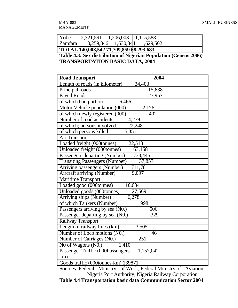MANAGEMENT

| l Yobe         | 2,321,591 | $1,206,003$   1,115,588                 |  |  |
|----------------|-----------|-----------------------------------------|--|--|
| <b>Zamfara</b> |           | 3,259,846 1,630,344 1,629,502           |  |  |
|                |           | TOTAL 140,008,542 71,709,859 68,293,683 |  |  |

**Table 4.3: Sex distribution of Nigerian Population (Census 2006) TRANSPORTATION BASIC DATA, 2004**

| <b>Road Transport</b>                 | 2004                 |
|---------------------------------------|----------------------|
| Length of roads (in kilometer)        | 34,403               |
| Principal roads                       | 15,688               |
| <b>Paved Roads</b>                    | 27,957               |
| of which bad portion<br>6,466         |                      |
| Motor Vehicle population (000)        | 2,176                |
| of which newly registered (000)       | 402                  |
| Number of road accidents<br>14,279    |                      |
| of which; persons involved            | $\overline{2}$ 2,248 |
| of which persons killed<br>5,351      |                      |
| <b>Air Transport</b>                  |                      |
| Loaded freight (000tonnes)            | 22,518               |
| Unloaded freight (000tonnes)          | 63,158               |
| Passengers departing (Number)         | 733,445              |
| <b>Transiting Passengers (Number)</b> | 37,857               |
| <b>Arriving passengers (Number)</b>   | 711, 781             |
| Aircraft arriving (Number)            | 9,097                |
| <b>Maritime Transport</b>             |                      |
| Loaded good (000tonnes)<br>10,634     |                      |
| Unloaded goods (000tonnes)            | 27,569               |
| Arriving ships (Number)<br>6,278      |                      |
| of which Tankers (Number)             | 998                  |
| Passengers arriving by sea (N0.)      | 506                  |
| Passenger departing by sea (N0.)      | 329                  |
| Railway Transport                     |                      |
| Length of railway lines (km)          | 3,505                |
| Number of Loco motions (N0.)          | 46                   |
| Number of Carriages (N0.)             | $\overline{251}$     |
| NO of Wagons (NO.)<br>1,410           |                      |
| Passenger Traffic (000Passengers -    | 1,157,042            |
| km)                                   |                      |
| Goods traffic (000tonnes-km) 139871   |                      |

Sources: Federal Ministry of Work, Federal Ministry of Aviation, Nigeria Port Authority, Nigeria Railway Corporation.

**Table 4.4 Transportation basic data Communication Sector 2004**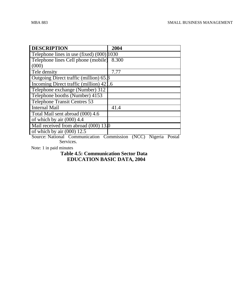| <b>DESCRIPTION</b>                                  | 2004                                                                            |
|-----------------------------------------------------|---------------------------------------------------------------------------------|
| Telephone lines in use (fixed) (000) [1030]         |                                                                                 |
| Telephone lines Cell phone (mobile)                 | 8.300                                                                           |
| (000)                                               |                                                                                 |
| Tele density                                        | 7.77                                                                            |
| Outgoing Direct traffic (million) $65.\overline{8}$ |                                                                                 |
| Incoming Direct traffic (million) 421.6             |                                                                                 |
| Telephone exchange (Number) 312                     |                                                                                 |
| Telephone booths (Number) 4153                      |                                                                                 |
| Telephone Transit Centres 53                        |                                                                                 |
| <b>Internal Mail</b>                                | 41.4                                                                            |
| Total Mail sent abroad (000) 4.6                    |                                                                                 |
| of which by air $(000)$ 4.4                         |                                                                                 |
| Mail received from abroad (000) 13.0                |                                                                                 |
| of which by air $(000)$ 12.5                        |                                                                                 |
| Cource: National Communication                      | $\overline{\text{MCT}}$ Nigeria<br>Commiseion<br>$\mathbf{D}_{\mathbf{O}}$ ctal |

Source: National Communication Commission (NCC) Nigeria Postal Services.

Note: 1 in paid minutes

**Table 4.5: Communication Sector Data EDUCATION BASIC DATA, 2004**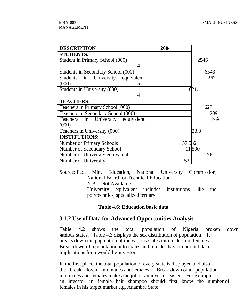| <b>DESCRIPTION</b>                   | 2004   |       |
|--------------------------------------|--------|-------|
| <b>STUDENTS:</b>                     |        |       |
| Student in Primary School (000)      |        | 2546  |
|                                      | 4      |       |
| Students in Secondary School (000)   |        | 6343  |
| Students in University<br>equivalent |        | 267.  |
| (000)                                | 5      |       |
| Students in University (000)         |        | 621.  |
|                                      | 4      |       |
| <b>TEACHERS:</b>                     |        |       |
| Teachers in Primary School (000)     |        | 627   |
| Teachers in Secondary School (000)   |        | 209   |
| Teachers in University equivalent    |        | NA    |
| (000)                                |        |       |
| Teachers in University (000)         |        | 23.8  |
| <b>INSTITUTIONS:</b>                 |        |       |
| Number of Primary Schools            | 57,582 |       |
| Number of Secondary School           |        | 11590 |
| Number of University equivalent      |        | 76    |
| Number of University                 | 52     |       |

Source: Fed. Min. Education, National University Commission, National Board for Technical Education  $N.A = Not Available$ 

University equivalent includes institutions like the polytechnics, specialized tertiary,

#### **Table 4.6: Education basic data.**

#### **3.1.2 Use of Data for Advanced Opportunities Analysis**

Table 4.2 shows the total population of Nigeria broken down inutious states. Table 4.3 displays the sex distribution of population. It breaks down the population of the various states into males and females. Break down of a population into males and females have important data implications for a would-be-investor.

In the first place, the total population of every state is displayed and also the break down into males and females. Break down of a population into males and females makes the job of an investor easier. For example an investor in female hair shampoo should first know the number of females in his target market e.g. Anambra State.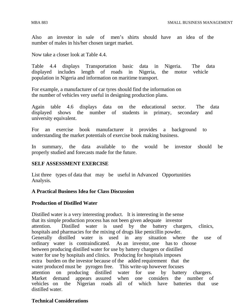Also an investor in sale of men's shirts should have an idea of the number of males in his/her chosen target market.

Now take a closer look at Table 4.4.

Table 4.4 displays Transportation basic data in Nigeria. The data displayed includes length of roads in Nigeria, the motor vehicle population in Nigeria and information on maritime transport.

For example, a manufacturer of car tyres should find the information on the number of vehicles very useful in designing production plans.

Again table 4.6 displays data on the educational sector. The data displayed shows the number of students in primary, secondary and university equivalent.

For an exercise book manufacturer it provides a background to understanding the market potentials of exercise book making business.

In summary, the data available to the would be investor should be properly studied and forecasts made for the future.

#### **SELF ASSESSMENT EXERCISE**

List three types of data that may be useful in Advanced Opportunities Analysis.

#### **A Practical Business Idea for Class Discussion**

#### **Production of Distilled Water**

Distilled water is a very interesting product. It is interesting in the sense that its simple production process has not been given adequate investor attention. Distilled water is used by the battery chargers, clinics, hospitals and pharmacies for the mixing of drugs like penicillin powder. Generally distilled water is used in any situation where the use of ordinary water is contraindicated. As an investor, one has to choose between producing distilled water for use by battery chargers or distilled water for use by hospitals and clinics. Producing for hospitals imposes extra burden on the investor because of the added requirement that the water produced must be pyrogen free. This write-up however focuses attention on producing distilled water for use by battery chargers. Market demand appears assured when one considers the number of vehicles on the Nigerian roads all of which have batteries that use distilled water.

#### **Technical Considerations**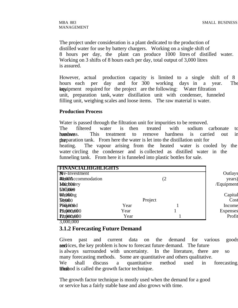The project under consideration is a plant dedicated to the production of distilled water for use by battery chargers. Working on a single shift of 8 hours per day, the plant can produce 1000 litres of distilled water. Working on 3 shifts of 8 hours each per day, total output of 3,000 litres is assured.

However, actual production capacity is limited to a single shift of 8 hours each per day and for 300 working days in a year. The key ipment required for the project are the following: Water filtration unit, preparation tank, water distillation unit with condenser, funneled filling unit, weighing scales and loose items. The raw material is water.

#### **Production Process**

Water is passed through the filtration unit for impurities to be removed. The filtered water is then treated with sodium carbonate to **remotoness.** This treatment to remove hardness is carried out in the paration tank. From here the water is let into the distillation unit for heating. The vapour arising from the heated water is cooled by the water circling the condenser and is collected as distilled water in the funneling tank. From here it is funneled into plastic bottles for sale.

| <b>FINANCIALHIGHLIGHTS</b> |      |         |                 |
|----------------------------|------|---------|-----------------|
| <b>N</b> e-Investment      |      |         | Outlays         |
| <b>Rende</b> Accommodation |      | (2      | years)          |
| <b>Macbblery</b>           |      |         | /Equipment      |
| 500,000                    |      |         |                 |
| <b>Working</b>             |      |         | Capital         |
| <b>30,000</b>              |      | Project | Cost            |
| P <sub>50</sub> jected     | Year |         | Income          |
| P5c0ected00                | Year |         | <b>Expenses</b> |
| P2qiected0                 | Year |         | Profit          |

3,000,000

#### **3.1.2 Forecasting Future Demand**

Given past and current data on the demand for various goods and services, the key problem is how to forecast future demand. The future is always surrounded with uncertainty. In the literature, there are so many forecasting methods. Some are quantitative and others qualitative. We shall discuss a quantitative method used in forecasting. **The the growth factor technique.** 

The growth factor technique is mostly used when the demand for a good or service has a fairly stable base and also grows with time.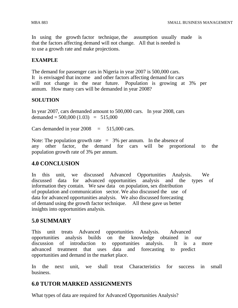In using the growth factor technique, the assumption usually made is that the factors affecting demand will not change. All that is needed is to use a growth rate and make projections.

#### **EXAMPLE**

The demand for passenger cars in Nigeria in year 2007 is 500,000 cars. It is envisaged that income and other factors affecting demand for cars will not change in the near future. Population is growing at 3% per annum. How many cars will be demanded in year 2008?

#### **SOLUTION**

In year 2007, cars demanded amount to 500,000 cars. In year 2008, cars demanded =  $500,000 (1.03) = 515,000$ 

Cars demanded in year  $2008 = 515,000$  cars.

Note: The population growth rate  $= 3\%$  per annum. In the absence of any other factor, the demand for cars will be proportional to the population growth rate of 3% per annum.

#### **4.0 CONCLUSION**

In this unit, we discussed Advanced Opportunities Analysis. We discussed data for advanced opportunities analysis and the types of information they contain. We saw data on population, sex distribution of population and communication sector. We also discussed the use of data for advanced opportunities analysis. We also discussed forecasting of demand using the growth factor technique. All these gave us better insights into opportunities analysis.

#### **5.0 SUMMARY**

This unit treats Advanced opportunities Analysis. Advanced opportunities analysis builds on the knowledge obtained in our discussion of introduction to opportunities analysis. It is a more advanced treatment that uses data and forecasting to predict opportunities and demand in the market place.

In the next unit, we shall treat Characteristics for success in small business.

#### **6.0 TUTOR MARKED ASSIGNMENTS**

What types of data are required for Advanced Opportunities Analysis?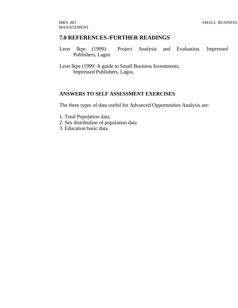# **7.0 REFERENCES /FURTHER READINGS**

- Leon Ikpe (1999): Project Analysis and Evaluation. Impressed Publishers, Lagos
- Leon Ikpe (1999: A guide to Small Business Investments, Impressed Publishers, Lagos.

#### **ANSWERS TO SELF ASSESSMENT EXERCISES**

The three types of data useful for Advanced Opportunities Analysis are:

- 1. Total Population data.
- 2. Sex distribution of population data
- 3. Education basic data.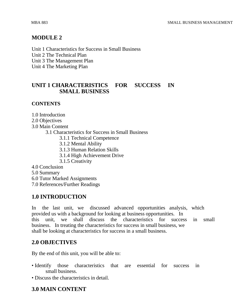# **MODULE 2**

Unit 1 Characteristics for Success in Small Business Unit 2 The Technical Plan Unit 3 The Management Plan Unit 4 The Marketing Plan

# **UNIT 1 CHARACTERISTICS FOR SUCCESS IN SMALL BUSINESS**

#### **CONTENTS**

1.0 Introduction

2.0 Objectives

- 3.0 Main Content
	- 3.1 Characteristics for Success in Small Business
		- 3.1.1 Technical Competence
		- 3.1.2 Mental Ability
		- 3.1.3 Human Relation Skills
		- 3.1.4 High Achievement Drive
		- 3.1.5 Creativity
- 4.0 Conclusion
- 5.0 Summary
- 6.0 Tutor Marked Assignments
- 7.0 References/Further Readings

# **1.0 INTRODUCTION**

In the last unit, we discussed advanced opportunities analysis, which provided us with a background for looking at business opportunities. In this unit, we shall discuss the characteristics for success in small business. In treating the characteristics for success in small business, we shall be looking at characteristics for success in a small business.

# **2.0 OBJECTIVES**

By the end of this unit, you will be able to:

- Identify those characteristics that are essential for success in small business.
- Discuss the characteristics in detail.

# **3.0 MAIN CONTENT**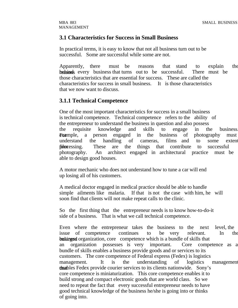# **3.1 Characteristics for Success in Small Business**

In practical terms, it is easy to know that not all business turn out to be successful. Some are successful while some are not.

Apparently, there must be reasons that stand to explain the **hedisons** every business that turns out to be successful. There must be those characteristics that are essential for success. These are called the characteristics for success in small business. It is those characteristics that we now want to discuss.

# **3.1.1 Technical Competence**

One of the most important characteristics for success in a small business is technical competence. Technical competence refers to the ability of the entrepreneur to understand the business in question and also possess the requisite knowledge and skills to engage in the business. **Example,** a person engaged in the business of photography must understand the handling of cameras, films and to some extent filom processing. These are the things that contribute to successful photography. An architect engaged in architectural practice must be able to design good houses.

A motor mechanic who does not understand how to tune a car will end up losing all of his customers.

A medical doctor engaged in medical practice should be able to handle simple ailments like malaria. If that is not the case with him, he will soon find that clients will not make repeat calls to the clinic.

So the first thing that the entrepreneur needs is to know how-to-do-it side of a business. That is what we call technical competence.

Even where the entrepreneur takes the business to the next level, the issue of competence continues to be very relevant. In the **bukings organization, core** competence which is a bundle of skills that an organization possesses is very important. Core competence as a bundle of skills enables a business provide goods and or services to its customers. The core competence of Federal express (Fedex) is logistics management. It is the understanding of logistics management **that blues** Fedex provide courier services to its clients nationwide. Sony's core competence is miniaturization. This core competence enables it to build strong and compact electronic goods that are world class. So we need to repeat the fact that every successful entrepreneur needs to have good technical knowledge of the business he/she is going into or thinks of going into.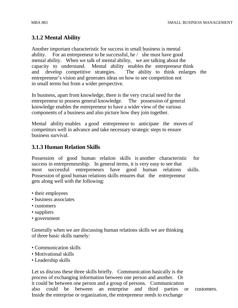# **3.1.2 Mental Ability**

Another important characteristic for success in small business is mental ability. For an entrepreneur to be successful, he / she must have good mental ability. When we talk of mental ability, we are talking about the capacity to understand. Mental ability enables the entrepreneur think and develop competitive strategies. The ability to think enlarges the entrepreneur's vision and generates ideas on how to see competition not in small terms but from a wider perspective.

In business, apart from knowledge, there is the very crucial need for the entrepreneur to possess general knowledge. The possession of general knowledge enables the entrepreneur to have a wider view of the various components of a business and also picture how they join together.

Mental ability enables a good entrepreneur to anticipate the moves of competitors well in advance and take necessary strategic steps to ensure business survival.

# **3.1.3 Human Relation Skills**

Possession of good human relation skills is another characteristic for success in entrepreneurship. In general terms, it is very easy to see that most successful entrepreneurs have good human relations skills. Possession of good human relations skills ensures that the entrepreneur gets along well with the following:

- their employees
- business associates
- customers
- suppliers
- government

Generally when we are discussing human relations skills we are thinking of three basic skills namely:

- Communication skills
- Motivational skills
- Leadership skills

Let us discuss these three skills briefly. Communication basically is the process of exchanging information between one person and another. Or it could be between one person and a group of persons. Communication also could be between an enterprise and third parties or customers. Inside the enterprise or organization, the entrepreneur needs to exchange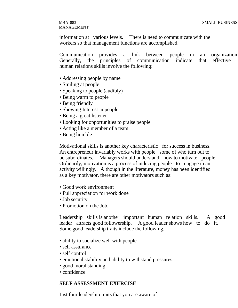# MANAGEMENT

information at various levels. There is need to communicate with the workers so that management functions are accomplished.

Communication provides a link between people in an organization. Generally, the principles of communication indicate that effective human relations skills involve the following:

- Addressing people by name
- Smiling at people
- Speaking to people (audibly)
- Being warm to people
- Being friendly
- Showing Interest in people
- Being a great listener
- Looking for opportunities to praise people
- Acting like a member of a team
- Being humble

Motivational skills is another key characteristic for success in business. An entrepreneur invariably works with people some of who turn out to be subordinates. Managers should understand how to motivate people. Ordinarily, motivation is a process of inducing people to engage in an activity willingly. Although in the literature, money has been identified as a key motivator, there are other motivators such as:

- Good work environment
- Full appreciation for work done
- Job security
- Promotion on the Job.

Leadership skills is another important human relation skills. A good leader attracts good followership. A good leader shows how to do it. Some good leadership traits include the following.

- ability to socialize well with people
- self assurance
- self control
- emotional stability and ability to withstand pressures.
- good moral standing
- confidence

#### **SELF ASSESSMENT EXERCISE**

List four leadership traits that you are aware of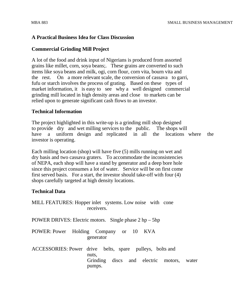#### **A Practical Business Idea for Class Discussion**

#### **Commercial Grinding Mill Project**

A lot of the food and drink input of Nigerians is produced from assorted grains like millet, corn, soya beans;. These grains are converted to such items like soya beans and milk, ogi, corn flour, corn vita, bourn vita and the rest. On a more relevant scale, the conversion of cassava to garri, fufu or starch involves the process of grating. Based on these types of market information, it is easy to see why a well designed commercial grinding mill located in high density areas and close to markets can be relied upon to generate significant cash flows to an investor.

#### **Technical Information**

The project highlighted in this write-up is a grinding mill shop designed to provide dry and wet milling services to the public. The shops will have a uniform design and replicated in all the locations where the investor is operating.

Each milling location (shop) will have five (5) mills running on wet and dry basis and two cassava graters. To accommodate the inconsistencies of NEPA, each shop will have a stand by generator and a deep bore hole since this project consumes a lot of water. Service will be on first come first served basis. For a start, the investor should take-off with four (4) shops carefully targeted at high density locations.

#### **Technical Data**

MILL FEATURES: Hopper inlet systems. Low noise with cone receivers.

POWER DRIVES: Electric motors. Single phase 2 hp – 5hp

- POWER: Power Holding Company or 10 KVA generator
- ACCESSORIES: Power drive belts, spare pulleys, bolts and nuts, Grinding discs and electric motors, water pumps.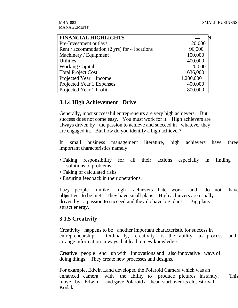| <b>FINANCIAL HIGHLIGHTS</b>                  |           |
|----------------------------------------------|-----------|
| Pre-Investment outlays                       | 20,000    |
| Rent / accommodation (2 yrs) for 4 locations | 96,000    |
| Machinery / Equipment                        | 100,000   |
| <b>Utilities</b>                             | 400,000   |
| <b>Working Capital</b>                       | 20,000    |
| <b>Total Project Cost</b>                    | 636,000   |
| Projected Year 1 Income                      | 1,200,000 |
| Projected Year 1 Expenses                    | 400,000   |
| Projected Year 1 Profit                      | 800,000   |

# **3.1.4 High Achievement Drive**

Generally, most successful entrepreneurs are very high achievers. But success does not come easy. You must work for it. High achievers are always driven by the passion to achieve and succeed in whatever they are engaged in. But how do you identify a high achiever?

In small business management literature, high achievers have three important characteristics namely:

- Taking responsibility for all their actions especially in finding solutions to problems.
- Taking of calculated risks
- Ensuring feedback in their operations.

Lazy people unlike high achievers hate work and do not have **loffectives to be met.** They have small plans. High achievers are usually driven by a passion to succeed and they do have big plans. Big plans attract energy.

#### **3.1.5 Creativity**

Creativity happens to be another important characteristic for success in entrepreneurship. Ordinarily, creativity is the ability to process and arrange information in ways that lead to new knowledge.

Creative people end up with Innovations and also innovative ways of doing things. They create new processes and designs.

For example, Edwin Land developed the Polaroid Camera which was an enhanced camera with the ability to produce pictures instantly. This move by Edwin Land gave Polaroid a head-start over its closest rival, Kodak.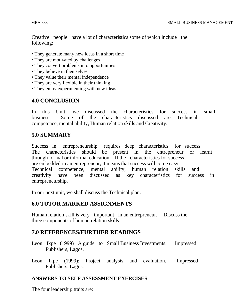Creative people have a lot of characteristics some of which include the following:

- They generate many new ideas in a short time
- They are motivated by challenges
- They convert problems into opportunities
- They believe in themselves
- They value their mental independence
- They are very flexible in their thinking
- They enjoy experimenting with new ideas

# **4.0 CONCLUSION**

In this Unit, we discussed the characteristics for success in small business. Some of the characteristics discussed are Technical competence, mental ability, Human relation skills and Creativity.

### **5.0 SUMMARY**

Success in entrepreneurship requires deep characteristics for success. The characteristics should be present in the entrepreneur or learnt through formal or informal education. If the characteristics for success are embedded in an entrepreneur, it means that success will come easy. Technical competence, mental ability, human relation skills and creativity have been discussed as key characteristics for success in entrepreneurship.

In our next unit, we shall discuss the Technical plan.

# **6.0 TUTOR MARKED ASSIGNMENTS**

Human relation skill is very important in an entrepreneur. Discuss the three components of human relation skills

#### **7.0 REFERENCES/FURTHER READINGS**

- Leon Ikpe (1999) A guide to Small Business Investments. Impressed Publishers, Lagos.
- Leon Ikpe (1999): Project analysis and evaluation. Impressed Publishers, Lagos.

#### **ANSWERS TO SELF ASSESSMENT EXERCISES**

The four leadership traits are: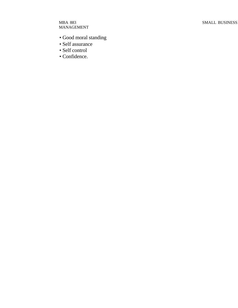MANAGEMENT

- Good moral standing
- Self assurance
- Self control
- Confidence.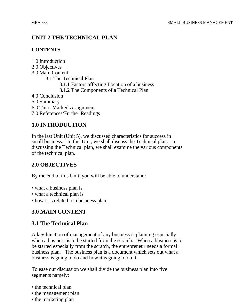# **UNIT 2 THE TECHNICAL PLAN**

### **CONTENTS**

1.0 Introduction 2.0 Objectives

3.0 Main Content

3.1 The Technical Plan

- 3.1.1 Factors affecting Location of a business
- 3.1.2 The Components of a Technical Plan

4.0 Conclusion

- 5.0 Summary
- 6.0 Tutor Marked Assignment
- 7.0 References/Further Readings

# **1.0 INTRODUCTION**

In the last Unit (Unit 5), we discussed characteristics for success in small business. In this Unit, we shall discuss the Technical plan. In discussing the Technical plan, we shall examine the various components of the technical plan.

# **2.0 OBJECTIVES**

By the end of this Unit, you will be able to understand:

- what a business plan is
- what a technical plan is
- how it is related to a business plan

# **3.0 MAIN CONTENT**

# **3.1 The Technical Plan**

A key function of management of any business is planning especially when a business is to be started from the scratch. When a business is to be started especially from the scratch, the entrepreneur needs a formal business plan. The business plan is a document which sets out what a business is going to do and how it is going to do it.

To ease our discussion we shall divide the business plan into five segments namely:

- the technical plan
- the management plan
- the marketing plan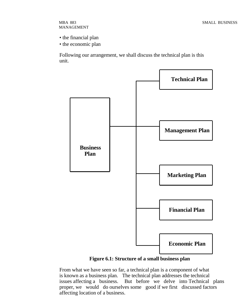- the financial plan
- the economic plan

Following our arrangement, we shall discuss the technical plan is this unit.



 **Figure 6.1: Structure of a small business plan**

From what we have seen so far, a technical plan is a component of what is known as a business plan. The technical plan addresses the technical issues affecting a business. But before we delve into Technical plans proper, we would do ourselves some good if we first discussed factors affecting location of a business.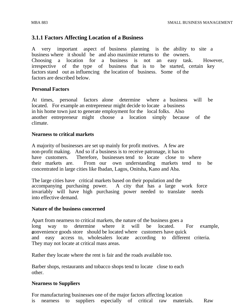# **3.1.1 Factors Affecting Location of a Business**

A very important aspect of business planning is the ability to site a business where it should be and also maximize returns to the owners. Choosing a location for a business is not an easy task. However, irrespective of the type of business that is to be started, certain key factors stand out as influencing the location of business. Some of the factors are described below.

#### **Personal Factors**

At times, personal factors alone determine where a business will be located. For example an entrepreneur might decide to locate a business in his home town just to generate employment for the local folks. Also another entrepreneur might choose a location simply because of the climate.

#### **Nearness to critical markets**

A majority of businesses are set up mainly for profit motives. A few are non-profit making. And so if a business is to receive patronage, it has to have customers. Therefore, businesses tend to locate close to where their markets are. From our own understanding markets tend to be concentrated in large cities like Ibadan, Lagos, Onitsha, Kano and Aba.

The large cities have critical markets based on their population and the accompanying purchasing power. A city that has a large work force invariably will have high purchasing power needed to translate needs into effective demand.

#### **Nature of the business concerned**

Apart from nearness to critical markets, the nature of the business goes a long way to determine where it will be located. For example, **a** convenience goods store should be located where customers have quick and easy access to, wholesalers locate according to different criteria. They may not locate at critical mass areas.

Rather they locate where the rent is fair and the roads available too.

Barber shops, restaurants and tobacco shops tend to locate close to each other.

#### **Nearness to Suppliers**

For manufacturing businesses one of the major factors affecting location is nearness to suppliers especially of critical raw materials. Raw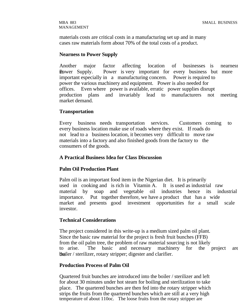materials costs are critical costs in a manufacturing set up and in many cases raw materials form about 70% of the total costs of a product.

#### **Nearness to Power Supply**

Another major factor affecting location of businesses is nearness Rower Supply. Power is very important for every business but more important especially in a manufacturing concern. Power is required to power the various machinery and equipment. Power is also needed for offices. Even where power is available, erratic power supplies disrupt production plans and invariably lead to manufacturers not meeting market demand.

#### **Transportation**

Every business needs transportation services. Customers coming to every business location make use of roads where they exist. If roads do not lead to a business location, it becomes very difficult to move raw materials into a factory and also finished goods from the factory to the consumers of the goods.

#### **A Practical Business Idea for Class Discussion**

#### **Palm Oil Production Plant**

Palm oil is an important food item in the Nigerian diet. It is primarily used in cooking and is rich in Vitamin A. It is used as industrial raw material by soap and vegetable oil industries hence its industrial importance. Put together therefore, we have a product that has a wide market and presents good investment opportunities for a small scale investor.

#### **Technical Considerations**

The project considered in this write-up is a medium sized palm oil plant. Since the basic raw material for the project is fresh fruit bunches (FFB) from the oil palm tree, the problem of raw material sourcing is not likely to arise. The basic and necessary machinery for the project are the boiler / sterilizer, rotary stripper; digester and clarifier.

#### **Production Process of Palm Oil**

Quartered fruit bunches are introduced into the boiler / sterilizer and left for about 30 minutes under hot steam for boiling and sterilization to take place. The quartered bunches are then fed into the rotary stripper which strips the fruits from the quartered bunches which are still at a very high temperature of about 110oc. The loose fruits from the rotary stripper are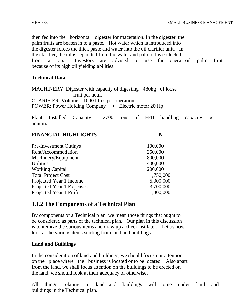then fed into the horizontal digester for maceration. In the digester, the palm fruits are beaten in to a paste. Hot water which is introduced into the digester forces the thick paste and water into the oil clarifier unit. In the clarifier, the oil is separated from the water and palm oil is collected from a tap. Investors are advised to use the tenera oil palm fruit because of its high oil yielding abilities.

#### **Technical Data**

MACHINERY: Digester with capacity of digesting 480kg of loose fruit per hour. CLARIFIER: Volume – 1000 litres per operation POWER: Power Holding Company + Electric motor 20 Hp.

Plant Installed Capacity: 2700 tons of FFB handling capacity per annum.

#### **FINANCIAL HIGHLIGHTS N**

| <b>Pre-Investment Outlays</b> | 100,000   |
|-------------------------------|-----------|
| Rent/Accommodation            | 250,000   |
| Machinery/Equipment           | 800,000   |
| Utilities                     | 400,000   |
| <b>Working Capital</b>        | 200,000   |
| <b>Total Project Cost</b>     | 1,750,000 |
| Projected Year 1 Income       | 5,000,000 |
| Projected Year 1 Expenses     | 3,700,000 |
| Projected Year 1 Profit       | 1,300,000 |
|                               |           |

# **3.1.2 The Components of a Technical Plan**

By components of a Technical plan, we mean those things that ought to be considered as parts of the technical plan. Our plan in this discussion is to itemize the various items and draw up a check list later. Let us now look at the various items starting from land and buildings.

#### **Land and Buildings**

In the consideration of land and buildings, we should focus our attention on the place where the business is located or to be located. Also apart from the land, we shall focus attention on the buildings to be erected on the land, we should look at their adequacy or otherwise.

All things relating to land and buildings will come under land and buildings in the Technical plan.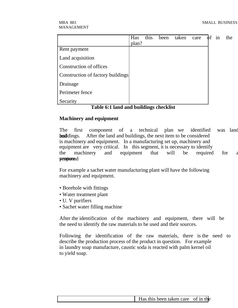|                                   | Has   | this | been | taken | care | in | the |
|-----------------------------------|-------|------|------|-------|------|----|-----|
|                                   | plan? |      |      |       |      |    |     |
| Rent payment                      |       |      |      |       |      |    |     |
| Land acquisition                  |       |      |      |       |      |    |     |
| Construction of offices           |       |      |      |       |      |    |     |
| Construction of factory buildings |       |      |      |       |      |    |     |
| Drainage                          |       |      |      |       |      |    |     |
| Perimeter fence                   |       |      |      |       |      |    |     |
| Security                          |       |      |      |       |      |    |     |

 **Table 6:1 land and buildings checklist**

#### **Machinery and equipment**

The first component of a technical plan we identified was land buildings. After the land and buildings, the next item to be considered is machinery and equipment. In a manufacturing set up, machinery and equipment are very critical. In this segment, it is necessary to identify the machinery and equipment that will be required for a proposed

For example a sachet water manufacturing plant will have the following machinery and equipment.

- Borehole with fittings
- Water treatment plant
- U. V purifiers
- Sachet water filling machine

After the identification of the machinery and equipment, there will be the need to identify the raw materials to be used and their sources.

Following the identification of the raw materials, there is the need to describe the production process of the product in question. For example in laundry soap manufacture, caustic soda is reacted with palm kernel oil to yield soap.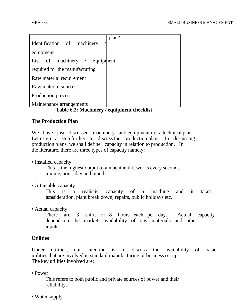|                                | plan? |
|--------------------------------|-------|
| Identification of machinery    |       |
| equipment                      |       |
| List of machinery / Equipment  |       |
| required for the manufacturing |       |
| Raw material requirement       |       |
| Raw material sources           |       |
| Production process             |       |
| Maintenance arrangements       |       |

#### **Table 6.2: Machinery / equipment checklist**

#### **The Production Plan**

We have just discussed machinery and equipment in a technical plan. Let us go a step further to discuss the production plan. In discussing production plans, we shall define capacity in relation to production. In the literature, there are three types of capacity namely:

• Installed capacity.

This is the highest output of a machine if it works every second, minute, hour, day and month.

• Attainable capacity

This is a realistic capacity of a machine and it takes into intervalse intervalse to consideration, plant break down, repairs, public holidays etc.

• Actual capacity

There are 3 shifts of 8 hours each per day. Actual capacity depends on the market, availability of raw materials and other inputs.

#### **Utilities**

Under utilities, our intention is to discuss the availability of basic utilities that are involved in standard manufacturing or business set ups. The key utilities involved are:

• Power

This refers to both public and private sources of power and their reliability.

• Water supply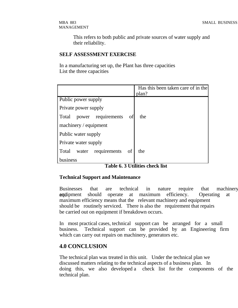MANAGEMENT

This refers to both public and private sources of water supply and their reliability.

#### **SELF ASSESSMENT EXERCISE**

In a manufacturing set up, the Plant has three capacities List the three capacities

|                                      | Has this been taken care of in the |
|--------------------------------------|------------------------------------|
|                                      | plan?                              |
| Public power supply                  |                                    |
| Private power supply                 |                                    |
| power requirements<br>  Total<br>of  | the                                |
| machinery / equipment                |                                    |
| Public water supply                  |                                    |
| Private water supply                 |                                    |
| requirements<br>of<br>Total<br>water | the                                |
| usiness                              |                                    |

 **Table 6. 3 Utilities check list**

#### **Technical Support and Maintenance**

Businesses that are technical in nature require that machinery **and equipment** should operate at maximum efficiency. Operating at maximum efficiency means that the relevant machinery and equipment should be routinely serviced. There is also the requirement that repairs be carried out on equipment if breakdown occurs.

In most practical cases, technical support can be arranged for a small business. Technical support can be provided by an Engineering firm which can carry out repairs on machinery, generators etc.

# **4.0 CONCLUSION**

The technical plan was treated in this unit. Under the technical plan we discussed matters relating to the technical aspects of a business plan. In doing this, we also developed a check list for the components of the technical plan.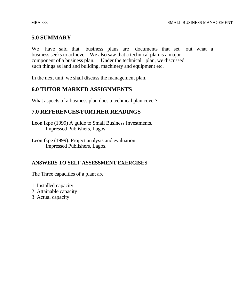# **5.0 SUMMARY**

We have said that business plans are documents that set out what a business seeks to achieve. We also saw that a technical plan is a major component of a business plan. Under the technical plan, we discussed such things as land and building, machinery and equipment etc.

In the next unit, we shall discuss the management plan.

# **6.0 TUTOR MARKED ASSIGNMENTS**

What aspects of a business plan does a technical plan cover?

### **7.0 REFERENCES/FURTHER READINGS**

- Leon Ikpe (1999) A guide to Small Business Investments. Impressed Publishers, Lagos.
- Leon Ikpe (1999): Project analysis and evaluation. Impressed Publishers, Lagos.

#### **ANSWERS TO SELF ASSESSMENT EXERCISES**

The Three capacities of a plant are

- 1. Installed capacity
- 2. Attainable capacity
- 3. Actual capacity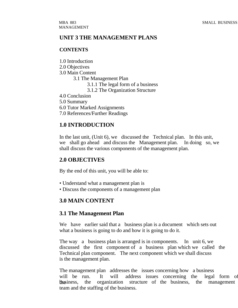# **UNIT 3 THE MANAGEMENT PLANS**

#### **CONTENTS**

1.0 Introduction

2.0 Objectives

3.0 Main Content

3.1 The Management Plan

3.1.1 The legal form of a business

3.1.2 The Organization Structure

4.0 Conclusion

5.0 Summary

6.0 Tutor Marked Assignments

7.0 References/Further Readings

# **1.0 INTRODUCTION**

In the last unit, (Unit 6), we discussed the Technical plan. In this unit, we shall go ahead and discuss the Management plan. In doing so, we shall discuss the various components of the management plan.

# **2.0 OBJECTIVES**

By the end of this unit, you will be able to:

- Understand what a management plan is
- Discuss the components of a management plan

# **3.0 MAIN CONTENT**

# **3.1 The Management Plan**

We have earlier said that a business plan is a document which sets out what a business is going to do and how it is going to do it.

The way a business plan is arranged is in components. In unit 6, we discussed the first component of a business plan which we called the Technical plan component. The next component which we shall discuss is the management plan.

The management plan addresses the issues concerning how a business will be run. It will address issues concerning the legal form of the business, the organization structure of the business, the management team and the staffing of the business.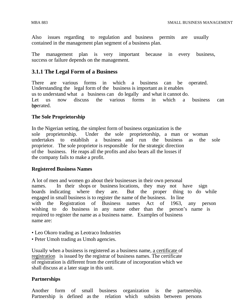Also issues regarding to regulation and business permits are usually contained in the management plan segment of a business plan.

The management plan is very important because in every business, success or failure depends on the management.

#### **3.1.1 The Legal Form of a Business**

There are various forms in which a business can be operated. Understanding the legal form of the business is important as it enables us to understand what a business can do legally and what it cannot do. Let us now discuss the various forms in which a business can beerated.

#### **The Sole Proprietorship**

In the Nigerian setting, the simplest form of business organization is the sole proprietorship. Under the sole proprietorship, a man or woman undertakes to establish a business and run the business as the sole proprietor. The sole proprietor is responsible for the strategic direction of the business. He reaps all the profits and also bears all the losses if the company fails to make a profit.

#### **Registered Business Names**

A lot of men and women go about their businesses in their own personal names. In their shops or business locations, they may not have sign boards indicating where they are. But the proper thing to do while engaged in small business is to register the name of the business. In line with the Registration of Business names Act of 1963, any person wishing to do business in any name other than the person's name is required to register the name as a business name. Examples of business name are:

- Leo Okoro trading as Leotraco Industries
- Peter Umoh trading as Umoh agencies.

Usually when a business is registered as a business name, a certificate of registration is issued by the registrar of business names. The certificate of registration is different from the certificate of incorporation which we shall discuss at a later stage in this unit.

#### **Partnerships**

Another form of small business organization is the partnership. Partnership is defined as the relation which subsists between persons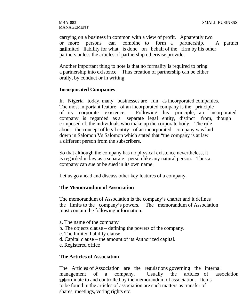MANAGEMENT

carrying on a business in common with a view of profit. Apparently two or more persons can combine to form a partnership. A partner has unit is done on behalf of the firm by his other partners unless the articles of partnership otherwise provide.

Another important thing to note is that no formality is required to bring a partnership into existence. Thus creation of partnership can be either orally, by conduct or in writing.

#### **Incorporated Companies**

In Nigeria today, many businesses are run as incorporated companies. The most important feature of an incorporated company is the principle of its corporate existence. Following this principle, an incorporated company is regarded as a separate legal entity, distinct from, though composed of, the individuals who make up the corporate body. The rule about the concept of legal entity of an incorporated company was laid down in Salomon Vs Salomon which stated that "the company is at law a different person from the subscribers.

So that although the company has no physical existence nevertheless, it is regarded in law as a separate person like any natural person. Thus a company can sue or be sued in its own name.

Let us go ahead and discuss other key features of a company.

#### **The Memorandum of Association**

The memorandum of Association is the company's charter and it defines the limits to the company's powers. The memorandum of Association must contain the following information.

- a. The name of the company
- b. The objects clause defining the powers of the company.
- c. The limited liability clause
- d. Capital clause the amount of its Authorized capital.
- e. Registered office

#### **The Articles of Association**

The Articles of Association are the regulations governing the internal management of a company. Usually the articles of association **are** bounded by the memorandum of association. Items to be found in the articles of association are such matters as transfer of shares, meetings, voting rights etc.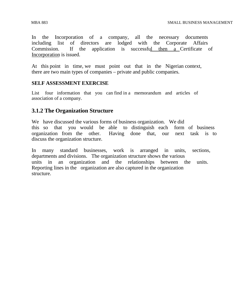In the Incorporation of a company, all the necessary documents including list of directors are lodged with the Corporate Affairs Commission. If the application is successful then a Certificate of Incorporation is issued.

At this point in time, we must point out that in the Nigerian context, there are two main types of companies – private and public companies.

#### **SELF ASSESSMENT EXERCISE**

List four information that you can find in a memorandum and articles of association of a company.

#### **3.1.2 The Organization Structure**

We have discussed the various forms of business organization. We did this so that you would be able to distinguish each form of business organization from the other. Having done that, our next task is to discuss the organization structure.

In many standard businesses, work is arranged in units, sections, departments and divisions. The organization structure shows the various units in an organization and the relationships between the units. Reporting lines in the organization are also captured in the organization structure.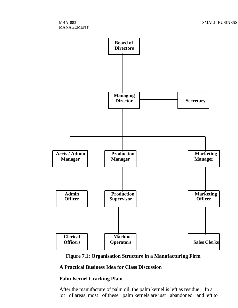

**Figure 7.1: Organisation Structure in a Manufacturing Firm**

#### **A Practical Business Idea for Class Discussion**

#### **Palm Kernel Cracking Plant**

After the manufacture of palm oil, the palm kernel is left as residue. In a lot of areas, most of these palm kernels are just abandoned and left to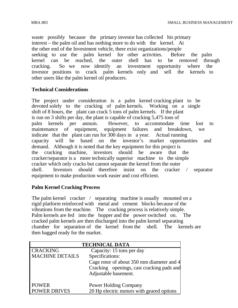waste possibly because the primary investor has collected his primary interest – the palm oil and has nothing more to do with the kernel. At the other end of the Investment vehicle, there exist organizations/people seeking to use the palm kernel for other activities. Before the palm kernel can be reached, the outer shell has to be removed through cracking. So we now identify an investment opportunity where the investor positions to crack palm kernels only and sell the kernels to other users like the palm kernel oil producers.

#### **Technical Considerations**

The project under consideration is a palm kernel cracking plant to be devoted solely to the cracking of palm kernels. Working on a single shift of 8 hours, the plant can crack 5 tons of palm kernels. If the plant is run on 3 shifts per day, the plant is capable of cracking 5,475 tons of palm kernels per annum. However, to accommodate time lost to maintenance of equipment, equipment failures and breakdown, we indicate that the plant can run for 300 days in a year. Actual running capacity will be based on the investor's market opportunities and demand. Although it is noted that the key equipment for this project is the cracking machine, investors should be aware that the cracker/separator is a more technically superior machine to the simple cracker which only cracks but cannot separate the kernel from the outer shell. Investors should therefore insist on the cracker / separator equipment to make production work easier and cost efficient.

#### **Palm Kernel Cracking Process**

The palm kernel cracker / separating machine is usually mounted on a rigid platform reinforced with metal and cement blocks because of the vibrations from the machine. The cracking process is relatively simple. Palm kernels are fed into the hopper and the power switched on. The cracked palm kernels are then discharged into the palm kernel separating chamber for separation of the kernel from the shell. The kernels are then bagged ready for the market.

| <b>TECHNICAL DATA</b>  |                                           |  |  |  |  |
|------------------------|-------------------------------------------|--|--|--|--|
| <b>CRACKING</b>        | Capacity: 15 tons per day                 |  |  |  |  |
| <b>MACHINE DETAILS</b> | Specifications:                           |  |  |  |  |
|                        | Cage rotor of about 350 mm diameter and 4 |  |  |  |  |
|                        | Cracking openings, cast cracking pads and |  |  |  |  |
|                        | Adjustable basement.                      |  |  |  |  |
|                        |                                           |  |  |  |  |
| <b>POWER</b>           | <b>Power Holding Company</b>              |  |  |  |  |
| <b>POWER DRIVES</b>    | 20 Hp electric motors with geared options |  |  |  |  |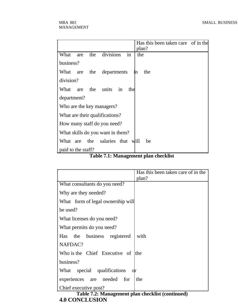|                                  |     |     |                        |     | Has this been taken care of in the<br>plan? |
|----------------------------------|-----|-----|------------------------|-----|---------------------------------------------|
| What                             | are | the | divisions              | 1n  | the                                         |
| business?                        |     |     |                        |     |                                             |
| What                             | are | the | departments            |     | the<br>1n                                   |
| division?                        |     |     |                        |     |                                             |
| What                             | are | the | units<br>$\sin$        | the |                                             |
| department?                      |     |     |                        |     |                                             |
| Who are the key managers?        |     |     |                        |     |                                             |
| What are their qualifications?   |     |     |                        |     |                                             |
| How many staff do you need?      |     |     |                        |     |                                             |
| What skills do you want in them? |     |     |                        |     |                                             |
| What are                         |     |     | the salaries that will |     | be                                          |
| paid to the staff?               |     |     |                        |     |                                             |

|  |  | Table 7.1: Management plan checklist |  |  |
|--|--|--------------------------------------|--|--|
|--|--|--------------------------------------|--|--|

|                                                                          | Has this been taken care of in the<br>plan? |
|--------------------------------------------------------------------------|---------------------------------------------|
| What consultants do you need?                                            |                                             |
| Why are they needed?                                                     |                                             |
| What form of legal ownership will                                        |                                             |
| be used?                                                                 |                                             |
| What licenses do you need?                                               |                                             |
| What permits do you need?                                                |                                             |
| business registered<br><b>Has</b><br>the                                 | with                                        |
| NAFDAC?                                                                  |                                             |
| Who is the Chief Executive of                                            | the                                         |
| business?                                                                |                                             |
| What special qualifications                                              |                                             |
| experiences are needed for                                               | the                                         |
| Chief executive post?<br>Toble 7.2. Monogament plan cheellet (continued) |                                             |

**Table 7.2: Management plan checklist (continued) 4.0 CONCLUSION**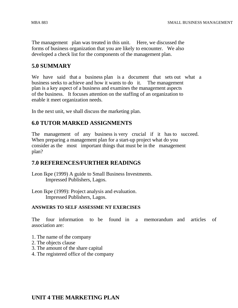The management plan was treated in this unit. Here, we discussed the forms of business organization that you are likely to encounter. We also developed a check list for the components of the management plan.

# **5.0 SUMMARY**

We have said that a business plan is a document that sets out what a business seeks to achieve and how it wants to do it. The management plan is a key aspect of a business and examines the management aspects of the business. It focuses attention on the staffing of an organization to enable it meet organization needs.

In the next unit, we shall discuss the marketing plan.

#### **6.0 TUTOR MARKED ASSIGNMENTS**

The management of any business is very crucial if it has to succeed. When preparing a management plan for a start-up project what do you consider as the most important things that must be in the management plan?

#### **7.0 REFERENCES/FURTHER READINGS**

- Leon Ikpe (1999) A guide to Small Business Investments. Impressed Publishers, Lagos.
- Leon Ikpe (1999): Project analysis and evaluation. Impressed Publishers, Lagos.

#### **ANSWERS TO SELF ASSESSME NT EXERCISES**

The four information to be found in a memorandum and articles of association are:

- 1. The name of the company
- 2. The objects clause
- 3. The amount of the share capital
- 4. The registered office of the company

# **UNIT 4 THE MARKETING PLAN**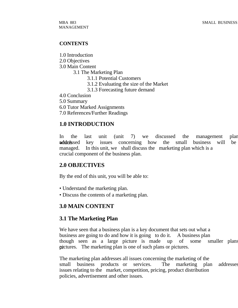#### **CONTENTS**

- 1.0 Introduction
- 2.0 Objectives
- 3.0 Main Content
	- 3.1 The Marketing Plan
		- 3.1.1 Potential Customers
		- 3.1.2 Evaluating the size of the Market
		- 3.1.3 Forecasting future demand
- 4.0 Conclusion
- 5.0 Summary
- 6.0 Tutor Marked Assignments
- 7.0 References/Further Readings

# **1.0 INTRODUCTION**

In the last unit (unit 7) we discussed the management plan which addressed key issues concerning how the small business will be managed. In this unit, we shall discuss the marketing plan which is a crucial component of the business plan.

# **2.0 OBJECTIVES**

By the end of this unit, you will be able to:

- Understand the marketing plan.
- Discuss the contents of a marketing plan.

# **3.0 MAIN CONTENT**

# **3.1 The Marketing Plan**

We have seen that a business plan is a key document that sets out what a business are going to do and how it is going to do it. A business plan though seen as a large picture is made up of some smaller plans pictures. The marketing plan is one of such plans or pictures.

The marketing plan addresses all issues concerning the marketing of the small business products or services. The marketing plan addresses issues relating to the market, competition, pricing, product distribution policies, advertisement and other issues.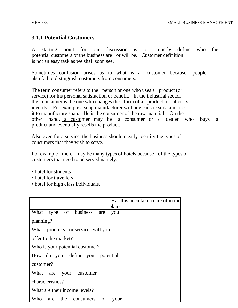# **3.1.1 Potential Customers**

A starting point for our discussion is to properly define who the potential customers of the business are or will be. Customer definition is not an easy task as we shall soon see.

Sometimes confusion arises as to what is a customer because people also fail to distinguish customers from consumers.

The term consumer refers to the person or one who uses a product (or service) for his personal satisfaction or benefit. In the industrial sector, the consumer is the one who changes the form of a product to alter its identity. For example a soap manufacturer will buy caustic soda and use it to manufacture soap. He is the consumer of the raw material. On the other hand, a customer may be a consumer or a dealer who buys a product and eventually resells the product.

Also even for a service, the business should clearly identify the types of consumers that they wish to serve.

For example there may be many types of hotels because of the types of customers that need to be served namely:

- hotel for students
- hotel for travellers
- hotel for high class individuals.

|                                    | Has this been taken care of in the<br>plan? |
|------------------------------------|---------------------------------------------|
| What type of business are          | you                                         |
| planning?                          |                                             |
| What products or services will you |                                             |
| offer to the market?               |                                             |
| Who is your potential customer?    |                                             |
| How do you define your potential   |                                             |
| customer?                          |                                             |
| What are your customer             |                                             |
| characteristics?                   |                                             |
| What are their income levels?      |                                             |
| Who are the consumers<br>of        | your                                        |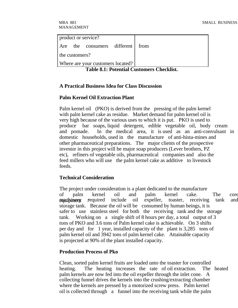|                            | product or service?               |  |
|----------------------------|-----------------------------------|--|
|                            | Are the consumers different from  |  |
| $\parallel$ the customers? |                                   |  |
|                            | Where are your customers located? |  |

**Table 8.1: Potential Customers Checklist.**

#### **A Practical Business Idea for Class Discussion**

#### **Palm Kernel Oil Extraction Plant**

Palm kernel oil (PKO) is derived from the pressing of the palm kernel with palm kernel cake as residue. Market demand for palm kernel oil is very high because of the various uses to which it is put. PKO is used to produce bar soaps, liquid detergent, edible vegetable oil, body cream and pomade. In the medical area, it is used as an anti-convulsant in domestic households, used in the manufacture of anti-hista-mines and other pharmaceutical preparations. The major clients of the prospective investor in this project will be major soap producers (Lever brothers, PZ etc), refiners of vegetable oils, pharmaceutical companies and also the feed millers who will use the palm kernel cake as additive to livestock feeds.

#### **Technical Consideration**

The project under consideration is a plant dedicated to the manufacture of palm kernel oil and palm kernel cake. The core **exambinery required** include oil expeller, toaster, receiving tank and storage tank. Because the oil will be consumed by human beings, it is safer to use stainless steel for both the receiving tank and the storage tank. Working on a single shift of 8 hours per day, a total output of 3 tons of PKO and 3.6 tons of Palm kernel cake is achievable. On 3 shifts per day and for 1 year, installed capacity of the plant is 3,285 tons of palm kernel oil and 3942 tons of palm kernel cake. Attainable capacity is projected at 90% of the plant installed capacity.

#### **Production Process of Pko**

Clean, sorted palm kernel fruits are loaded unto the toaster for controlled heating. The heating increases the rate of oil extraction. The heated palm kernels are now fed into the oil expeller through the inlet cone. A collecting funnel drives the kernels into the crushing/extracting chamber where the kernels are pressed by a motorized screw press. Palm kernel oil is collected through a funnel into the receiving tank while the palm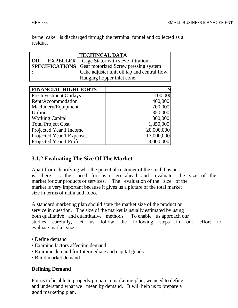kernel cake is discharged through the terminal funnel and collected as a residue.

| <b>TECHINCAL DATA</b>                                      |
|------------------------------------------------------------|
| <b>OIL EXPELLER</b> Cage Stator with sieve filtration.     |
| <b>SPECIFICATIONS</b> Gear motorized Screw pressing system |
| Cake adjuster unit oil tap and central flow.               |
| Hanging hopper inlet cone.                                 |

| <b>FINANCIAL HIGHLIGHTS</b>   |            |
|-------------------------------|------------|
| <b>Pre-Investment Outlays</b> | 100,000    |
| Rent/Accommodation            | 400,000    |
| Machinery/Equipment           | 700,000    |
| <b>Utilities</b>              | 350,000    |
| <b>Working Capital</b>        | 300,000    |
| <b>Total Project Cost</b>     | 1,850,000  |
| Projected Year 1 Income       | 20,000,000 |
| Projected Year 1 Expenses     | 17,000,000 |
| Projected Year 1 Profit       | 3,000,000  |

# **3.1.2 Evaluating The Size Of The Market**

Apart from identifying who the potential customer of the small business is, there is the need for us to go ahead and evaluate the size of the market for our products or services. The evaluation of the size of the market is very important because it gives us a picture of the total market size in terms of naira and kobo.

A standard marketing plan should state the market size of the product or service in question. The size of the market is usually estimated by using both qualitative and quantitative methods. To enable us approach our studies carefully, let us follow the following steps in our effort to evaluate market size:

- Define demand
- Examine factors affecting demand
- Examine demand for Intermediate and capital goods
- Build market demand

#### **Defining Demand**

For us to be able to properly prepare a marketing plan, we need to define and understand what we mean by demand. It will help us to prepare a good marketing plan.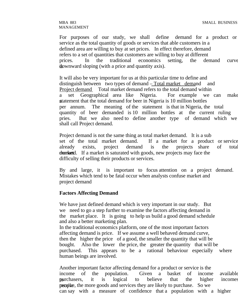# MANAGEMENT

For purposes of our study, we shall define demand for a product or service as the total quantity of goods or services that able customers in a defined area are willing to buy at set prices. In effect therefore, demand refers to a set of quantities that customers are willing to buy at different prices. In the traditional economics setting, the demand curve is downward sloping (with a price and quantity axis).

It will also be very important for us at this particular time to define and distinguish between two types of demand – Total market demand and Project demand Total market demand refers to the total demand within a set Geographical area like Nigeria. For example we can make atatement that the total demand for beer in Nigeria is 10 million bottles per annum. The meaning of the statement is that in Nigeria, the total quantity of beer demanded is 10 million bottles at the current ruling pries. But we also need to define another type of demand which we shall call Project demand.

Project demand is not the same thing as total market demand. It is a sub set of the total market demand. If a market for a product or service already exists, project demand is the projects share of total dearketd. If a market is saturated with goods, new projects may face the difficulty of selling their products or services.

By and large, it is important to focus attention on a project demand. Mistakes which tend to be fatal occur when analysts confuse market and project demand

#### **Factors Affecting Demand**

We have just defined demand which is very important in our study. But we need to go a step further to examine the factors affecting demand in the market place. It is going to help us build a good demand schedule and also a better marketing plan.

In the traditional economics platform, one of the most important factors affecting demand is price. If we assume a well behaved demand curve, then the higher the price of a good, the smaller the quantity that will be bought. Also the lower the price, the greater the quantity that will be purchased. This appears to be a rational behaviour especially where human beings are involved.

Another important factor affecting demand for a product or service is the income of the population. Given a basket of income available to purchasers, it is logical to believe that the higher incomes **people**, the more goods and services they are likely to purchase. So we can say with a measure of confidence that a population with a higher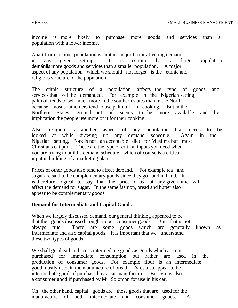income is more likely to purchase more goods and services than a population with a lower income.

Apart from income, population is another major factor affecting demand in any given setting. It is certain that a large population dertrainds more goods and services than a smaller population. A major aspect of any population which we should not forget is the ethnic and religious structure of the population.

The ethnic structure of a population affects the type of goods and services that will be demanded. For example in the Nigerian setting, palm oil tends to sell much more in the southern states than in the North because most southerners tend to use palm oil in cooking. But in the Northern States, ground nut oil seems to be more available and by implication the people use more of it for their cooking.

Also, religion is another aspect of any population that needs to be looked at while drawing up any demand schedule. Again in the Nigerian setting, Pork is not an acceptable diet for Muslims but most Christians eat pork. These are the type of critical inputs you need when you are trying to build a demand schedule which of course is a critical input in building of a marketing plan.

Prices of other goods also tend to affect demand. For example tea and sugar are said to be complementary goods since they go hand in hand. It is therefore logical to say that the price of tea at any given time will affect the demand for sugar. In the same fashion, bread and butter also appear to be complementary goods.

#### **Demand for Intermediate and Capital Goods**

When we largely discussed demand, our general thinking appeared to be that the goods discussed ought to be consumer goods. But that is not always true. There are some goods which are generally known as Intermediate and also capital goods. It is important that we understand these two types of goods.

We shall go ahead to discuss intermediate goods as goods which are not purchased for immediate consumption but rather are used in the production of consumer goods. For example flour is an intermediate good mostly used in the manufacture of bread. Tyres also appear to be intermediate goods if purchased by a car manufacturer. But tyre is also a consumer good if purchased by Mr. Solomon for use in his car.

On the other hand, capital goods are those goods that are used for the manufacture of both intermediate and consumer goods. A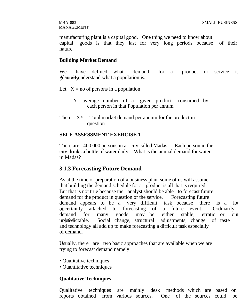manufacturing plant is a capital good. One thing we need to know about capital goods is that they last for very long periods because of their nature.

#### **Building Market Demand**

We have defined what demand for a product or service is **edearally** examplement what a population is.

- Let  $X = no$  of persons in a population
	- $Y = average$  number of a given product consumed by each person in that Population per annum
- Then  $XY = Total$  market demand per annum for the product in question

#### **SELF-ASSESSMENT EXERCISE 1**

There are 400,000 persons in a city called Madas. Each person in the city drinks a bottle of water daily. What is the annual demand for water in Madas?

# **3.1.3 Forecasting Future Demand**

As at the time of preparation of a business plan, some of us will assume that building the demand schedule for a product is all that is required. But that is not true because the analyst should be able to forecast future demand for the product in question or the service. Forecasting future demand appears to be a very difficult task because there is a lot **of** uncertainty attached to forecasting of a future event. Ordinarily, demand for many goods may be either stable, erratic or our rigenter-dictable. Social change, structural adjustments, change of taste and technology all add up to make forecasting a difficult task especially of demand.

Usually, there are two basic approaches that are available when we are trying to forecast demand namely:

- Qualitative techniques
- Quantitative techniques

#### **Qualitative Techniques**

Qualitative techniques are mainly desk methods which are based on reports obtained from various sources. One of the sources could be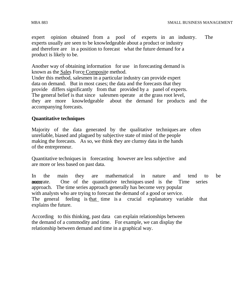expert opinion obtained from a pool of experts in an industry. The experts usually are seen to be knowledgeable about a product or industry and therefore are in a position to forecast what the future demand for a product is likely to be.

Another way of obtaining information for use in forecasting demand is known as the Sales Force Composite method.

Under this method, salesmen in a particular industry can provide expert data on demand. But in most cases; the data and the forecasts that they provide differs significantly from that provided by a panel of experts. The general belief is that since salesmen operate at the grass root level, they are more knowledgeable about the demand for products and the accompanying forecasts.

# **Quantitative techniques**

Majority of the data generated by the qualitative techniques are often unreliable, biased and plagued by subjective state of mind of the people making the forecasts. As so, we think they are clumsy data in the hands of the entrepreneur.

Quantitative techniques in forecasting however are less subjective and are more or less based on past data.

In the main they are mathematical in nature and tend to be **not** accurate. One of the quantitative techniques used is the Time series approach. The time series approach generally has become very popular with analysts who are trying to forecast the demand of a good or service. The general feeling is that time is a crucial explanatory variable that explains the future.

According to this thinking, past data can explain relationships between the demand of a commodity and time. For example, we can display the relationship between demand and time in a graphical way.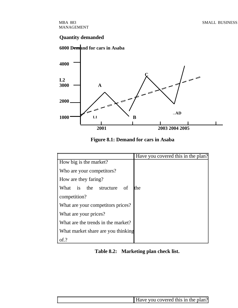# **Quantity demanded**



**Figure 8.1: Demand for cars in Asaba**

|                                    | Have you covered this in the plan? |
|------------------------------------|------------------------------------|
| How big is the market?             |                                    |
| Who are your competitors?          |                                    |
| How are they faring?               |                                    |
| What is the structure<br>of        | lthe                               |
| competition?                       |                                    |
| What are your competitors prices?  |                                    |
| What are your prices?              |                                    |
| What are the trends in the market? |                                    |
| What market share are you thinking |                                    |
|                                    |                                    |

 **Table 8.2: Marketing plan check list.**

|  | Have you covered this in the plan? |  |
|--|------------------------------------|--|
|--|------------------------------------|--|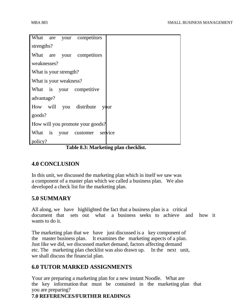|                        |               | What are your competitors        |         |
|------------------------|---------------|----------------------------------|---------|
| strengths?             |               |                                  |         |
| What                   | are           | your competitors                 |         |
| weaknesses?            |               |                                  |         |
| What is your strength? |               |                                  |         |
| What is your weakness? |               |                                  |         |
|                        |               | What is your competitive         |         |
| advantage?             |               |                                  |         |
|                        |               | How will you distribute          | your    |
| goods?                 |               |                                  |         |
|                        |               | How will you promote your goods? |         |
| What                   | $\frac{1}{1}$ | your customer                    | service |
| policy?                |               |                                  |         |

 **Table 8.3: Marketing plan checklist.**

# **4.0 CONCLUSION**

In this unit, we discussed the marketing plan which in itself we saw was a component of a master plan which we called a business plan. We also developed a check list for the marketing plan.

# **5.0 SUMMARY**

All along, we have highlighted the fact that a business plan is a critical document that sets out what a business seeks to achieve and how it wants to do it.

The marketing plan that we have just discussed is a key component of the master business plan. It examines the marketing aspects of a plan. Just like we did, we discussed market demand, factors affecting demand etc. The marketing plan checklist was also drawn up. In the next unit, we shall discuss the financial plan.

# **6.0 TUTOR MARKED ASSIGNMENTS**

Your are preparing a marketing plan for a new instant Noodle. What are the key information that must be contained in the marketing plan that you are preparing?

# **7.0 REFERENCES/FURTHER READINGS**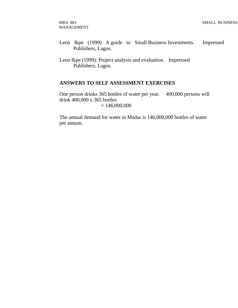Leon Ikpe (1999) A guide to Small Business Investments. Impressed Publishers, Lagos.

Leon Ikpe (1999): Project analysis and evaluation. Impressed Publishers, Lagos.

#### **ANSWERS TO SELF ASSESSMENT EXERCISES**

One person drinks 365 bottles of water per year. 400,000 persons will drink 400,000 x 365 bottles

 $= 146,000,000$ 

The annual demand for water in Madas is 146,000,000 bottles of water per annum.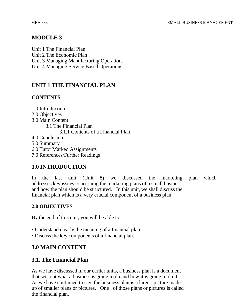# **MODULE 3**

Unit 1 The Financial Plan Unit 2 The Economic Plan Unit 3 Managing Manufacturing Operations Unit 4 Managing Service Based Operations

# **UNIT 1 THE FINANCIAL PLAN**

# **CONTENTS**

1.0 Introduction 2.0 Objectives 3.0 Main Content 3.1 The Financial Plan 3.1.1 Contents of a Financial Plan 4.0 Conclusion 5.0 Summary 6.0 Tutor Marked Assignments 7.0 References/Further Readings

# **1.0 INTRODUCTION**

In the last unit (Unit 8) we discussed the marketing plan which addresses key issues concerning the marketing plans of a small business and how the plan should be structured. In this unit, we shall discuss the financial plan which is a very crucial component of a business plan.

# **2.0 OBJECTIVES**

By the end of this unit, you will be able to:

- Understand clearly the meaning of a financial plan.
- Discuss the key components of a financial plan.

# **3.0 MAIN CONTENT**

# **3.1. The Financial Plan**

As we have discussed in our earlier units, a business plan is a document that sets out what a business is going to do and how it is going to do it. As we have continued to say, the business plan is a large picture made up of smaller plans or pictures. One of those plans or pictures is called the financial plan.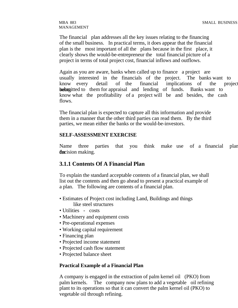MANAGEMENT

The financial plan addresses all the key issues relating to the financing of the small business. In practical terms, it does appear that the financial plan is the most important of all the plans because in the first place, it clearly shows the would-be-entrepreneur the total financial picture of a project in terms of total project cost, financial inflows and outflows.

Again as you are aware, banks when called up to finance a project are usually interested in the financials of the project. The banks want to know every detail of the financial implications of the project being the submitted to them for appraisal and lending of funds. Banks want to know what the profitability of a project will be and besides, the cash flows.

The financial plan is expected to capture all this information and provide them in a manner that the other third parties can read them. By the third parties, we mean either the banks or the would-be-investors.

#### **SELF-ASSESSMENT EXERCISE**

Name three parties that you think make use of a financial plan flocision making.

# **3.1.1 Contents Of A Financial Plan**

To explain the standard acceptable contents of a financial plan, we shall list out the contents and then go ahead to present a practical example of a plan. The following are contents of a financial plan.

- Estimates of Project cost including Land, Buildings and things like steel structures
- Utilities costs
- Machinery and equipment costs
- Pre-operational expenses
- Working capital requirement
- Financing plan
- Projected income statement
- Projected cash flow statement
- Projected balance sheet

#### **Practical Example of a Financial Plan**

A company is engaged in the extraction of palm kernel oil (PKO) from palm kernels. The company now plans to add a vegetable oil refining plant to its operations so that it can convert the palm kernel oil (PKO) to vegetable oil through refining.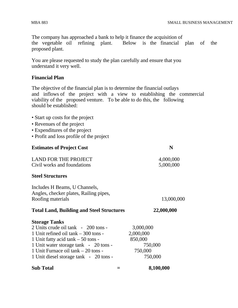The company has approached a bank to help it finance the acquisition of the vegetable oil refining plant. Below is the financial plan of the proposed plant.

You are please requested to study the plan carefully and ensure that you understand it very well.

#### **Financial Plan**

The objective of the financial plan is to determine the financial outlays and inflows of the project with a view to establishing the commercial viability of the proposed venture. To be able to do this, the following should be established:

- Start up costs for the project
- Revenues of the project
- Expenditures of the project
- Profit and loss profile of the project

| <b>Estimates of Project Cost</b>                                                                                                                                                                                                                                    | N                                                                  |
|---------------------------------------------------------------------------------------------------------------------------------------------------------------------------------------------------------------------------------------------------------------------|--------------------------------------------------------------------|
| <b>LAND FOR THE PROJECT</b><br>Civil works and foundations                                                                                                                                                                                                          | 4,000,000<br>5,000,000                                             |
| <b>Steel Structures</b>                                                                                                                                                                                                                                             |                                                                    |
| Includes H Beams, U Channels,<br>Angles, checker plates, Railing pipes,<br>Roofing materials                                                                                                                                                                        | 13,000,000                                                         |
| <b>Total Land, Building and Steel Structures</b>                                                                                                                                                                                                                    | 22,000,000                                                         |
| <b>Storage Tanks</b><br>2 Units crude oil tank - 200 tons -<br>1 Unit refined oil tank – 300 tons -<br>1 Unit fatty acid tank – 50 tons -<br>1 Unit water storage tank - 20 tons -<br>1 Unit Furnace oil tank – 20 tons -<br>1 Unit diesel storage tank - 20 tons - | 3,000,000<br>2,000,000<br>850,000<br>750,000<br>750,000<br>750,000 |
| <b>Sub Total</b>                                                                                                                                                                                                                                                    | 8,100,000                                                          |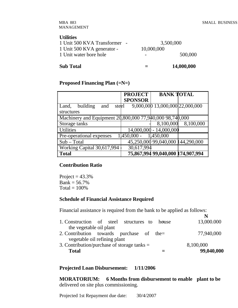MANAGEMENT

#### **Utilities**

| 1 Unit 500 KVA Transformer - | 3,500,000  |         |  |
|------------------------------|------------|---------|--|
| 1 Unit 500 KVA generator -   | 10,000,000 |         |  |
| 1 Unit water bore hole       |            | 500,000 |  |
|                              |            |         |  |

# **Proposed Financing Plan (=N=)**

|                                                          | <b>PROJECT</b> | <b>BANK TOTAL</b>                 |                     |
|----------------------------------------------------------|----------------|-----------------------------------|---------------------|
|                                                          | <b>SPONSOR</b> |                                   |                     |
| Land, building<br>and<br>steel                           |                | 9,000,000 13,000,000 22,000,000   |                     |
| structures                                               |                |                                   |                     |
| Machinery and Equipment 20,800,000 77,940,000 98,740,000 |                |                                   |                     |
| Storage tanks                                            |                |                                   | 8,100,000 8,100,000 |
| Utilities                                                |                | $14,000,000 - 14,000,000$         |                     |
| Pre-operational expenses                                 | $ 450,000 -$   | 1,450,000                         |                     |
| $\vert$ Sub – Total                                      |                | 45,250,000 99,040,000 144,290,000 |                     |
| <b>Working Capital 30,617,994</b>                        | 30,617,994     |                                   |                     |
| <b>Total</b>                                             |                | 75,867,994 99,040,000 174,907,994 |                     |

# **Contribution Ratio**

Project  $= 43.3\%$  $Bank = 56.7%$ Total  $= 100\%$ 

# **Schedule of Financial Assistance Required**

Financial assistance is required from the bank to be applied as follows:

|                                               |  |  | N          |
|-----------------------------------------------|--|--|------------|
| 1. Construction of steel structures to house  |  |  | 13,000.000 |
| the vegetable oil plant                       |  |  |            |
| 2. Contribution towards purchase of the=      |  |  | 77,940,000 |
| vegetable oil refining plant                  |  |  |            |
| 3. Contribution/purchase of storage tanks $=$ |  |  | 8,100,000  |
| <b>Total</b>                                  |  |  | 99,040,000 |
|                                               |  |  |            |

# **Projected Loan Disbursement: 1/11/2006**

**MORATORIUM: 6 Months from disbursement to enable plant to be**  delivered on site plus commissioning.

Projected 1st Repayment due date: 30/4/2007

**Sub Total**  $=$  14,000,000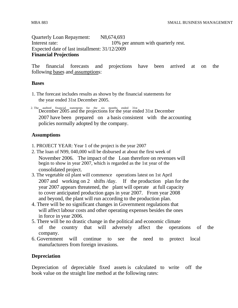Quarterly Loan Repayment: N8,674,693 Interest rate: 10% per annum with quarterly rest. Expected date of last installment: 31/12/2009 **Financial Projections**

The financial forecasts and projections have been arrived at on the following bases and assumptions:

#### **Bases**

- 1. The forecast includes results as shown by the financial statements for the year ended 31st December 2005.
- 2. The audited financial statements for the six months ended 31st December 2005 and the projections for the year ended 31st December 2007 have been prepared on a basis consistent with the accounting policies normally adopted by the company.

#### **Assumptions**

- 1. PROJECT YEAR: Year 1 of the project is the year 2007
- 2. The loan of N99, 040,000 will be disbursed at about the first week of November 2006. The impact of the Loan therefore on revenues will begin to show in year 2007, which is regarded as the 1st year of the consolidated project.
- 3. The vegetable oil plant will commence operations latest on 1st April 2007 and working on 2 shifts /day. If the production plan for the year 2007 appears threatened, the plant will operate at full capacity to cover anticipated production gaps in year 2007. From year 2008 and beyond, the plant will run according to the production plan.
- 4. There will be no significant changes in Government regulations that will affect labour costs and other operating expenses besides the ones in force in year 2006.
- 5. There will be no drastic change in the political and economic climate of the country that will adversely affect the operations of the company.
- 6. Government will continue to see the need to protect local manufacturers from foreign invasions.

#### **Depreciation**

Depreciation of depreciable fixed assets is calculated to write off the book value on the straight line method at the following rates: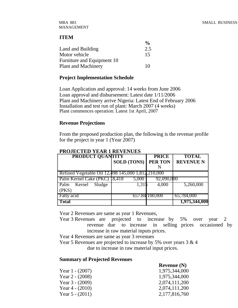# MANAGEMENT

#### **ITEM**

|                            | $\frac{0}{0}$ |
|----------------------------|---------------|
| Land and Building          | 2.5           |
| Motor vehicle              | 15            |
| Furniture and Equipment 10 |               |
| <b>Plant and Machinery</b> | 10            |

#### **Project Implementation Schedule**

Loan Application and approval: 14 weeks from June 2006 Loan approval and disbursement: Latest date 1/11/2006 Plant and Machinery arrive Nigeria: Latest End of February 2006 Installation and test run of plant: March 2007 (4 weeks) Plant commences operation: Latest 1st April, 2007

#### **Revenue Projections**

From the proposed production plan, the following is the revenue profile for the project in year 1 (Year 2007)

| <b>PRODUCT QUANTITY</b>                            |                    | <b>PRICE</b>   | <b>TOTAL</b>     |
|----------------------------------------------------|--------------------|----------------|------------------|
|                                                    | <b>SOLD (TONS)</b> | <b>PER TON</b> | <b>REVENUE N</b> |
|                                                    |                    |                |                  |
| Refined Vegetable Oil 12,498 145,000 1,812,210,000 |                    |                |                  |
| Palm Kernel Cake (PKC) 18,418                      | 5,000              | 92,090,000     |                  |
| Palm Kernel<br>$\overline{\mathrm{Sludge}}$        | 1,31               | 4,000          | 5,260,000        |
| $ $ (PKS)                                          |                    |                |                  |
| <b>Fatty</b> acid                                  |                    | 657.84 100,000 | 65,784,000       |
| <b>Total</b>                                       |                    |                | 1,975,344,000    |

#### **PROJECTED YEAR 1 REVENUES**

Year 2 Revenues are same as year 1 Revenues,

Year 3 Revenues are projected to increase by 5% over year 2 revenue due to increase in selling prices occasioned by increase in raw material inputs prices.

 **Revenue (N)**

Year 4 Revenues are same as year 3 revenues

Year 5 Revenues are projected to increase by 5% over years 3 & 4 due to increase in raw material input prices.

#### **Summary of Projected Revenues**

| Year $1 - (2007)$ | 1,975,344,000 |
|-------------------|---------------|
| Year $2 - (2008)$ | 1,975,344,000 |
| Year $3 - (2009)$ | 2,074,111,200 |
| Year $4 - (2010)$ | 2,074,111,200 |
| Year $5 - (2011)$ | 2,177,816,760 |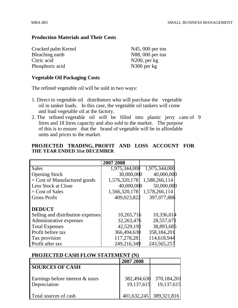#### **Production Materials and Their Costs**

| Cracked palm Kernel | $N45$ , 000 per ton |
|---------------------|---------------------|
| Bleaching earth     | N88, 000 per ton    |
| Citric acid         | $N200$ , per kg     |
| Phosphoric acid     | $N300$ per $kg$     |

#### **Vegetable Oil Packaging Costs**

The refined vegetable oil will be sold in two ways:

- 1. Direct to vegetable oil distributors who will purchase the vegetable oil in tanker loads. In this case, the vegetable oil tankers will come and load vegetable oil at the factory.
- 2. The refined vegetable oil will be filled into plastic jerry cans of 9 litres and 18 litres capacity and also sold to the market. The purpose of this is to ensure that the brand of vegetable will be in affordable units and prices to the market.

#### **PROJECTED TRADING, PROFIT AND LOSS ACCOUNT FOR THE YEAR ENDED 31st DECEMBER**

|                                   | 2007 2008     |                  |
|-----------------------------------|---------------|------------------|
| Sales                             | 1,975,344,000 | 1,975,344,000    |
| <b>Opening Stock</b>              | 30,000,000    | 40,000,000       |
| + Cost of Manufactured goods      | 1,576,320,178 | 1,588,266,114    |
| Less Stock at Close               | 40,000,000    | 50,000,000       |
| $=$ Cost of Sales                 | 1,566,320,178 | 1,578,266,114    |
| <b>Gross Profit</b>               | 409,023,822   | 397,077,886      |
|                                   |               |                  |
| <b>DEDUCT</b>                     |               |                  |
| Selling and distribution expenses | 10,265,716    | $10,336,01\,\mu$ |
| Administrative expenses           | 32, 263, 476  | 28,557,67        |
| <b>Total Expenses</b>             | 42,529,192    | 38,893,68        |
| Profit before tax                 | 366,494,630   | 358,184,201      |
| Tax provision                     | 117,278,281   | 114,618,944      |
| Profit after tax                  | 249,216,349   | 243,565,257      |

#### **PROJECTED CASH FLOW STATEMENT (N)**

|                                                  | 2007 2008   |                                      |
|--------------------------------------------------|-------------|--------------------------------------|
| <b>SOURCES OF CASH</b>                           |             |                                      |
| Earnings before interest & taxes<br>Depreciation | 382,494,630 | 370,184,201<br>19,137,615 19,137,615 |
| Total sources of cash                            |             | 401,632,245 389,321,816              |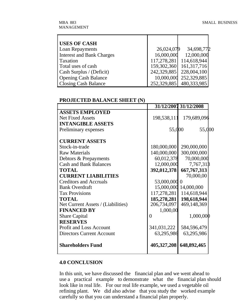г

| <b>USES OF CASH</b>              |             |                               |
|----------------------------------|-------------|-------------------------------|
| Loan Repayments                  | 26,024,079  | 34,698,77 <sup>p</sup>        |
| <b>Interest and Bank Charges</b> | 16,000,000  | 12,000,000                    |
| Taxation                         |             | 117,278,281   114,618,944     |
| Total uses of cash               |             | 159, 302, 360   161, 317, 716 |
| Cash Surplus / (Deficit)         | 242,329,885 | 228,004,100                   |
| <b>Opening Cash Balance</b>      |             | 10,000,000 252,329,885        |
| <b>Closing Cash Balance</b>      |             | 252,329,885 480,333,985       |

#### **PROJECTED BALANCE SHEET (N)**

|                                    |              | 31/12/2007 31/12/2008 |  |
|------------------------------------|--------------|-----------------------|--|
| <b>ASSETS EMPLOYED</b>             |              |                       |  |
| <b>Net Fixed Assets</b>            | 198,538,111  | 179,689,096           |  |
| <b>INTANGIBLE ASSETS</b>           |              |                       |  |
| Preliminary expenses               | 55,000       | 55,000                |  |
|                                    |              |                       |  |
| <b>CURRENT ASSETS</b>              |              |                       |  |
| Stock-in-trade                     | 180,000,000  | 290,000,000           |  |
| <b>Raw Materials</b>               | 140,000,000  | 300,000,000           |  |
| Debtors & Prepayments              | 60,012,378   | 70,000,000            |  |
| <b>Cash and Bank Balances</b>      | 12,000,000   | 7,767,318             |  |
| <b>TOTAL</b>                       | 392,012,378  | 667, 767, 313         |  |
| <b>CURRENT LIABILITIES</b>         |              | 70,000,00             |  |
| <b>Creditors and Accruals</b>      | 53,000,000 0 |                       |  |
| <b>Bank Overdraft</b>              |              | 15,000,000 14,000,000 |  |
| <b>Tax Provisions</b>              | 117,278,281  | 114,618,944           |  |
| <b>TOTAL</b>                       | 185,278,281  | 198,618,944           |  |
| Net Current Assets / (Liabilities) | 206,734,097  | 469,148,369           |  |
| <b>FINANCED BY</b>                 | 1,000,00     |                       |  |
| <b>Share Capital</b>               | 0            | 1,000,000             |  |
| <b>RESERVES</b>                    |              |                       |  |
| <b>Profit and Loss Account</b>     | 341,031,222  | 584,596,479           |  |
| <b>Directors Current Account</b>   | 63,295,986   | 63,295,986            |  |
| <b>Shareholders Fund</b>           | 405,327,208  | 648,892,465           |  |
|                                    |              |                       |  |

#### **4.0 CONCLUSION**

In this unit, we have discussed the financial plan and we went ahead to use a practical example to demonstrate what the financial plan should look like in real life. For our real life example, we used a vegetable oil refining plant. We did also advise that you study the worked example carefully so that you can understand a financial plan properly.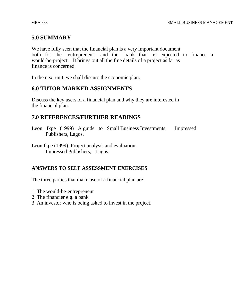# **5.0 SUMMARY**

We have fully seen that the financial plan is a very important document both for the entrepreneur and the bank that is expected to finance a would-be-project. It brings out all the fine details of a project as far as finance is concerned.

In the next unit, we shall discuss the economic plan.

# **6.0 TUTOR MARKED ASSIGNMENTS**

Discuss the key users of a financial plan and why they are interested in the financial plan.

# **7.0 REFERENCES/FURTHER READINGS**

- Leon Ikpe (1999) A guide to Small Business Investments. Impressed Publishers, Lagos.
- Leon Ikpe (1999): Project analysis and evaluation. Impressed Publishers, Lagos.

#### **ANSWERS TO SELF ASSESSMENT EXERCISES**

The three parties that make use of a financial plan are:

- 1. The would-be-entrepreneur
- 2. The financier e.g. a bank
- 3. An investor who is being asked to invest in the project.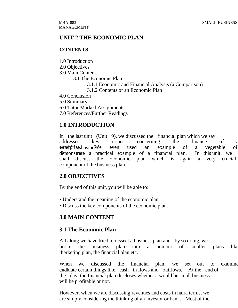# **UNIT 2 THE ECONOMIC PLAN**

# **CONTENTS**

1.0 Introduction

2.0 Objectives

3.0 Main Content

3.1 The Economic Plan

3.1.1 Economic and Financial Analysis (a Comparison)

3.1.2 Contents of an Economic Plan

4.0 Conclusion

5.0 Summary

6.0 Tutor Marked Assignments

7.0 References/Further Readings

# **1.0 INTRODUCTION**

In the last unit (Unit 9), we discussed the financial plan which we say addresses key issues concerning the finance of a **enterprise.** busine We even used an example of a vegetable oil **plant trate** a practical example of a financial plan. In this unit, we shall discuss the Economic plan which is again a very crucial component of the business plan.

# **2.0 OBJECTIVES**

By the end of this unit, you will be able to:

- Understand the meaning of the economic plan.
- Discuss the key components of the economic plan.

# **3.0 MAIN CONTENT**

# **3.1 The Economic Plan**

All along we have tried to dissect a business plan and by so doing, we broke the business plan into a number of smaller plans like the marketing plan, the financial plan etc.

When we discussed the financial plan, we set out to examine **and** uate certain things like cash in flows and outflows. At the end of the day, the financial plan discloses whether a would be small business will be profitable or not.

However, when we are discussing revenues and costs in naira terms, we are simply considering the thinking of an investor or bank. Most of the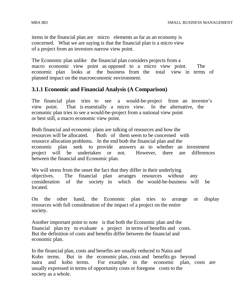items in the financial plan are micro elements as far as an economy is concerned. What we are saying is that the financial plan is a micro view of a project from an investors narrow view point.

The Economic plan unlike the financial plan considers projects from a macro economic view point as opposed to a micro view point. The economic plan looks at the business from the total view in terms of planned impact on the macroeconomic environment.

# **3.1.1 Economic and Financial Analysis (A Comparison)**

The financial plan tries to see a would-be-project from an investor's view point. That is essentially a micro view. In the alternative, the economic plan tries to see a would-be-project from a national view point or best still, a macro economic view point.

Both financial and economic plans are talking of resources and how the resources will be allocated. Both of them seem to be concerned with resource allocation problems. In the end both the financial plan and the economic plan seek to provide answers as to whether an investment project will be undertaken or not. However, there are differences between the financial and Economic plan.

We will stress from the onset the fact that they differ in their underlying objectives. The financial plan arranges resources without any consideration of the society in which the would-be-business will be located.

On the other hand, the Economic plan tries to arrange or display resources with full consideration of the impact of a project on the entire society.

Another important point to note is that both the Economic plan and the financial plan try to evaluate a project in terms of benefits and costs. But the definition of costs and benefits differ between the financial and economic plan.

In the financial plan, costs and benefits are usually reduced to Naira and Kobo terms. But in the economic plan, costs and benefits go beyond naira and kobo terms. For example in the economic plan, costs are usually expressed in terms of opportunity costs or foregone costs to the society as a whole.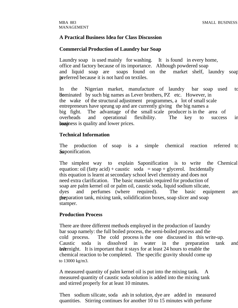#### **A Practical Business Idea for Class Discussion**

#### **Commercial Production of Laundry bar Soap**

Laundry soap is used mainly for washing. It is found in every home, office and factory because of its importance. Although powdered soap and liquid soap are soaps found on the market shelf, laundry soap ix preferred because it is not hard on textiles.

In the Nigerian market, manufacture of laundry bar soap used to be dominated by such big names as Lever brothers, PZ etc. However, in the wake of the structural adjustment programmes, a lot of small scale entrepreneurs have sprung up and are currently giving the big names a big fight. The advantage of the small scale producer is in the area of overheads and operational flexibility. The key to success in solar knows is quality and lower prices.

#### **Technical Information**

The production of soap is a simple chemical reaction referred to Saponification.

The simplest way to explain Saponification is to write the Chemical equation: oil (fatty acid) + caustic  $soda = soap + glycerol$ . Incidentally this equation is learnt at secondary school level chemistry and does not need extra clarification. The basic materials required for production of soap are palm kernel oil or palm oil, caustic soda, liquid sodium silicate, dyes and perfumes (where required). The basic equipment are the paration tank, mixing tank, solidification boxes, soap slicer and soap stamper.

#### **Production Process**

There are three different methods employed in the production of laundry bar soap namely: the full boiled process, the semi-boiled process and the cold process. The cold process is the one discussed in this write-up. Caustic soda is dissolved in water in the preparation tank and **left** error in the issue of the teast 24 hours to enable the the state of the state of the the state of the state of the state of the state of the state of the state of the state of the state of the state of the state of chemical reaction to be completed. The specific gravity should come up to 13000 kg/m3.

A measured quantity of palm kernel oil is put into the mixing tank. A measured quantity of caustic soda solution is added into the mixing tank and stirred properly for at least 10 minutes.

Then sodium silicate, soda ash in solution, dye are added in measured quantities. Stirring continues for another 10 to 15 minutes with perfume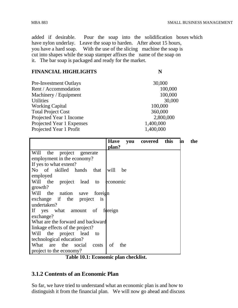added if desirable. Pour the soap into the solidification boxes which have nylon underlay. Leave the soap to harden. After about 15 hours, you have a hard soap. With the use of the slicing machine the soap is cut into shapes while the soap stamper affixes the name of the soap on it. The bar soap is packaged and ready for the market.

#### **FINANCIAL HIGHLIGHTS N**

| <b>Pre-Investment Outlays</b> | 30,000    |
|-------------------------------|-----------|
| Rent / Accommodation          | 100,000   |
| Machinery / Equipment         | 100,000   |
| <b>Utilities</b>              | 30,000    |
| <b>Working Capital</b>        | 100,000   |
| <b>Total Project Cost</b>     | 360,000   |
| Projected Year 1 Income       | 2,800,000 |
| Projected Year 1 Expenses     | 1,400,000 |
| Projected Year 1 Profit       | 1,400,000 |

|                                    | this<br><b>Have</b><br>you covered | the<br>1n |
|------------------------------------|------------------------------------|-----------|
|                                    | plan?                              |           |
| Will the project generate          |                                    |           |
| employment in the economy?         |                                    |           |
| If yes to what extent?             |                                    |           |
| No of skilled hands<br>that        | will<br>be                         |           |
| employed                           |                                    |           |
| Will the<br>project lead to        | economic                           |           |
| growth?                            |                                    |           |
| Will the<br>nation save<br>foreign |                                    |           |
| exchange if the project<br>is      |                                    |           |
| undertaken?                        |                                    |           |
| If<br>yes what amount of           | foreign                            |           |
| exchange?                          |                                    |           |
| What are the forward and backward  |                                    |           |
| linkage effects of the project?    |                                    |           |
| Will the project lead<br>to        |                                    |           |
| technological education?           |                                    |           |
| What<br>the social<br>are<br>costs | of<br>the                          |           |
| project to the economy?            |                                    |           |

**Table 10.1: Economic plan checklist.**

# **3.1.2 Contents of an Economic Plan**

So far, we have tried to understand what an economic plan is and how to distinguish it from the financial plan. We will now go ahead and discuss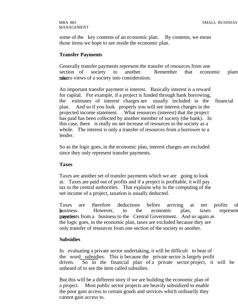some of the key contents of an economic plan. By contents, we mean those items we hope to see inside the economic plan.

#### **Transfer Payments**

Generally transfer payments represent the transfer of resources from one section of society to another. Remember that economic plans take row views of a society into consideration.

An important transfer payment is interest. Basically interest is a reward for capital. For example, if a project is funded through bank borrowing, the estimates of interest charges are usually included in the financial plan. And so if you look properly you will see interest charges in the projected income statement. What resources (interest) that the project has paid has been collected by another member of society (the bank). In this case, there is really no net increase of resources to the society as a whole. The interest is only a transfer of resources from a borrower to a lender.

So as the logic goes, in the economic plan, interest charges are excluded since they only represent transfer payments.

#### **Taxes**

Taxes are another set of transfer payments which we are going to look at. Taxes are paid out of profits and if a project is profitable, it will pay tax to the central authorities. That explains why in the computing of the net income of a project, taxation is usually deducted.

Taxes are therefore deductions before arriving at net profits of husiness. However, in the economic plan, taxes represent **transferments** from a business to the Central Government. And so again as the logic goes, in the economic plan, taxes are excluded because they are only transfer of resources from one section of the society to another.

#### **Subsidies**

In evaluating a private sector undertaking, it will be difficult to hear of the word subsidies. This is because the private sector is largely profit driven. So in the financial plan of a private sector project, it will be unheard of to see the item called subsidies.

But this will be a different story if we are building the economic plan of a project. Most public sector projects are heavily subsidized to enable the poor gain access to certain goods and services which ordinarily they cannot gain access to.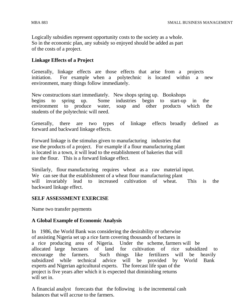Logically subsidies represent opportunity costs to the society as a whole. So in the economic plan, any subsidy so enjoyed should be added as part of the costs of a project.

#### **Linkage Effects of a Project**

Generally, linkage effects are those effects that arise from a projects initiation. For example when a polytechnic is located within a new environment, many things follow immediately.

New constructions start immediately. New shops spring up. Bookshops begins to spring up. Some industries begin to start-up in the environment to produce water, soap and other products which the students of the polytechnic will need.

Generally, there are two types of linkage effects broadly defined as forward and backward linkage effects.

Forward linkage is the stimulus given to manufacturing industries that use the products of a project. For example if a flour manufacturing plant is located in a town, it will lead to the establishment of bakeries that will use the flour. This is a forward linkage effect.

Similarly, flour manufacturing requires wheat as a raw material input. We can see that the establishment of a wheat flour manufacturing plant will invariably lead to increased cultivation of wheat. This is the backward linkage effect.

#### **SELF ASSESSMENT EXERCISE**

Name two transfer payments

#### **A Global Example of Economic Analysis**

In 1986, the World Bank was considering the desirability or otherwise of assisting Nigeria set up a rice farm covering thousands of hectares in a rice producing area of Nigeria. Under the scheme, farmers will be allocated large hectares of land for cultivation of rice subsidized to encourage the farmers. Such things like fertilizers will be heavily subsidized while technical advice will be provided by World Bank experts and Nigerian agricultural experts. The forecast life span of the project is five years after which it is expected that diminishing returns will set in.

A financial analyst forecasts that the following is the incremental cash balances that will accrue to the farmers.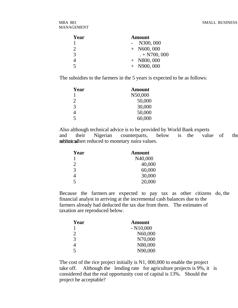| Year          | <b>Amount</b> |
|---------------|---------------|
|               | N300,000      |
| $\mathcal{D}$ | $+$ N600,000  |
| 3             | $+ N700,000$  |
|               | $+$ N800, 000 |
| 5             | $+$ N900, 000 |

The subsidies to the farmers in the 5 years is expected to be as follows:

| Year                        | <b>Amount</b> |
|-----------------------------|---------------|
|                             | N50,000       |
| $\mathcal{D}_{\mathcal{L}}$ | 50,000        |
| 3                           | 30,000        |
|                             | 50,000        |
| 5                           | 60,000        |

Also although technical advice is to be provided by World Bank experts and their Nigerian counterparts, below is the value of the technical hen reduced to monetary naira values.

| Year           | <b>Amount</b> |
|----------------|---------------|
|                | N40,000       |
| $\overline{2}$ | 40,000        |
| 3              | 60,000        |
| 4              | 30,000        |
| 5              | 20,000        |

Because the farmers are expected to pay tax as other citizens do, the financial analyst in arriving at the incremental cash balances due to the farmers already had deducted the tax due from them. The estimates of taxation are reproduced below.

| Year                        | <b>Amount</b> |
|-----------------------------|---------------|
|                             | $- N10,000$   |
| $\mathcal{D}_{\mathcal{L}}$ | N60,000       |
| $\mathcal{R}$               | N70,000       |
|                             | N80,000       |
| 5                           | N90,000       |

The cost of the rice project initially is N1, 000,000 to enable the project take off. Although the lending rate for agriculture projects is 9%, it is considered that the real opportunity cost of capital is 13%. Should the project be acceptable?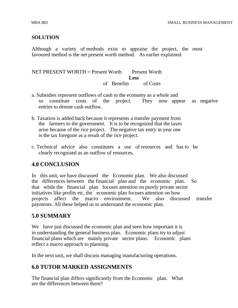### **SOLUTION**

Although a variety of methods exist to appraise the project, the most favoured method is the net present worth method. As earlier explained.

NET PRESENT WORTH = Present Worth Present Worth **Less** of Benefits of Costs

- a. Subsidies represent outflows of cash to the economy as a whole and so constitute costs of the project. They now appear as negative entries to denote cash outflow.
- b. Taxation is added back because it represents a transfer payment from the farmers to the government. It is to be recognized that the taxes arise because of the rice project. The negative tax entry in year one is the tax foregone as a result of the rice project.
- c. Technical advice also constitutes a use of resources and has to be clearly recognised as an outflow of resources.

# **4.0 CONCLUSION**

In this unit, we have discussed the Economic plan. We also discussed the differences between the financial plan and the economic plan. So that while the financial plan focuses attention on purely private sector initiatives like profits etc, the economic plan focuses attention on how projects affect the macro environment. We also discussed transfer payments. All these helped us to understand the economic plan.

# **5.0 SUMMARY**

We have just discussed the economic plan and seen how important it is in understanding the general business plan. Economic plans try to adjust financial plans which are mainly private sector plans. Economic plans reflect a macro approach to planning.

In the next unit, we shall discuss managing manufacturing operations.

# **6.0 TUTOR MARKED ASSIGNMENTS**

The financial plan differs significantly from the Economic plan. What are the differences between them?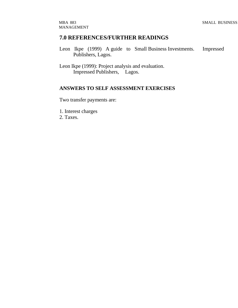# **7.0 REFERENCES/FURTHER READINGS**

- Leon Ikpe (1999) A guide to Small Business Investments. Impressed Publishers, Lagos.
- Leon Ikpe (1999): Project analysis and evaluation. Impressed Publishers, Lagos.

# **ANSWERS TO SELF ASSESSMENT EXERCISES**

Two transfer payments are:

- 1. Interest charges
- 2. Taxes.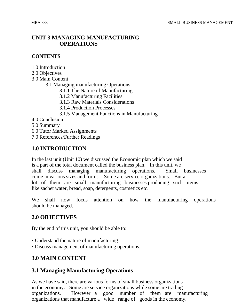# **UNIT 3 MANAGING MANUFACTURING OPERATIONS**

# **CONTENTS**

- 1.0 Introduction
- 2.0 Objectives
- 3.0 Main Content
	- 3.1 Managing manufacturing Operations
		- 3.1.1 The Nature of Manufacturing
		- 3.1.2 Manufacturing Facilities
		- 3.1.3 Raw Materials Considerations
		- 3.1.4 Production Processes
		- 3.1.5 Management Functions in Manufacturing
- 4.0 Conclusion
- 5.0 Summary
- 6.0 Tutor Marked Assignments
- 7.0 References/Further Readings

# **1.0 INTRODUCTION**

In the last unit (Unit 10) we discussed the Economic plan which we said is a part of the total document called the business plan. In this unit, we shall discuss managing manufacturing operations. Small businesses come in various sizes and forms. Some are service organizations. But a lot of them are small manufacturing businesses producing such items like sachet water, bread, soap, detergents, cosmetics etc.

We shall now focus attention on how the manufacturing operations should be managed.

# **2.0 OBJECTIVES**

By the end of this unit, you should be able to:

- Understand the nature of manufacturing
- Discuss management of manufacturing operations.

# **3.0 MAIN CONTENT**

# **3.1 Managing Manufacturing Operations**

As we have said, there are various forms of small business organizations in the economy. Some are service organizations while some are trading organizations. However a good number of them are manufacturing organizations that manufacture a wide range of goods in the economy.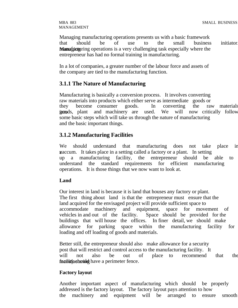Managing manufacturing operations presents us with a basic framework that should be of use to the small business initiator. **Manufacturing operations is a very challenging task especially where the** entrepreneur has had no formal training in manufacturing.

In a lot of companies, a greater number of the labour force and assets of the company are tied to the manufacturing function.

# **3.1.1 The Nature of Manufacturing**

Manufacturing is basically a conversion process. It involves converting raw materials into products which either serve as intermediate goods or they become consumer goods. In converting the raw materials into gods, plant and machinery are used. We will now critically follow some basic steps which will take us through the nature of manufacturing and the basic important things.

# **3.1.2 Manufacturing Facilities**

We should understand that manufacturing does not take place in a vaccum. It takes place in a setting called a factory or a plant. In setting up a manufacturing facility, the entrepreneur should be able to understand the standard requirements for efficient manufacturing operations. It is those things that we now want to look at.

# **Land**

Our interest in land is because it is land that houses any factory or plant. The first thing about land is that the entrepreneur must ensure that the land acquired for the envisaged project will provide sufficient space to accommodate machinery and equipment, space for movement of vehicles in and out of the facility. Space should be provided for the buildings that will house the offices. In finer detail, we should make allowance for parking space within the manufacturing facility for loading and off loading of goods and materials.

Better still, the entrepreneur should also make allowance for a security post that will restrict and control access to the manufacturing facility. It will not also be out of place to recommend that the facility facturing have a perimeter fence.

# **Factory layout**

Another important aspect of manufacturing which should be properly addressed is the factory layout. The factory layout pays attention to how the machinery and equipment will be arranged to ensure smooth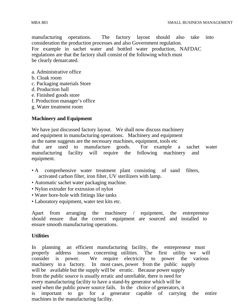manufacturing operations. The factory layout should also take into consideration the production processes and also Government regulation. For example in sachet water and bottled water production, NAFDAC regulations are that the factory shall consist of the following which must be clearly demarcated.

- a. Administrative office
- b. Cloak room
- c. Packaging materials Store
- d. Production hall
- e. Finished goods store
- f. Production manager's office
- g. Water treatment room

#### **Machinery and Equipment**

We have just discussed factory layout. We shall now discuss machinery and equipment in manufacturing operations. Machinery and equipment as the name suggests are the necessary machines, equipment, tools etc that are used to manufacture goods. For example a sachet water manufacturing facility will require the following machinery and equipment.

- A comprehensive water treatment plant consisting of sand filters, activated carbon filter, iron filter, UV sterilizers with lamp.
- Automatic sachet water packaging machine.
- Nylon extruder for extrusion of nylon
- Water bore-hole with fittings like tanks
- Laboratory equipment, water test kits etc.

Apart from arranging the machinery / equipment, the entrepreneur should ensure that the correct equipment are sourced and installed to ensure smooth manufacturing operations.

#### **Utilities**

In planning an efficient manufacturing facility, the entrepreneur must properly address issues concerning utilities. The first utility we will consider is power. We require electricity to power the various machinery in a factory. In most cases, power from the public supply will be available but the supply will be erratic. Because power supply from the public source is usually erratic and unreliable, there is need for every manufacturing facility to have a stand-by generator which will be used when the public power source fails. In the choice of generators, it is important to go for a generator capable of carrying the entire machines in the manufacturing facility.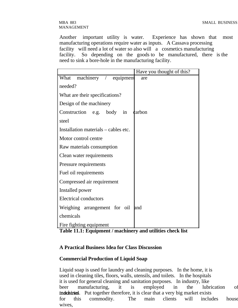# MANAGEMENT

Another important utility is water. Experience has shown that most manufacturing operations require water as inputs. A Cassava processing facility will need a lot of water so also will a cosmetics manufacturing facility. So depending on the goods to be manufactured, there is the need to sink a bore-hole in the manufacturing facility.

|                                         | Have you thought of this? |  |
|-----------------------------------------|---------------------------|--|
| machinery<br>What<br>$\angle$ equipment | are                       |  |
| needed?                                 |                           |  |
| What are their specifications?          |                           |  |
| Design of the machinery                 |                           |  |
| Construction e.g. body in               | <b>c</b> arbon            |  |
| steel                                   |                           |  |
| Installation materials – cables etc.    |                           |  |
| Motor control centre                    |                           |  |
| Raw materials consumption               |                           |  |
| Clean water requirements                |                           |  |
| Pressure requirements                   |                           |  |
| Fuel oil requirements                   |                           |  |
| Compressed air requirement              |                           |  |
| Installed power                         |                           |  |
| <b>Electrical conductors</b>            |                           |  |
| Weighing arrangement for oil            | and                       |  |
| chemicals                               |                           |  |
| Fire fighting equipment                 |                           |  |

**Table 11.1: Equipment / machinery and utilities check list**

#### **A Practical Business Idea for Class Discussion**

#### **Commercial Production of Liquid Soap**

Liquid soap is used for laundry and cleaning purposes. In the home, it is used in cleaning tiles, floors, walls, utensils, and toilets. In the hospitals it is used for general cleaning and sanitation purposes. In industry, like beer manufacturing, it is employed in the lubrication of industines. Put together therefore, it is clear that a very big market exists for this commodity. The main clients will includes house wives,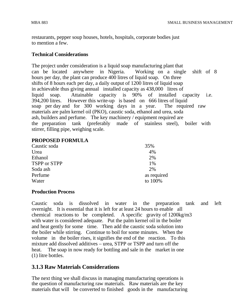restaurants, pepper soup houses, hotels, hospitals, corporate bodies just to mention a few.

#### **Technical Considerations**

The project under consideration is a liquid soap manufacturing plant that can be located anywhere in Nigeria. Working on a single shift of 8 hours per day, the plant can produce 400 litres of liquid soap. On three shifts of 8 hours each per day, a daily output of 1200 litres of liquid soap in achievable thus giving annual installed capacity as 438,000 litres of liquid soap. Attainable capacity is 90% of installed capacity i.e. 394,200 litres. However this write-up is based on 666 litres of liquid soap per day and for 300 working days in a year. The required raw materials are palm kernel oil (PKO), caustic soda, ethanol and urea, soda ash, builders and perfume. The key machinery / equipment required are the preparation tank (preferably made of stainless steel), boiler with stirrer, filling pipe, weighing scale.

#### **PROPOSED FORMULA**

| Caustic soda | 35%         |
|--------------|-------------|
| Urea         | 4%          |
| Ethanol      | 2%          |
| TSPP or STPP | 1%          |
| Soda ash     | 2%          |
| Perfume      | as required |
| Water        | to 100%     |
|              |             |

#### **Production Process**

Caustic soda is dissolved in water in the preparation tank and left overnight. It is essential that it is left for at least 24 hours to enable all chemical reactions to be completed. A specific gravity of 1200kg/m3 with water is considered adequate. Put the palm kernel oil in the boiler and heat gently for some time. Then add the caustic soda solution into the boiler while stirring. Continue to boil for some minutes. When the volume in the boiler rises, it signifies the end of the reaction. To this mixture add dissolved additives – urea, STPP or TSPP and turn off the heat. The soap in now ready for bottling and sale in the market in one (1) litre bottles.

# **3.1.3 Raw Materials Considerations**

The next thing we shall discuss in managing manufacturing operations is the question of manufacturing raw materials. Raw materials are the key materials that will be converted to finished goods in the manufacturing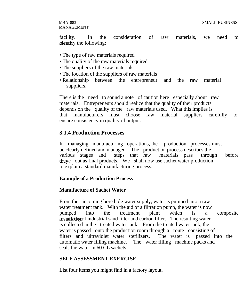facility. In the consideration of raw materials, we need to identify the following:

- The type of raw materials required
- The quality of the raw materials required
- The suppliers of the raw materials
- The location of the suppliers of raw materials
- Relationship between the entrepreneur and the raw material suppliers.

There is the need to sound a note of caution here especially about raw materials. Entrepreneurs should realize that the quality of their products depends on the quality of the raw materials used. What this implies is that manufacturers must choose raw material suppliers carefully to ensure consistency in quality of output.

# **3.1.4 Production Processes**

In managing manufacturing operations, the production processes must be clearly defined and managed. The production process describes the various stages and steps that raw materials pass through before **theore** out as final products. We shall now use sachet water production to explain a standard manufacturing process.

#### **Example of a Production Process**

#### **Manufacture of Sachet Water**

From the incoming bore hole water supply, water is pumped into a raw water treatment tank. With the aid of a filtration pump, the water is now pumped into the treatment plant which is a composite **constrail integral constraint consistent consistent in the resulting water** and carbon filter. The resulting water is collected in the treated water tank. From the treated water tank, the water is passed onto the production room through a route consisting of filters and ultraviolet water sterilizers. The water is passed into the automatic water filling machine. The water filling machine packs and seals the water in 60 CL sachets.

#### **SELF ASSESSMENT EXERCISE**

List four items you might find in a factory layout.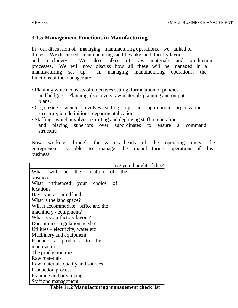# **3.1.5 Management Functions in Manufacturing**

In our discussion of managing manufacturing operations, we talked of things. We discussed manufacturing facilities like land, factory layout and machinery. We also talked of raw materials and production processes. We will now discuss how all these will be managed in a manufacturing set up. In managing manufacturing operations, the functions of the manager are:

- Planning which consists of objectives setting, formulation of policies and budgets. Planning also covers raw materials planning and output plans.
- Organizing which involves setting up an appropriate organization structure, job definitions, departmentalization.
- Staffing which involves recruiting and deploying staff to operations and placing superiors over subordinates to ensure a command structure

Now working through the various heads of the operating units, the entrepreneur is able to manage the manufacturing operations of his business.

|                                    | Have you thought of this? |
|------------------------------------|---------------------------|
| What will be the location          | of the                    |
| business?                          |                           |
| What influenced your choice        | of                        |
| location?                          |                           |
| Have you acquired land?            |                           |
| What is the land space?            |                           |
| Will it accommodate office and the |                           |
| machinery / equipment?             |                           |
| What is your factory layout?       |                           |
| Does it meet regulation needs?     |                           |
| Utilities – electricity, water etc |                           |
| Machinery and equipment            |                           |
| Product / products to<br>be        |                           |
| manufactured                       |                           |
| The production mix                 |                           |
| Raw materials                      |                           |
| Raw materials quality and sources  |                           |
| Production process                 |                           |
| Planning and organizing            |                           |
| Staff and management               |                           |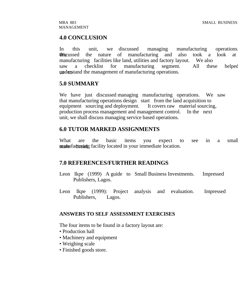#### **4.0 CONCLUSION**

In this unit, we discussed managing manufacturing operations. We used the nature of manufacturing and also took a look at manufacturing facilities like land, utilities and factory layout. We also saw a checklist for manufacturing segment. All these helped understand the management of manufacturing operations.

#### **5.0 SUMMARY**

We have just discussed managing manufacturing operations. We saw that manufacturing operations design start from the land acquisition to equipment sourcing and deployment. It covers raw material sourcing, production process management and management control. In the next unit, we shall discuss managing service based operations.

#### **6.0 TUTOR MARKED ASSIGNMENTS**

What are the basic items you expect to see in a small scale braad manufacturing facility located in your immediate location.

## **7.0 REFERENCES/FURTHER READINGS**

- Leon Ikpe (1999) A guide to Small Business Investments. Impressed Publishers, Lagos.
- Leon Ikpe (1999): Project analysis and evaluation. Impressed Publishers, Lagos.

#### **ANSWERS TO SELF ASSESSMENT EXERCISES**

The four items to be found in a factory layout are:

- Production hall
- Machinery and equipment
- Weighing scale
- Finished goods store.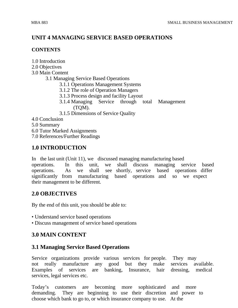## **UNIT 4 MANAGING SERVICE BASED OPERATIONS**

#### **CONTENTS**

- 1.0 Introduction
- 2.0 Objectives
- 3.0 Main Content
	- 3.1 Managing Service Based Operations
		- 3.1.1 Operations Management Systems
		- 3.1.2 The role of Operation Managers
		- 3.1.3 Process design and facility Layout
		- 3.1.4 Managing Service through total Management (TQM).
		- 3.1.5 Dimensions of Service Quality
- 4.0 Conclusion
- 5.0 Summary
- 6.0 Tutor Marked Assignments
- 7.0 References/Further Readings

## **1.0 INTRODUCTION**

In the last unit (Unit 11), we discussed managing manufacturing based operations. In this unit, we shall discuss managing service based operations. As we shall see shortly, service based operations differ significantly from manufacturing based operations and so we expect their management to be different.

## **2.0 OBJECTIVES**

By the end of this unit, you should be able to:

- Understand service based operations
- Discuss management of service based operations

## **3.0 MAIN CONTENT**

## **3.1 Managing Service Based Operations**

Service organizations provide various services for people. They may not really manufacture any good but they make services available. Examples of services are banking, Insurance, hair dressing, medical services, legal services etc.

Today's customers are becoming more sophisticated and more demanding. They are beginning to use their discretion and power to choose which bank to go to, or which insurance company to use. At the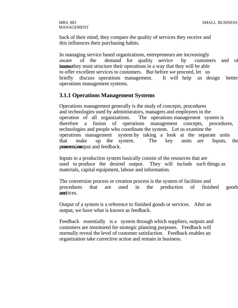MANAGEMENT

back of their mind, they compare the quality of services they receive and this influences their purchasing habits.

In managing service based organizations, entrepreneurs are increasingly aware of the demand for quality service by customers and of **kourse** know they must structure their operations in a way that they will be able to offer excellent services to customers. But before we proceed, let us briefly discuss operations management. It will help us design better operations management systems.

## **3.1.1 Operations Management Systems**

Operations management generally is the study of concepts, procedures and technologies used by administrators, managers and employees in the operation of all organizations. The operations management system is therefore a fusion of operations management concepts, procedures, technologies and people who coordinate the system. Let us examine the operations management system by taking a look at the separate units that make up the system. The key units are Inputs, the poncess, joutput and feedback.

Inputs to a production system basically consist of the resources that are used to produce the desired output. They will include such things as materials, capital equipment, labour and information.

The conversion process or creation process is the system of facilities and procedures that are used in the production of finished goods services.

Output of a system is a reference to finished goods or services. After an output, we have what is known as feedback.

Feedback essentially is a system through which suppliers, outputs and customers are monitored for strategic planning purposes. Feedback will normally reveal the level of customer satisfaction. Feedback enables an organization take corrective action and remain in business.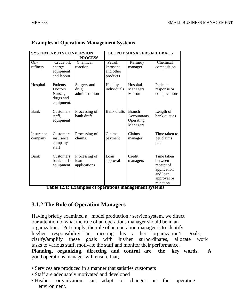| <b>SYSTEM INPUTS CONVERSION</b> |                                                                   | <b>OUTPUT MANAGERS FEEDBACK</b>       |                                              |                                                        |                                                                                            |
|---------------------------------|-------------------------------------------------------------------|---------------------------------------|----------------------------------------------|--------------------------------------------------------|--------------------------------------------------------------------------------------------|
|                                 |                                                                   | <b>PROCESS</b>                        |                                              |                                                        |                                                                                            |
| $Oil-$<br>refinery              | Crude oil,<br>energy<br>equipment<br>and labour                   | Chemical<br>reaction                  | Petrol,<br>kerosene<br>and other<br>products | Refinery<br>manager                                    | Chemical<br>composition                                                                    |
| Hospital                        | Patients,<br><b>Doctors</b><br>Nurses,<br>drugs and<br>equipment. | Surgery and<br>drug<br>administration | Healthy<br>individuals                       | Hospital<br>Managers<br>Matron                         | Patients<br>response or<br>complications                                                   |
| Bank                            | <b>Customers</b><br>staff.<br>equipment                           | Processing of<br>bank draft           | <b>Bank</b> drafts                           | <b>Branch</b><br>Accountants.<br>Operating<br>Managers | Length of<br>bank queues                                                                   |
| Insurance<br>company            | Customers<br>insurance<br>company<br>staff                        | Processing of<br>claims.              | Claims<br>payment                            | Claims<br>manager                                      | Time taken to<br>get claims<br>paid                                                        |
| <b>Bank</b>                     | <b>Customers</b><br>bank staff<br>equipment                       | Processing of<br>loan<br>applications | Loan<br>approval                             | Credit<br>managers                                     | Time taken<br>between<br>receipt of<br>application<br>and loan<br>approval or<br>rejection |

## **Examples of Operations Management Systems**

**Table 12.1: Examples of operations management systems**

## **3.1.2 The Role of Operation Managers**

Having briefly examined a model production / service system, we direct our attention to what the role of an operations manager should be in an organization. Put simply, the role of an operation manager is to identify his/her responsibility in meeting his / her organization's goals, clarify/amplify these goals with his/her surbordinates, allocate work tasks to various staff, motivate the staff and monitor their performance. **Planning, organizing, directing and control are the key words. A**  good operations manager will ensure that;

- Services are produced in a manner that satisfies customers
- Staff are adequately motivated and developed
- His/her organization can adapt to changes in the operating environment.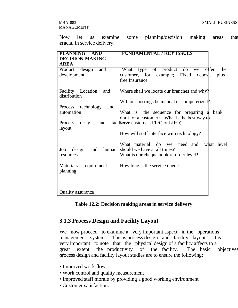Now let us examine some planning/decision making areas that are cial in service delivery.

| <b>PLANNING AND</b>                        | <b>FUNDAMENTAL / KEY ISSUES</b>                                         |
|--------------------------------------------|-------------------------------------------------------------------------|
| <b>DECISION-MAKING</b>                     |                                                                         |
| <b>AREA</b>                                |                                                                         |
| Product design<br>and                      | What type of product do we<br>offer<br>the                              |
| development                                | customer, for example; Fixed<br>deposit<br>plus                         |
|                                            | free Insurance                                                          |
|                                            |                                                                         |
| Facility Location<br>and                   | Where shall we locate our branches and why?                             |
| distribution                               |                                                                         |
| technology<br>and<br>Process               | Will our postings be manual or computerized.                            |
| automation                                 | What is the sequence for preparing<br>bank                              |
|                                            | draft for a customer? What is the best way to                           |
| design<br>and<br>Process                   | fac listerve customer (FIFO or LIFO).                                   |
| layout                                     |                                                                         |
|                                            | How will staff interface with technology?                               |
|                                            |                                                                         |
|                                            | What material do<br>need and<br>what level<br>we                        |
| design<br>human<br>Job<br>and<br>resources | should we have at all times?<br>What is our cheque book re-order level? |
|                                            |                                                                         |
| Materials<br>requirement                   | How long is the service queue                                           |
| planning                                   |                                                                         |
|                                            |                                                                         |
|                                            |                                                                         |
|                                            |                                                                         |
| <b>Quality assurance</b>                   |                                                                         |

#### **Table 12.2: Decision making areas in service delivery**

#### **3.1.3 Process Design and Facility Layout**

We now proceed to examine a very important aspect in the operations management system. This is process design and facility layout. It is very important to note that the physical design of a facility affects to a great extent the productivity of the facility. The basic objectives of process design and facility layout studies are to ensure the following;

- Improved work flow
- Work control and quality measurement
- Improved staff morale by providing a good working environment
- Customer satisfaction.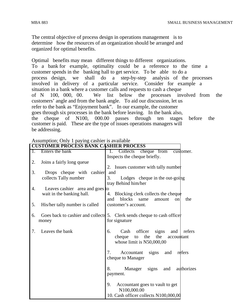The central objective of process design in operations management is to determine how the resources of an organization should be arranged and organized for optimal benefits.

Optimal benefits may mean different things to different organizations. To a bank for example, optimality could be a reference to the time a customer spends in the banking hall to get service. To be able to do a process design, we shall do a step-by-step analysis of the processes involved in delivery of a particular service. Consider for example a situation in a bank where a customer calls and requests to cash a cheque of N 100, 000, 00. We list below the processes involved from the customers' angle and from the bank angle. To aid our discussion, let us refer to the bank as "Enjoyment bank". In our example, the customer goes through six processes in the bank before leaving. In the bank also, the cheque of N100, 000.00 passes through ten stages before the customer is paid. These are the type of issues operations managers will be addressing.

| <b>CUSTOMER PROCESS BANK CASHIER PROCESS</b> |                                 |                                                                         |            |  |
|----------------------------------------------|---------------------------------|-------------------------------------------------------------------------|------------|--|
| 1.                                           | Enters the bank                 | Collects cheque from<br>1.<br>customer.                                 |            |  |
|                                              |                                 | Inspects the cheque briefly.                                            |            |  |
| 2.                                           | Joins a fairly long queue       |                                                                         |            |  |
|                                              |                                 | 2. Issues customer with tally number                                    |            |  |
| 3.                                           | Drops cheque with cashier       | and                                                                     |            |  |
|                                              | collects Tally number           | 3. Lodges cheque in the out-going                                       |            |  |
|                                              |                                 | tray Behind him/her                                                     |            |  |
| 4.                                           | Leaves cashier area and goes to |                                                                         |            |  |
|                                              | wait in the banking hall.       | 4. Blocking clerk collects the cheque                                   |            |  |
|                                              |                                 | blocks<br>and<br>same<br>amount<br>on                                   | the        |  |
| 5.                                           | His/her tally number is called  | customer's account.                                                     |            |  |
|                                              |                                 |                                                                         |            |  |
| 6.                                           |                                 | Goes back to cashier and collects 5. Clerk sends cheque to cash officer |            |  |
|                                              | money                           | for signature                                                           |            |  |
| 7.                                           | Leaves the bank                 | Cash officer<br>6.<br>signs<br>and                                      | refers     |  |
|                                              |                                 | the<br>the<br>cheque<br>to<br>accountant                                |            |  |
|                                              |                                 | whose limit is N50,000,00                                               |            |  |
|                                              |                                 |                                                                         |            |  |
|                                              |                                 | 7.<br>refers<br>signs<br>Accountant<br>and                              |            |  |
|                                              |                                 | cheque to Manager                                                       |            |  |
|                                              |                                 |                                                                         |            |  |
|                                              |                                 | 8.<br>signs<br>Manager<br>and                                           | authorizes |  |
|                                              |                                 | payment.                                                                |            |  |
|                                              |                                 |                                                                         |            |  |
|                                              |                                 | 9.<br>Accountant goes to vault to get                                   |            |  |
|                                              |                                 | N100,000.00                                                             |            |  |
|                                              |                                 | 10. Cash officer collects N100,000,00                                   |            |  |

Assumption; Only 1 paying cashier is available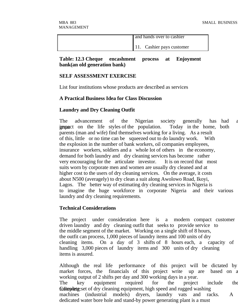| and hands over to cashier |
|---------------------------|
| 11. Cashier pays customer |

#### **Table: 12.3 Cheque encashment process at Enjoyment bank(an old generation bank)**

#### **SELF ASSESSMENT EXERCISE**

List four institutions whose products are described as services

#### **A Practical Business Idea for Class Discussion**

#### **Laundry and Dry Cleaning Outfit**

The advancement of the Nigerian society generally has had a **great** improvement in the life styles of the population. Today in the home, both parents (man and wife) find themselves working for a living. As a result of this, little or no time can be squeezed out to do laundry work. With the explosion in the number of bank workers, oil companies employees, insurance workers, soldiers and a whole lot of others in the economy, demand for both laundry and dry cleaning services has become rather very encouraging for the articulate investor. It is on record that most suits worn by corporate men and women are usually dry cleaned and at higher cost to the users of dry cleaning services. On the average, it costs about N500 (averagely) to dry clean a suit along Awolowo Road, Ikoyi, Lagos. The better way of estimating dry cleaning services in Nigeria is to imagine the huge workforce in corporate Nigeria and their various laundry and dry cleaning requirements.

#### **Technical Considerations**

The project under consideration here is a modern compact customer driven laundry and dry cleaning outfit that seeks to provide service to the middle segment of the market. Working on a single shift of 8 hours, the outfit can process, 1,000 pieces of laundry items and 100 units of dry cleaning items. On a day of 3 shifts of 8 hours each, a capacity of handling 3,000 pieces of laundry items and 300 units of dry cleaning items is assured.

Although the real life performance of this project will be dictated by market forces, the financials of this project write up are based on a working output of 2 shifts per day and 300 working days in a year. The key equipment required for the project include the following: set of dry cleaning equipment, high speed and rugged washing machines (industrial models) dryers, laundry vats and racks. A dedicated water bore hole and stand-by power generating plant is a must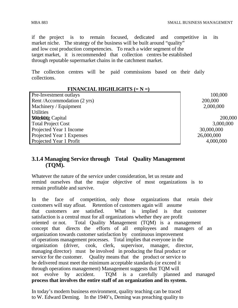if the project is to remain focused, dedicated and competitive in its market niche. The strategy of the business will be built around "quality" and low cost production competencies. To reach a wider segment of the target market, it is recommended that collection centres be established through reputable supermarket chains in the catchment market.

The collection centres will be paid commissions based on their daily collections.

| FINANCIAL HIGHLIGHTS (= N =) |            |
|------------------------------|------------|
| Pre-Investment outlays       | 100,000    |
| Rent /Accommodation (2 yrs)  | 200,000    |
| Machinery / Equipment        | 2,000,000  |
| Utilities                    |            |
| <b>SOOrking Capital</b>      | 200,000    |
| Total Project Cost           | 3,000,000  |
| Projected Year 1 Income      | 30,000,000 |
| Projected Year 1 Expenses    | 26,000,000 |
| Projected Year 1 Profit      | 4,000,000  |

## **FINANCIAL HIGHLIGHTS (= N =)**

## **3.1.4 Managing Service through Total Quality Management (TQM).**

Whatever the nature of the service under consideration, let us restate and remind ourselves that the major objective of most organizations is to remain profitable and survive.

In the face of competition, only those organizations that retain their customers will stay afloat. Retention of customers again will assume that customers are satisfied. What is implied is that customer satisfaction is a central must for all organizations whether they are profit oriented or not. Total Quality Management (TQM) is a management concept that directs the efforts of all employees and managers of an organization towards customer satisfaction by continuous improvement of operations management processes. Total implies that everyone in the organization (driver, cook, clerk, supervisor, manager, director, managing director) must be involved in producing the final product or service for the customer. Quality means that the product or service to be delivered must meet the minimum acceptable standards (or exceed it through operations management) Management suggests that TQM will not evolve by accident. TQM is a carefully planned and managed **process that involves the entire staff of an organization and its system.**

In today's modern business environment, quality teaching can be traced to W. Edward Deming. In the 1940's, Deming was preaching quality to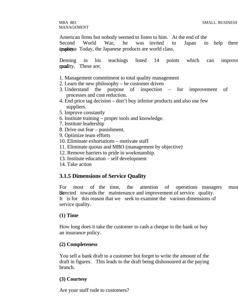American firms but nobody seemed to listen to him. At the end of the

Second World War, he was invited to Japan to help them implion in Today, the Japanese products are world class.

Deming in his teachings listed 14 points which can improve totality. These are;

- 1. Management commitment to total quality management
- 2. Learn the new philosophy be customer driven
- 3. Understand the purpose of inspection for improvement of processes and cost reduction.
- 4. End price tag decision don't buy inferior products and also use few suppliers.
- 5. Improve constantly
- 6. Institute training proper tools and knowledge.
- 7. Institute leadership
- 8. Drive out fear punishment.
- 9. Optimize team efforts
- 10. Eliminate exhortations motivate staff
- 11. Eliminate quotas and MBO (management by objective)
- 12. Remove barriers to pride in workmanship.
- 13. Institute education self development
- 14. Take action

## **3.1.5 Dimensions of Service Quality**

For most of the time, the attention of operations managers must be directed towards the maintenance and improvement of service quality. It is for this reason that we seek to examine the various dimensions of service quality.

#### **(1) Time**

How long does it take the customer to cash a cheque in the bank or buy an insurance policy.

#### **(2) Completeness**

You sell a bank draft to a customer but forget to write the amount of the draft in figures. This leads to the draft being dishonoured at the paying branch.

#### **(3) Courtesy**

Are your staff rude to customers?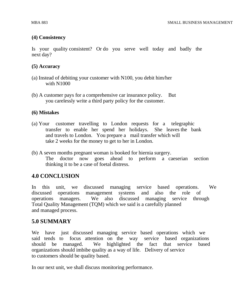#### **(4) Consistency**

Is your quality consistent? Or do you serve well today and badly the next day?

#### **(5) Accuracy**

- (a) Instead of debiting your customer with N100, you debit him/her with N1000
- (b) A customer pays for a comprehensive car insurance policy. But you carelessly write a third party policy for the customer.

#### **(6) Mistakes**

- (a) Your customer travelling to London requests for a telegraphic transfer to enable her spend her holidays. She leaves the bank and travels to London. You prepare a mail transfer which will take 2 weeks for the money to get to her in London.
- (b) A seven months pregnant woman is booked for hiernia surgery. The doctor now goes ahead to perform a caeserian section thinking it to be a case of foetal distress.

## **4.0 CONCLUSION**

In this unit, we discussed managing service based operations. We discussed operations management systems and also the role of operations managers. We also discussed managing service through Total Quality Management (TQM) which we said is a carefully planned and managed process.

## **5.0 SUMMARY**

We have just discussed managing service based operations which we said tends to focus attention on the way service based organizations should be managed. We highlighted the fact that service based organizations should imbibe quality as a way of life. Delivery of service to customers should be quality based.

In our next unit, we shall discuss monitoring performance.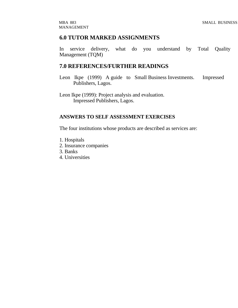## **6.0 TUTOR MARKED ASSIGNMENTS**

In service delivery, what do you understand by Total Quality Management (TQM)

## **7.0 REFERENCES/FURTHER READINGS**

Leon Ikpe (1999) A guide to Small Business Investments. Impressed Publishers, Lagos.

Leon Ikpe (1999): Project analysis and evaluation. Impressed Publishers, Lagos.

## **ANSWERS TO SELF ASSESSMENT EXERCISES**

The four institutions whose products are described as services are:

- 1. Hospitals
- 2. Insurance companies
- 3. Banks
- 4. Universities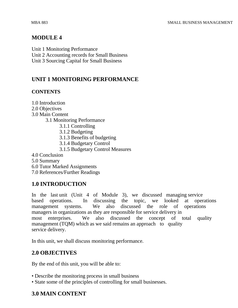## **MODULE 4**

Unit 1 Monitoring Performance

Unit 2 Accounting records for Small Business

Unit 3 Sourcing Capital for Small Business

## **UNIT 1 MONITORING PERFORMANCE**

## **CONTENTS**

1.0 Introduction

2.0 Objectives

- 3.0 Main Content
	- 3.1 Monitoring Performance
		- 3.1.1 Controlling
		- 3.1.2 Budgeting
		- 3.1.3 Benefits of budgeting
		- 3.1.4 Budgetary Control
		- 3.1.5 Budgetary Control Measures
- 4.0 Conclusion
- 5.0 Summary

6.0 Tutor Marked Assignments

7.0 References/Further Readings

## **1.0 INTRODUCTION**

In the last unit (Unit 4 of Module 3), we discussed managing service based operations. In discussing the topic, we looked at operations management systems. We also discussed the role of operations managers in organizations as they are responsible for service delivery in most enterprises. We also discussed the concept of total quality management (TQM) which as we said remains an approach to quality service delivery.

In this unit, we shall discuss monitoring performance.

## **2.0 OBJECTIVES**

By the end of this unit, you will be able to:

- Describe the monitoring process in small business
- State some of the principles of controlling for small businesses.

## **3.0 MAIN CONTENT**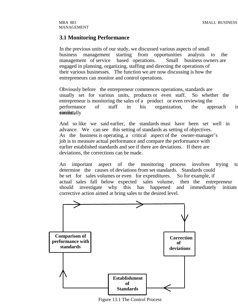## **3.1 Monitoring Performance**

In the previous units of our study, we discussed various aspects of small business management starting from opportunities analysis to the management of service based operations. Small business owners are engaged in planning, organizing, staffing and directing the operations of their various businesses. The function we are now discussing is how the entrepreneurs can monitor and control operations.

Obviously before the entrepreneur commences operations, standards are usually set for various units, products or even staff. So whether the entrepreneur is monitoring the sales of a product or even reviewing the performance of staff in his organization, the approach is sissentially

And so like we said earlier, the standards must have been set well in advance. We can see this setting of standards as setting of objectives. As the business is operating, a critical aspect of the owner-manager's job is to measure actual performance and compare the performance with earlier established standards and see if there are deviations. If there are deviations, the corrections can be made.

An important aspect of the monitoring process involves trying to determine the causes of deviations from set standards. Standards could be set for sales volumes or even for expenditures. So for example, if actual sales fall below expected sales volume, then the entrepreneur should investigate why this has happened and immediately initiate corrective action aimed at bring sales to the desired level.



Figure 13.1 The Control Process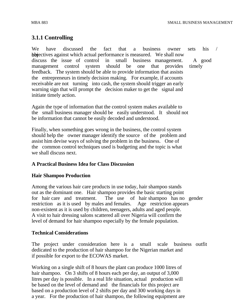## **3.1.1 Controlling**

We have discussed the fact that a business owner sets his / herefore against which actual performance is measured. We shall now discuss the issue of control in small business management. A good management control system should be one that provides timely feedback. The system should be able to provide information that assists the entrepreneurs in timely decision making. For example, if accounts receivable are not turning into cash, the system should trigger an early warning sign that will prompt the decision maker to get the signal and initiate timely action.

Again the type of information that the control system makes available to the small business manager should be easily understood. It should not be information that cannot be easily decoded and understood.

Finally, when something goes wrong in the business, the control system should help the owner manager identify the source of the problem and assist him devise ways of solving the problem in the business. One of the common control techniques used is budgeting and the topic is what we shall discuss next.

## **A Practical Business Idea for Class Discussion**

#### **Hair Shampoo Production**

Among the various hair care products in use today, hair shampoo stands out as the dominant one. Hair shampoo provides the basic starting point for hair care and treatment. The use of hair shampoo has no gender restriction as it is used by males and females. Age restriction appears non-existent as it is used by children, teenagers, adults and aged people. A visit to hair dressing salons scattered all over Nigeria will confirm the level of demand for hair shampoo especially by the female population.

#### **Technical Considerations**

The project under consideration here is a small scale business outfit dedicated to the production of hair shampoo for the Nigerian market and if possible for export to the ECOWAS market.

Working on a single shift of 8 hours the plant can produce 1000 litres of hair shampoo. On 3 shifts of 8 hours each per day, an output of 3,000 litres per day is possible. In a real life situation, actual production will be based on the level of demand and the financials for this project are based on a production level of 2 shifts per day and 300 working days in a year. For the production of hair shampoo, the following equipment are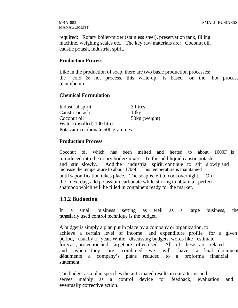MANAGEMENT

required: Rotary boiler/mixer (stainless steel), preservation tank, filling machine, weighing scales etc. The key raw materials are: Coconut oil, caustic potash, industrial spirit.

#### **Production Process**

Like in the production of soap, there are two basic production processes: the cold & hot process, this write-up is based on the hot process of *m*anufacture.

#### **Chemical Formulation**

Industrial spirit 3 litres Caustic potash 10kg Coconut oil 50kg (weight) Water (distilled) 100 litres Potassium carbonate 500 grammes.

#### **Production Process**

Coconut oil which has been melted and heated to about 1000F is introduced into the rotary boiler/mixer. To this add liquid caustic potash and stir slowly. Add the industrial spirit, continue to stir slowly and increase the temperature to about 170of. This temperature is maintained until saponification takes place. The soap is left to cool overnight. On the next day, add potassium carbonate while stirring to obtain a perfect shampoo which will be filled in containers ready for the market.

## **3.1.2 Budgeting**

In a small business setting as well as a large business, the **popularly** used control technique is the budget.

A budget is simply a plan put in place by a company or organization, to achieve a certain level of income and expenditure profile for a given period, usually a year. While discussing budgets, words like estimate, forecast, projection and target are often used. All of these are related and when they are combined, we will have a final document documents a company's plans reduced to a proforma financial statement.

The budget as a plan specifies the anticipated results in naira terms and serves mainly as a control device for feedback, evaluation and eventually corrective action.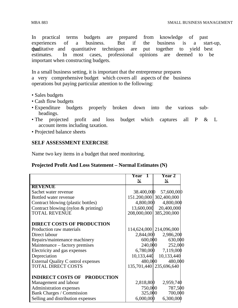In practical terms budgets are prepared from knowledge of past experiences of a business. But if the business is a start-up, then the techniques are put together to yield best estimates. In most cases, professional opinions are deemed to be important when constructing budgets.

In a small business setting, it is important that the entrepreneur prepares a very comprehensive budget which covers all aspects of the business operations but paying particular attention to the following:

- Sales budgets
- Cash flow budgets
- Expenditure budgets properly broken down into the various subheadings.
- The projected profit and loss budget which captures all P & L account items including taxation.
- Projected balance sheets

#### **SELF ASSESSMENT EXERCISE**

Name two key items in a budget that need monitoring.

#### **Projected Profit And Loss Statement – Normal Estimates (N)**

|                                           | Year 1     | <b>Year 2</b>             |
|-------------------------------------------|------------|---------------------------|
|                                           | $\Delta$   | $\Delta$                  |
| <b>REVENUE</b>                            |            |                           |
| Sachet water revenue                      |            | 38.400,000 57,600,000     |
| Bottled water revenue                     |            | 151.200,000 302,400,000   |
| Contract blowing (plastic bottles)        | 4,800,000  | 4,800,000                 |
| Contract blowing (nylon & printing)       | 13,600,000 | 20,400,000                |
| <b>TOTAL REVENUE</b>                      |            | 208,000,000 385,200,000   |
|                                           |            |                           |
| <b>DIRECT COSTS OF PRODUCTION</b>         |            |                           |
| Production raw materials                  |            | 114,624,000   214,096,000 |
| Direct labour                             | 2,844,000  | 2,986,200                 |
| Repairs/maintenance machinery             |            | 600,000<br>630,000        |
| Maintenance – factory premises            | 240,000    | 252,000                   |
| Electricity and gas expenses              |            | $6,780,000$ $7,119,000$   |
| Depreciation                              |            | 10,133,440 10,133,440     |
| <b>External Quality C ontrol expenses</b> | 480,000    | 480,000                   |
| <b>TOTAL DIRECT COSTS</b>                 |            | 135,701,440   235,696,640 |
| <b>INDIRECT COSTS OF PRODUCTION</b>       |            |                           |
| Management and labour                     | 2,818,800  | 2,959,740                 |
| Administration expenses                   | 750,000    | 787,500                   |
| <b>Bank Charges / Commission</b>          | 325,000    | 700,000                   |
| Selling and distribution expenses         | 6,000,000  | 6,300,000                 |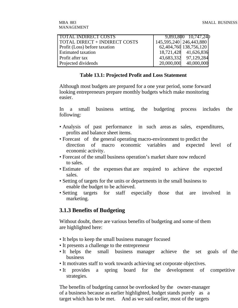| TOTAL INDIRECT COSTS          |            | 9,893,800 10,747,240      |
|-------------------------------|------------|---------------------------|
| TOTAL DIRECT + INDIRECT COSTS |            | 145,595,240   246,443,880 |
| Profit (Loss) before taxation |            | 62,404,760 138,756,120    |
| <b>Estimated taxation</b>     |            | 18,721,428 41,626,836     |
| Profit after tax              |            | 43,683,332 97,129,284     |
| Projected dividends           | 20,000,000 | 40,000,000                |

#### **Table 13.1: Projected Profit and Loss Statement**

Although most budgets are prepared for a one year period, some forward looking entrepreneurs prepare monthly budgets which make monitoring easier.

In a small business setting, the budgeting process includes the following:

- Analysis of past performance in such areas as sales, expenditures, profits and balance sheet items.
- Forecast of the general operating macro-environment to predict the direction of macro economic variables and expected level of economic activity.
- Forecast of the small business operation's market share now reduced to sales.
- Estimate of the expenses that are required to achieve the expected sales.
- Setting of targets for the units or departments in the small business to enable the budget to be achieved.
- Setting targets for staff especially those that are involved in marketing.

## **3.1.3 Benefits of Budgeting**

Without doubt, there are various benefits of budgeting and some of them are highlighted here:

- It helps to keep the small business manager focused
- It presents a challenge to the entrepreneur
- It helps the small business manager achieve the set goals of the business
- It motivates staff to work towards achieving set corporate objectives.
- It provides a spring board for the development of competitive strategies.

The benefits of budgeting cannot be overlooked by the owner-manager of a business because as earlier highlighted, budget stands purely as a target which has to be met. And as we said earlier, most of the targets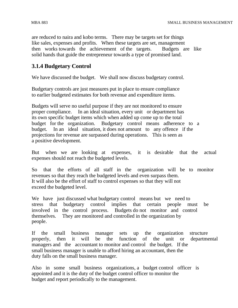are reduced to naira and kobo terms. There may be targets set for things like sales, expenses and profits. When these targets are set, management then works towards the achievement of the targets. Budgets are like solid hands that guide the entrepreneur towards a type of promised land.

## **3.1.4 Budgetary Control**

We have discussed the budget. We shall now discuss budgetary control.

Budgetary controls are just measures put in place to ensure compliance to earlier budgeted estimates for both revenue and expenditure items.

Budgets will serve no useful purpose if they are not monitored to ensure proper compliance. In an ideal situation, every unit or department has its own specific budget items which when added up come up to the total budget for the organization. Budgetary control means adherence to a budget. In an ideal situation, it does not amount to any offence if the projections for revenue are surpassed during operations. This is seen as a positive development.

But when we are looking at expenses, it is desirable that the actual expenses should not reach the budgeted levels.

So that the efforts of all staff in the organization will be to monitor revenues so that they reach the budgeted levels and even surpass them. It will also be the effort of staff to control expenses so that they will not exceed the budgeted level.

We have just discussed what budgetary control means but we need to stress that budgetary control implies that certain people must be involved in the control process. Budgets do not monitor and control themselves. They are monitored and controlled in the organization by people.

If the small business manager sets up the organization structure properly, then it will be the function of the unit or departmental managers and the accountant to monitor and control the budget. If the small business manager is unable to afford hiring an accountant, then the duty falls on the small business manager.

Also in some small business organizations, a budget control officer is appointed and it is the duty of the budget control officer to monitor the budget and report periodically to the management.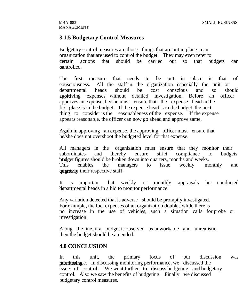## **3.1.5 Budgetary Control Measures**

Budgetary control measures are those things that are put in place in an organization that are used to control the budget. They may even refer to certain actions that should be carried out so that budgets can bentrolled.

The first measure that needs to be put in place is that of consciousness. All the staff in the organization especially the unit or departmental heads should be cost conscious and so should appid ving expenses without detailed investigation. Before an officer approves an expense, he/she must ensure that the expense head in the first place is in the budget. If the expense head is in the budget, the next thing to consider is the reasonableness of the expense. If the expense appears reasonable, the officer can now go ahead and approve same.

Again in approving an expense, the approving officer must ensure that he/she does not overshoot the budgeted level for that expense.

All managers in the organization must ensure that they monitor their subordinates and thereby ensure strict compliance to budgets. **The** budget figures should be broken down into quarters, months and weeks. This enables the managers to issue weekly, monthly and targets to their respective staff.

It is important that weekly or monthly appraisals be conducted **departmental heads in a bid to monitor performance.** 

Any variation detected that is adverse should be promptly investigated. For example, the fuel expenses of an organization doubles while there is no increase in the use of vehicles, such a situation calls for probe or investigation.

Along the line, if a budget is observed as unworkable and unrealistic, then the budget should be amended.

## **4.0 CONCLUSION**

In this unit, the primary focus of our discussion was monitoring performance. In discussing monitoring performance, we discussed the issue of control. We went further to discuss budgeting and budgetary control. Also we saw the benefits of budgeting. Finally we discussed budgetary control measures.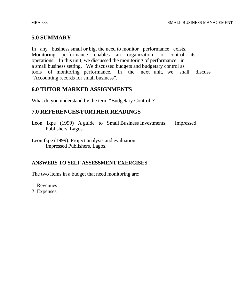## **5.0 SUMMARY**

In any business small or big, the need to monitor performance exists. Monitoring performance enables an organization to control its operations. In this unit, we discussed the monitoring of performance in a small business setting. We discussed budgets and budgetary control as tools of monitoring performance. In the next unit, we shall discuss "Accounting records for small business".

## **6.0 TUTOR MARKED ASSIGNMENTS**

What do you understand by the term "Budgetary Control"?

## **7.0 REFERENCES/FURTHER READINGS**

Leon Ikpe (1999) A guide to Small Business Investments. Impressed Publishers, Lagos.

Leon Ikpe (1999): Project analysis and evaluation. Impressed Publishers, Lagos.

## **ANSWERS TO SELF ASSESSMENT EXERCISES**

The two items in a budget that need monitoring are:

- 1. Revenues
- 2. Expenses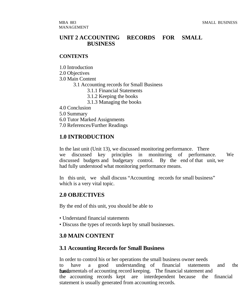## **UNIT 2 ACCOUNTING RECORDS FOR SMALL BUSINESS**

#### **CONTENTS**

1.0 Introduction

2.0 Objectives

3.0 Main Content

- 3.1 Accounting records for Small Business
	- 3.1.1 Financial Statements
	- 3.1.2 Keeping the books
	- 3.1.3 Managing the books
- 4.0 Conclusion

5.0 Summary

6.0 Tutor Marked Assignments

7.0 References/Further Readings

## **1.0 INTRODUCTION**

In the last unit (Unit 13), we discussed monitoring performance. There we discussed key principles in monitoring of performance. We discussed budgets and budgetary control. By the end of that unit, we had fully understood what monitoring performance means.

In this unit, we shall discuss "Accounting records for small business" which is a very vital topic.

## **2.0 OBJECTIVES**

By the end of this unit, you should be able to

- Understand financial statements
- Discuss the types of records kept by small businesses.

## **3.0 MAIN CONTENT**

## **3.1 Accounting Records for Small Business**

In order to control his or her operations the small business owner needs to have a good understanding of financial statements and the fundamentals of accounting record keeping. The financial statement and the accounting records kept are interdependent because the financial statement is usually generated from accounting records.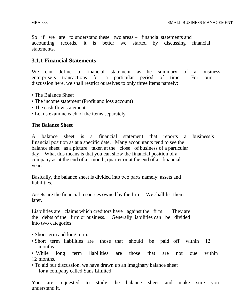So if we are to understand these two areas – financial statements and accounting records, it is better we started by discussing financial statements.

## **3.1.1 Financial Statements**

We can define a financial statement as the summary of a business enterprise's transactions for a particular period of time. For our discussion here, we shall restrict ourselves to only three items namely:

- The Balance Sheet
- The income statement (Profit and loss account)
- The cash flow statement.
- Let us examine each of the items separately.

#### **The Balance Sheet**

A balance sheet is a financial statement that reports a business's financial position as at a specific date. Many accountants tend to see the balance sheet as a picture taken at the close of business of a particular day. What this means is that you can show the financial position of a company as at the end of a month, quarter or at the end of a financial year.

Basically, the balance sheet is divided into two parts namely: assets and liabilities.

Assets are the financial resources owned by the firm. We shall list them later.

Liabilities are claims which creditors have against the firm. They are the debts of the firm or business. Generally liabilities can be divided into two categories:

- Short term and long term.
- Short term liabilities are those that should be paid off within 12 months

• While long term liabilities are those that are not due within 12 months.

• To aid our discussion, we have drawn up an imaginary balance sheet for a company called Sans Limited.

You are requested to study the balance sheet and make sure you understand it.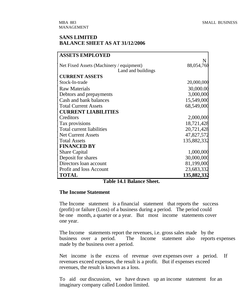#### **SANS LIMITED BALANCE SHEET AS AT 31/12/2006**

| <b>ASSETS EMPLOYED</b>                   |             |
|------------------------------------------|-------------|
|                                          | N           |
| Net Fixed Assets (Machinery / equipment) | 88,054,760  |
| Land and buildings                       |             |
| <b>CURRENT ASSETS</b>                    |             |
| Stock-In-trade                           | 20,000,000  |
| <b>Raw Materials</b>                     | 30,000.00   |
| Debtors and prepayments                  | 3,000,000   |
| Cash and bank balances                   | 15,549,000  |
| <b>Total Current Assets</b>              | 68,549,000  |
| <b>CURRENT LIABILITIES</b>               |             |
| Creditors                                | 2,000,000   |
| Tax provisions                           | 18,721,428  |
| Total current liabilities                | 20,721,428  |
| <b>Net Current Assets</b>                | 47,827,572  |
| <b>Total Assets</b>                      | 135,882,332 |
| <b>FINANCED BY</b>                       |             |
| <b>Share Capital</b>                     | 1,000,000   |
| Deposit for shares                       | 30,000,000  |
| Directors loan account                   | 81,199,000  |
| Profit and loss Account                  | 23,683,332  |
| <b>TOTAL</b>                             | 135,882,332 |

**Table 14.1 Balance Sheet.**

#### **The Income Statement**

The Income statement is a financial statement that reports the success (profit) or failure (Loss) of a business during a period. The period could be one month, a quarter or a year. But most income statements cover one year.

The Income statements report the revenues, i.e. gross sales made by the business over a period. The Income statement also reports expenses made by the business over a period.

Net income is the excess of revenue over expenses over a period. If revenues exceed expenses, the result is a profit. But if expenses exceed revenues, the result is known as a loss.

To aid our discussion, we have drawn up an income statement for an imaginary company called London limited.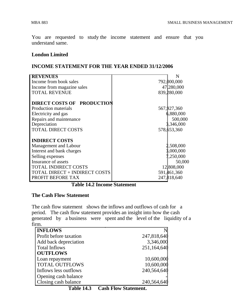You are requested to study the income statement and ensure that you understand same.

#### **London Limited**

#### **INCOME STATEMENT FOR THE YEAR ENDED 31/12/2006**

| <b>REVENUES</b>                      | N             |
|--------------------------------------|---------------|
| Income from book sales               | 792,000,000   |
| Income from magazine sales           | 47 280,000    |
| <b>TOTAL REVENUE</b>                 | 839, 280, 000 |
| DIRECT COSTS OF PRODUCTION           |               |
| Production materials                 | 567, 927, 360 |
| Electricity and gas                  | 6,880,000     |
| Repairs and maintenance              | 500,000       |
| Depreciation                         | ,346,000      |
| <b>TOTAL DIRECT COSTS</b>            | 578, 553, 360 |
| <b>INDIRECT COSTS</b>                |               |
| Management and Labour                | ,508,000      |
| Interest and bank charges            | ,000,000      |
| Selling expenses                     | ,250,000      |
| Insurance of assets                  | 50,000        |
| <b>TOTAL INDIRECT COSTS</b>          | 12 808,000    |
| <b>TOTAL DIRECT + INDIRECT COSTS</b> | 591,461,360   |
| PROFIT BEFORE TAX                    | 247,818,640   |

**Table 14.2 Income Statement**

#### **The Cash Flow Statement**

The cash flow statement shows the inflows and outflows of cash for a period. The cash flow statement provides an insight into how the cash generated by a business were spent and the level of the liquidity of a firm.

| 247,818,640 |
|-------------|
| 3,346,000   |
| 251,164,640 |
|             |
| 10,600,000  |
| 10,600,000  |
| 240,564,640 |
|             |
| 240,564,640 |
|             |

**Table 14.3 Cash Flow Statement.**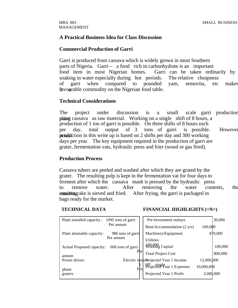#### **A Practical Business Idea for Class Discussion**

#### **Commercial Production of Garri**

Garri is produced from cassava which is widely grown in most Southern parts of Nigeria. Garri – a food rich in carbonhydrate is an important food item in most Nigerian homes. Garri can be taken ordinarily by soaking in water especially during hot periods. The relative cheapness of garri when compared to pounded yam, semovita, etc makes favourable commodity on the Nigerian food table.

#### **Technical Considerations**

The project under discussion is a small scale garri production **plant** cassava as raw material. Working on a single shift of 8 hours, a production of 1 ton of garri is possible. On three shifts of 8 hours each per day, total output of 3 tons of garri is possible. However production in this write up is based on 2 shifts per day and 300 working days per year. The key equipment required in the production of garri are grater, fermentation vats, hydraulic press and frier (wood or gas fired).

#### **Production Process**

Cassava tubers are peeled and washed after which they are grated by the grater. The resulting pulp is kept in the fermentation vat for four days to ferment after which the cassava mash is pressed by the hydraulic press to remove water. After removing the water contents, the **cassativa** cake is sieved and fried. After frying, the garri is packaged in bags ready for the market.

#### **TECHNICAL DATA** FINANCIAL HIGHLIGHTS (=N=)

| Plant installed capacity : 1095 tons of garri   |     | Pre-Investment outlays                 |            | 30,000  |
|-------------------------------------------------|-----|----------------------------------------|------------|---------|
| Per annum                                       |     | Rent/Accommodation (2 yrs)             | 100,000    |         |
| Plant attainable capacity:<br>986 tons of garri |     | Machinery/Equipment                    |            | 470,000 |
| Per annum                                       |     | <b>Utilities</b>                       |            |         |
| Actual Proposed capacity:<br>600 tons of garri  |     | <b>Working Capital</b>                 |            | 100,000 |
| annum                                           | Per | <b>Total Project Cost</b>              |            | 800,000 |
| Power drives:                                   |     | Electric motoProjected Year 1 Income   | 12,000,000 |         |
|                                                 |     | HP single<br>Projected Year 1 Expenses | 10,000,000 |         |
| phase<br>graters                                |     | Projected Year 1 Profit                | 2,000,000  |         |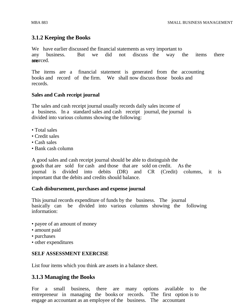## **3.1.2 Keeping the Books**

We have earlier discussed the financial statements as very important to any business. But we did not discuss the way the items there somerced.

The items are a financial statement is generated from the accounting books and record of the firm. We shall now discuss those books and records.

## **Sales and Cash receipt journal**

The sales and cash receipt journal usually records daily sales income of a business. In a standard sales and cash receipt journal, the journal is divided into various columns showing the following:

- Total sales
- Credit sales
- Cash sales
- Bank cash column

A good sales and cash receipt journal should be able to distinguish the goods that are sold for cash and those that are sold on credit. As the journal is divided into debits (DR) and CR (Credit) columns, it is important that the debits and credits should balance.

#### **Cash disbursement, purchases and expense journal**

This journal records expenditure of funds by the business. The journal basically can be divided into various columns showing the following information:

- payee of an amount of money
- amount paid
- purchases
- other expenditures

## **SELF ASSESSMENT EXERCISE**

List four items which you think are assets in a balance sheet.

## **3.1.3 Managing the Books**

For a small business, there are many options available to the entrepreneur in managing the books or records. The first option is to engage an accountant as an employee of the business. The accountant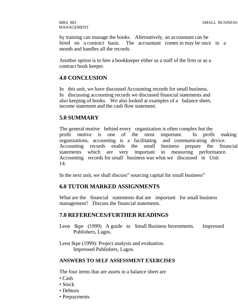by training can manage the books. Alternatively, an accountant can be hired on a contract basis. The accountant comes in may be once in a month and handles all the records.

Another option is to hire a bookkeeper either as a staff of the firm or as a contract book keeper.

## **4.0 CONCLUSION**

In this unit, we have discussed Accounting records for small business. In discussing accounting records we discussed financial statements and also keeping of books. We also looked at examples of a balance sheet, income statement and the cash flow statement.

## **5.0 SUMMARY**

The general motive behind every organization is often complex but the profit motive is one of the most important. In profit making organizations, accounting is a facilitating and communicating device. Accounting records enable the small business prepare the financial statements which are very important in measuring performance. Accounting records for small business was what we discussed in Unit 14.

In the next unit, we shall discuss" sourcing capital for small business"

## **6.0 TUTOR MARKED ASSIGNMENTS**

What are the financial statements that are important for small business management? Discuss the financial statements.

## **7.0 REFERENCES/FURTHER READINGS**

Leon Ikpe (1999) A guide to Small Business Investments. Impressed Publishers, Lagos.

Leon Ikpe (1999): Project analysis and evaluation. Impressed Publishers, Lagos.

#### **ANSWERS TO SELF ASSESSMENT EXERCISES**

The four items that are assets in a balance sheet are

- Cash
- Stock
- Debtors
- Prepayments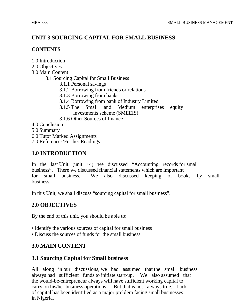## **UNIT 3 SOURCING CAPITAL FOR SMALL BUSINESS**

#### **CONTENTS**

- 1.0 Introduction
- 2.0 Objectives
- 3.0 Main Content
	- 3.1 Sourcing Capital for Small Business
		- 3.1.1 Personal savings
		- 3.1.2 Borrowing from friends or relations
		- 3.1.3 Borrowing from banks
		- 3.1.4 Borrowing from bank of Industry Limited
		- 3.1.5 The Small and Medium enterprises equity investments scheme (SMEEIS)
		- 3.1.6 Other Sources of finance

4.0 Conclusion

- 5.0 Summary
- 6.0 Tutor Marked Assignments
- 7.0 References/Further Readings

## **1.0 INTRODUCTION**

In the last Unit (unit 14) we discussed "Accounting records for small business". There we discussed financial statements which are important for small business. We also discussed keeping of books by small business.

In this Unit, we shall discuss "sourcing capital for small business".

## **2.0 OBJECTIVES**

By the end of this unit, you should be able to:

- Identify the various sources of capital for small business
- Discuss the sources of funds for the small business

## **3.0 MAIN CONTENT**

## **3.1 Sourcing Capital for Small business**

All along in our discussions, we had assumed that the small business always had sufficient funds to initiate start-up. We also assumed that the would-be-entrepreneur always will have sufficient working capital to carry on his/her business operations. But that is not always true. Lack of capital has been identified as a major problem facing small businesses in Nigeria.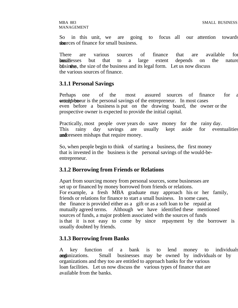# MANAGEMENT

So in this unit, we are going to focus all our attention towards stowarces of finance for small business.

There are various sources of finance that are available for **sumiliesses** but that to a large extent depends on the nature but the size of the business and its legal form. Let us now discuss the various sources of finance.

## **3.1.1 Personal Savings**

Perhaps one of the most assured sources of finance for a **entrepreneur** is the personal savings of the entrepreneur. In most cases even before a business is put on the drawing board, the owner or the prospective owner is expected to provide the initial capital.

Practically, most people over years do save money for the rainy day. This rainy day savings are usually kept aside for eventualities und foreseen mishaps that require money.

So, when people begin to think of starting a business, the first money that is invested in the business is the personal savings of the would-beentrepreneur.

## **3.1.2 Borrowing from Friends or Relations**

Apart from sourcing money from personal sources, some businesses are set up or financed by money borrowed from friends or relations. For example, a fresh MBA graduate may approach his or her family, friends or relations for finance to start a small business. In some cases, the finance is provided either as a gift or as a soft loan to be repaid at mutually agreed terms. Although we have identified these mentioned sources of funds, a major problem associated with the sources of funds is that it is not easy to come by since repayment by the borrower is usually doubted by friends.

## **3.1.3 Borrowing from Banks**

A key function of a bank is to lend money to individuals **ang** anizations. Small businesses may be owned by individuals or by organizations and they too are entitled to approach banks for the various loan facilities. Let us now discuss the various types of finance that are available from the banks.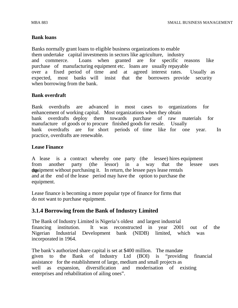#### **Bank loans**

Banks normally grant loans to eligible business organizations to enable them undertake capital investments in sectors like agriculture, industry and commerce. Loans when granted are for specific reasons like purchase of manufacturing equipment etc. loans are usually repayable over a fixed period of time and at agreed interest rates. Usually as expected, most banks will insist that the borrowers provide security when borrowing from the bank.

#### **Bank overdraft**

Bank overdrafts are advanced in most cases to organizations for enhancement of working capital. Most organizations when they obtain bank overdrafts deploy them towards purchase of raw materials for manufacture of goods or to procure finished goods for resale. Usually bank overdrafts are for short periods of time like for one year. In practice, overdrafts are renewable.

#### **Lease Finance**

A lease is a contract whereby one party (the lessee) hires equipment from another party (the lessor) in a way that the lessee uses **the equipment without purchasing it.** In return, the lessee pays lease rentals and at the end of the lease period may have the option to purchase the equipment.

Lease finance is becoming a more popular type of finance for firms that do not want to purchase equipment.

## **3.1.4 Borrowing from the Bank of Industry Limited**

The Bank of Industry Limited is Nigeria's oldest and largest industrial financing institution. It was reconstructed in year 2001 out of the Nigerian Industrial Development bank (NIDB) limited, which was incorporated in 1964.

The bank's authorized share capital is set at \$400 million. The mandate given to the Bank of Industry Ltd (BOI) is "providing financial assistance for the establishment of large, medium and small projects as well as expansion, diversification and moderisation of existing enterprises and rehabilitation of ailing ones".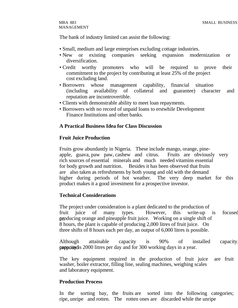The bank of industry limited can assist the following:

- Small, medium and large enterprises excluding cottage industries.
- New or existing companies seeking expansion modernization or diversification.
- Credit worthy promoters who will be required to prove their commitment to the project by contributing at least 25% of the project cost excluding land.
- Borrowers whose management capability, financial situation (including availability of collateral and guarantee) character and reputation are incontrovertible.
- Clients with demonstrable ability to meet loan repayments.
- Borrowers with no record of unpaid loans to erstwhile Development Finance Institutions and other banks.

#### **A Practical Business Idea for Class Discussion**

#### **Fruit Juice Production**

Fruits grow abundantly in Nigeria. These include mango, orange, pineapple, guava, paw paw, cashew and citrus. Fruits are obviously very rich sources of essential minerals and much needed vitamins essential for body growth and nutrition. Besides it has been observed that fruits are also taken as refreshments by both young and old with the demand higher during periods of hot weather. The very deep market for this product makes it a good investment for a prospective investor.

#### **Technical Considerations**

The project under consideration is a plant dedicated to the production of fruit juice of many types. However, this write-up is focused producing orange and pineapple fruit juice. Working on a single shift of 8 hours, the plant is capable of producing 2,000 litres of fruit juice. On three shifts of 8 hours each per day, an output of 6,000 litres is possible.

Although attainable capacity is 90% of installed capacity, proposition capacity is 2000 litres per day and for 300 working days in a year.

The key equipment required in the production of fruit juice are fruit washer, boiler extractor, filling line, sealing machines, weighing scales and laboratory equipment.

#### **Production Process**

In the sorting bay, the fruits are sorted into the following categories; ripe, unripe and rotten. The rotten ones are discarded while the unripe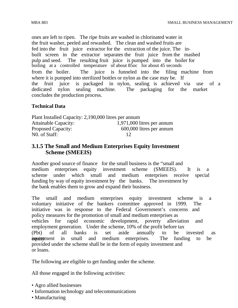ones are left to ripen. The ripe fruits are washed in chlorinated water in the fruit washer, peeled and rewashed. The clean and washed fruits are fed into the fruit juice extractor for the extraction of the juice. The inbuilt screen in the extractor separates the fruit juice from the mashed pulp and seed. The resulting fruit juice is pumped into the boiler for boiling at a controlled temperature of about 85oc for about 45 seconds from the boiler. The juice is funneled into the filing machine from where it is pumped into sterilized bottles or nylon as the case may be. If the fruit juice is packaged in nylon, sealing is achieved via use of a dedicated nylon sealing machine. The packaging for the market dedicated nylon sealing machine. The packaging for the market concludes the production process.

#### **Technical Data**

Plant Installed Capacity: 2,190,000 litres per annum Attainable Capacity: 1,971,000 litres per annum Proposed Capacity: 600,000 litres per annum N0. of Staff: 12

## **3.1.5 The Small and Medium Enterprises Equity Investment Scheme (SMEEIS)**

Another good source of finance for the small business is the "small and medium enterprises equity investment scheme (SMEEIS). It is a scheme under which small and medium enterprises receive special funding by way of equity investment by the banks. The investment by the bank enables them to grow and expand their business.

The small and medium enterprises equity investment scheme is a voluntary initiative of the bankers committee approved in 1999. The initiative was in response to the Federal Government's concerns and policy measures for the promotion of small and medium enterprises as vehicles for rapid economic development, poverty alleviation and employment generation. Under the scheme, 10% of the profit before tax (Pbt) of all banks is set aside annually to be invested as **exprisyment** in small and medium enterprises. The funding to be provided under the scheme shall be in the form of equity investment and or loans.

The following are eligible to get funding under the scheme.

All those engaged in the following activities:

- Agro allied businesses
- Information technology and telecommunications
- Manufacturing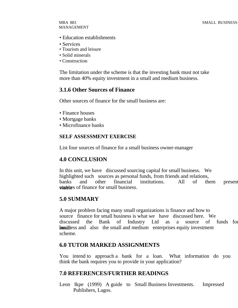- Education establishments
- Services
- Tourism and leisure
- Solid minerals
- Construction

The limitation under the scheme is that the investing bank must not take more than 40% equity investment in a small and medium business.

## **3.1.6 Other Sources of Finance**

Other sources of finance for the small business are:

- Finance houses
- Mortgage banks
- Microfinance banks

#### **SELF ASSESSMENT EXERCISE**

List four sources of finance for a small business owner-manager

## **4.0 CONCLUSION**

In this unit, we have discussed sourcing capital for small business. We highlighted such sources as personal funds, from friends and relations, banks and other financial institutions. All of them present solarities of finance for small business.

## **5.0 SUMMARY**

A major problem facing many small organizations is finance and how to source finance for small business is what we have discussed here. We discussed the Bank of Industry Ltd as a source of funds for **smalless and also the small and medium enterprises equity investment** scheme.

## **6.0 TUTOR MARKED ASSIGNMENTS**

You intend to approach a bank for a loan. What information do you think the bank requires you to provide in your application?

## **7.0 REFERENCES/FURTHER READINGS**

Leon Ikpe (1999) A guide to Small Business Investments. Impressed Publishers, Lagos.